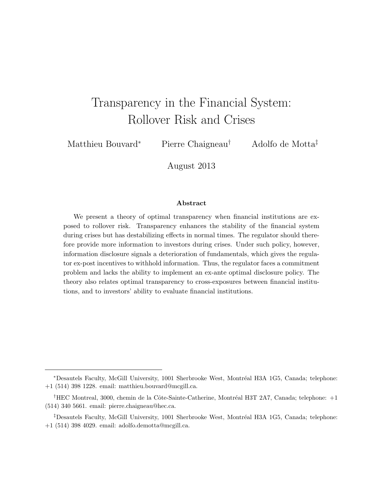# Transparency in the Financial System: Rollover Risk and Crises

Matthieu Bouvard<sup>∗</sup> Pierre Chaigneau† Adolfo de Motta‡

August 2013

#### Abstract

We present a theory of optimal transparency when financial institutions are exposed to rollover risk. Transparency enhances the stability of the financial system during crises but has destabilizing effects in normal times. The regulator should therefore provide more information to investors during crises. Under such policy, however, information disclosure signals a deterioration of fundamentals, which gives the regulator ex-post incentives to withhold information. Thus, the regulator faces a commitment problem and lacks the ability to implement an ex-ante optimal disclosure policy. The theory also relates optimal transparency to cross-exposures between financial institutions, and to investors' ability to evaluate financial institutions.

<sup>\*</sup>Desautels Faculty, McGill University, 1001 Sherbrooke West, Montréal H3A 1G5, Canada; telephone: +1 (514) 398 1228. email: matthieu.bouvard@mcgill.ca.

<sup>&</sup>lt;sup>†</sup>HEC Montreal, 3000, chemin de la Côte-Sainte-Catherine, Montréal H3T 2A7, Canada; telephone:  $+1$ (514) 340 5661. email: pierre.chaigneau@hec.ca.

 $\textsuperscript{4}$ Desautels Faculty, McGill University, 1001 Sherbrooke West, Montréal H3A 1G5, Canada; telephone: +1 (514) 398 4029. email: adolfo.demotta@mcgill.ca.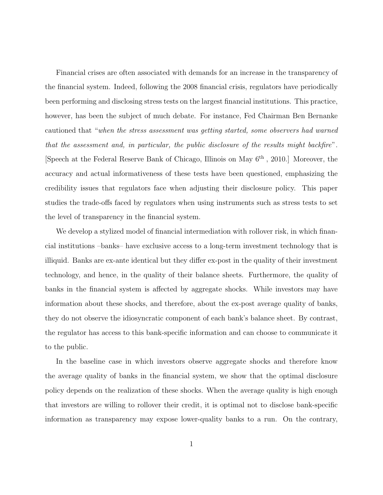Financial crises are often associated with demands for an increase in the transparency of the financial system. Indeed, following the 2008 financial crisis, regulators have periodically been performing and disclosing stress tests on the largest financial institutions. This practice, however, has been the subject of much debate. For instance, Fed Chairman Ben Bernanke cautioned that "when the stress assessment was getting started, some observers had warned that the assessment and, in particular, the public disclosure of the results might backfire". [Speech at the Federal Reserve Bank of Chicago, Illinois on May 6th , 2010.] Moreover, the accuracy and actual informativeness of these tests have been questioned, emphasizing the credibility issues that regulators face when adjusting their disclosure policy. This paper studies the trade-offs faced by regulators when using instruments such as stress tests to set the level of transparency in the financial system.

We develop a stylized model of financial intermediation with rollover risk, in which financial institutions –banks– have exclusive access to a long-term investment technology that is illiquid. Banks are ex-ante identical but they differ ex-post in the quality of their investment technology, and hence, in the quality of their balance sheets. Furthermore, the quality of banks in the financial system is affected by aggregate shocks. While investors may have information about these shocks, and therefore, about the ex-post average quality of banks, they do not observe the idiosyncratic component of each bank's balance sheet. By contrast, the regulator has access to this bank-specific information and can choose to communicate it to the public.

In the baseline case in which investors observe aggregate shocks and therefore know the average quality of banks in the financial system, we show that the optimal disclosure policy depends on the realization of these shocks. When the average quality is high enough that investors are willing to rollover their credit, it is optimal not to disclose bank-specific information as transparency may expose lower-quality banks to a run. On the contrary,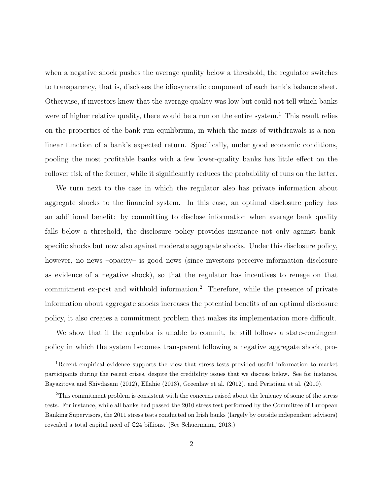when a negative shock pushes the average quality below a threshold, the regulator switches to transparency, that is, discloses the idiosyncratic component of each bank's balance sheet. Otherwise, if investors knew that the average quality was low but could not tell which banks were of higher relative quality, there would be a run on the entire system.<sup>1</sup> This result relies on the properties of the bank run equilibrium, in which the mass of withdrawals is a nonlinear function of a bank's expected return. Specifically, under good economic conditions, pooling the most profitable banks with a few lower-quality banks has little effect on the rollover risk of the former, while it significantly reduces the probability of runs on the latter.

We turn next to the case in which the regulator also has private information about aggregate shocks to the financial system. In this case, an optimal disclosure policy has an additional benefit: by committing to disclose information when average bank quality falls below a threshold, the disclosure policy provides insurance not only against bankspecific shocks but now also against moderate aggregate shocks. Under this disclosure policy, however, no news –opacity– is good news (since investors perceive information disclosure as evidence of a negative shock), so that the regulator has incentives to renege on that commitment ex-post and withhold information.<sup>2</sup> Therefore, while the presence of private information about aggregate shocks increases the potential benefits of an optimal disclosure policy, it also creates a commitment problem that makes its implementation more difficult.

We show that if the regulator is unable to commit, he still follows a state-contingent policy in which the system becomes transparent following a negative aggregate shock, pro-

<sup>&</sup>lt;sup>1</sup>Recent empirical evidence supports the view that stress tests provided useful information to market participants during the recent crises, despite the credibility issues that we discuss below. See for instance, Bayazitova and Shivdasani (2012), Ellahie (2013), Greenlaw et al. (2012), and Peristiani et al. (2010).

<sup>2</sup>This commitment problem is consistent with the concerns raised about the leniency of some of the stress tests. For instance, while all banks had passed the 2010 stress test performed by the Committee of European Banking Supervisors, the 2011 stress tests conducted on Irish banks (largely by outside independent advisors) revealed a total capital need of  $\epsilon$ 24 billions. (See Schuermann, 2013.)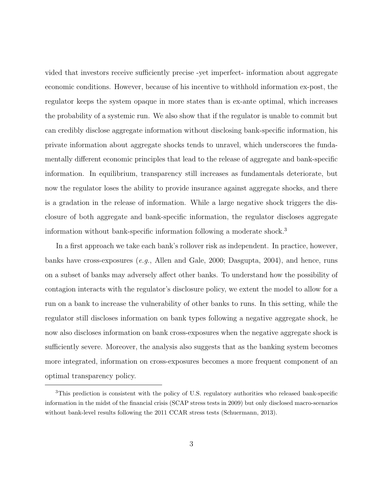vided that investors receive sufficiently precise -yet imperfect- information about aggregate economic conditions. However, because of his incentive to withhold information ex-post, the regulator keeps the system opaque in more states than is ex-ante optimal, which increases the probability of a systemic run. We also show that if the regulator is unable to commit but can credibly disclose aggregate information without disclosing bank-specific information, his private information about aggregate shocks tends to unravel, which underscores the fundamentally different economic principles that lead to the release of aggregate and bank-specific information. In equilibrium, transparency still increases as fundamentals deteriorate, but now the regulator loses the ability to provide insurance against aggregate shocks, and there is a gradation in the release of information. While a large negative shock triggers the disclosure of both aggregate and bank-specific information, the regulator discloses aggregate information without bank-specific information following a moderate shock.<sup>3</sup>

In a first approach we take each bank's rollover risk as independent. In practice, however, banks have cross-exposures (e.g., Allen and Gale, 2000; Dasgupta, 2004), and hence, runs on a subset of banks may adversely affect other banks. To understand how the possibility of contagion interacts with the regulator's disclosure policy, we extent the model to allow for a run on a bank to increase the vulnerability of other banks to runs. In this setting, while the regulator still discloses information on bank types following a negative aggregate shock, he now also discloses information on bank cross-exposures when the negative aggregate shock is sufficiently severe. Moreover, the analysis also suggests that as the banking system becomes more integrated, information on cross-exposures becomes a more frequent component of an optimal transparency policy.

<sup>&</sup>lt;sup>3</sup>This prediction is consistent with the policy of U.S. regulatory authorities who released bank-specific information in the midst of the financial crisis (SCAP stress tests in 2009) but only disclosed macro-scenarios without bank-level results following the 2011 CCAR stress tests (Schuermann, 2013).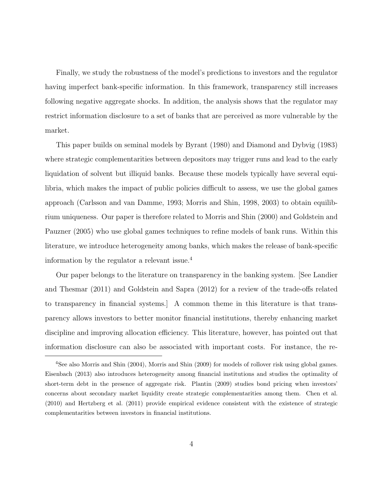Finally, we study the robustness of the model's predictions to investors and the regulator having imperfect bank-specific information. In this framework, transparency still increases following negative aggregate shocks. In addition, the analysis shows that the regulator may restrict information disclosure to a set of banks that are perceived as more vulnerable by the market.

This paper builds on seminal models by Byrant (1980) and Diamond and Dybvig (1983) where strategic complementarities between depositors may trigger runs and lead to the early liquidation of solvent but illiquid banks. Because these models typically have several equilibria, which makes the impact of public policies difficult to assess, we use the global games approach (Carlsson and van Damme, 1993; Morris and Shin, 1998, 2003) to obtain equilibrium uniqueness. Our paper is therefore related to Morris and Shin (2000) and Goldstein and Pauzner (2005) who use global games techniques to refine models of bank runs. Within this literature, we introduce heterogeneity among banks, which makes the release of bank-specific information by the regulator a relevant issue.<sup>4</sup>

Our paper belongs to the literature on transparency in the banking system. [See Landier and Thesmar (2011) and Goldstein and Sapra (2012) for a review of the trade-offs related to transparency in financial systems.] A common theme in this literature is that transparency allows investors to better monitor financial institutions, thereby enhancing market discipline and improving allocation efficiency. This literature, however, has pointed out that information disclosure can also be associated with important costs. For instance, the re-

<sup>4</sup>See also Morris and Shin (2004), Morris and Shin (2009) for models of rollover risk using global games. Eisenbach (2013) also introduces heterogeneity among financial institutions and studies the optimality of short-term debt in the presence of aggregate risk. Plantin (2009) studies bond pricing when investors' concerns about secondary market liquidity create strategic complementarities among them. Chen et al. (2010) and Hertzberg et al. (2011) provide empirical evidence consistent with the existence of strategic complementarities between investors in financial institutions.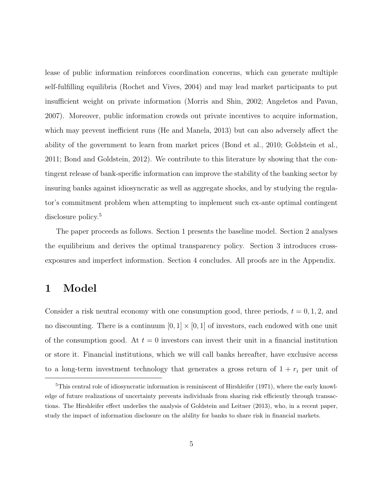lease of public information reinforces coordination concerns, which can generate multiple self-fulfilling equilibria (Rochet and Vives, 2004) and may lead market participants to put insufficient weight on private information (Morris and Shin, 2002; Angeletos and Pavan, 2007). Moreover, public information crowds out private incentives to acquire information, which may prevent inefficient runs (He and Manela, 2013) but can also adversely affect the ability of the government to learn from market prices (Bond et al., 2010; Goldstein et al., 2011; Bond and Goldstein, 2012). We contribute to this literature by showing that the contingent release of bank-specific information can improve the stability of the banking sector by insuring banks against idiosyncratic as well as aggregate shocks, and by studying the regulator's commitment problem when attempting to implement such ex-ante optimal contingent disclosure policy.<sup>5</sup>

The paper proceeds as follows. Section 1 presents the baseline model. Section 2 analyses the equilibrium and derives the optimal transparency policy. Section 3 introduces crossexposures and imperfect information. Section 4 concludes. All proofs are in the Appendix.

## 1 Model

Consider a risk neutral economy with one consumption good, three periods,  $t = 0, 1, 2$ , and no discounting. There is a continuum  $[0, 1] \times [0, 1]$  of investors, each endowed with one unit of the consumption good. At  $t = 0$  investors can invest their unit in a financial institution or store it. Financial institutions, which we will call banks hereafter, have exclusive access to a long-term investment technology that generates a gross return of  $1 + r_i$  per unit of

<sup>&</sup>lt;sup>5</sup>This central role of idiosyncratic information is reminiscent of Hirshleifer (1971), where the early knowledge of future realizations of uncertainty prevents individuals from sharing risk efficiently through transactions. The Hirshleifer effect underlies the analysis of Goldstein and Leitner (2013), who, in a recent paper, study the impact of information disclosure on the ability for banks to share risk in financial markets.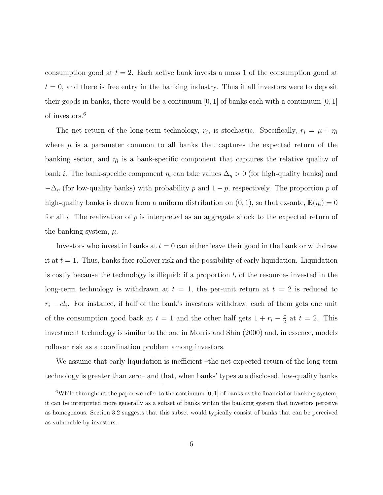consumption good at  $t = 2$ . Each active bank invests a mass 1 of the consumption good at  $t = 0$ , and there is free entry in the banking industry. Thus if all investors were to deposit their goods in banks, there would be a continuum  $[0, 1]$  of banks each with a continuum  $[0, 1]$ of investors.<sup>6</sup>

The net return of the long-term technology,  $r_i$ , is stochastic. Specifically,  $r_i = \mu + \eta_i$ where  $\mu$  is a parameter common to all banks that captures the expected return of the banking sector, and  $\eta_i$  is a bank-specific component that captures the relative quality of bank *i*. The bank-specific component  $\eta_i$  can take values  $\Delta_{\eta} > 0$  (for high-quality banks) and  $-\Delta_{\eta}$  (for low-quality banks) with probability p and  $1-p$ , respectively. The proportion p of high-quality banks is drawn from a uniform distribution on  $(0, 1)$ , so that ex-ante,  $\mathbb{E}(\eta_i) = 0$ for all i. The realization of p is interpreted as an aggregate shock to the expected return of the banking system,  $\mu$ .

Investors who invest in banks at  $t = 0$  can either leave their good in the bank or withdraw it at  $t = 1$ . Thus, banks face rollover risk and the possibility of early liquidation. Liquidation is costly because the technology is illiquid: if a proportion  $l_i$  of the resources invested in the long-term technology is withdrawn at  $t = 1$ , the per-unit return at  $t = 2$  is reduced to  $r_i - c l_i$ . For instance, if half of the bank's investors withdraw, each of them gets one unit of the consumption good back at  $t = 1$  and the other half gets  $1 + r_i - \frac{c}{2}$  $\frac{c}{2}$  at  $t = 2$ . This investment technology is similar to the one in Morris and Shin (2000) and, in essence, models rollover risk as a coordination problem among investors.

We assume that early liquidation is inefficient –the net expected return of the long-term technology is greater than zero– and that, when banks' types are disclosed, low-quality banks

<sup>&</sup>lt;sup>6</sup>While throughout the paper we refer to the continuum [0, 1] of banks as the financial or banking system, it can be interpreted more generally as a subset of banks within the banking system that investors perceive as homogenous. Section 3.2 suggests that this subset would typically consist of banks that can be perceived as vulnerable by investors.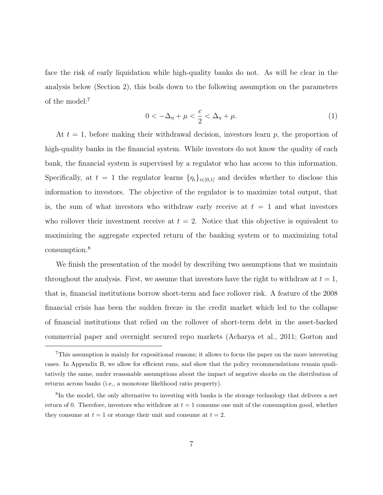face the risk of early liquidation while high-quality banks do not. As will be clear in the analysis below (Section 2), this boils down to the following assumption on the parameters of the model:<sup>7</sup>

$$
0 < -\Delta_{\eta} + \mu < \frac{c}{2} < \Delta_{\eta} + \mu.
$$
 (1)

At  $t = 1$ , before making their withdrawal decision, investors learn p, the proportion of high-quality banks in the financial system. While investors do not know the quality of each bank, the financial system is supervised by a regulator who has access to this information. Specifically, at  $t = 1$  the regulator learns  $\{\eta_i\}_{i \in [0,1]}$  and decides whether to disclose this information to investors. The objective of the regulator is to maximize total output, that is, the sum of what investors who withdraw early receive at  $t = 1$  and what investors who rollover their investment receive at  $t = 2$ . Notice that this objective is equivalent to maximizing the aggregate expected return of the banking system or to maximizing total consumption.<sup>8</sup>

We finish the presentation of the model by describing two assumptions that we maintain throughout the analysis. First, we assume that investors have the right to withdraw at  $t = 1$ , that is, financial institutions borrow short-term and face rollover risk. A feature of the 2008 financial crisis has been the sudden freeze in the credit market which led to the collapse of financial institutions that relied on the rollover of short-term debt in the asset-backed commercial paper and overnight secured repo markets (Acharya et al., 2011; Gorton and

<sup>7</sup>This assumption is mainly for expositional reasons; it allows to focus the paper on the more interesting cases. In Appendix B, we allow for efficient runs, and show that the policy recommendations remain qualitatively the same, under reasonable assumptions about the impact of negative shocks on the distribution of returns across banks (i.e., a monotone likelihood ratio property).

<sup>&</sup>lt;sup>8</sup>In the model, the only alternative to investing with banks is the storage technology that delivers a net return of 0. Therefore, investors who withdraw at  $t = 1$  consume one unit of the consumption good, whether they consume at  $t = 1$  or storage their unit and consume at  $t = 2$ .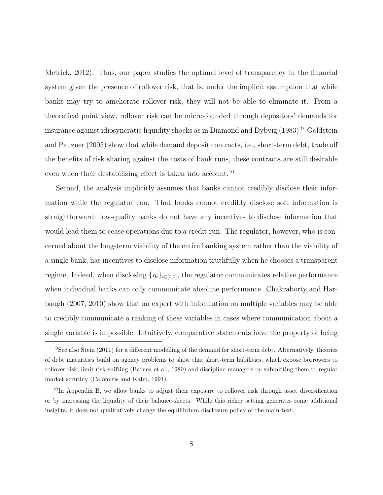Metrick, 2012). Thus, our paper studies the optimal level of transparency in the financial system given the presence of rollover risk, that is, under the implicit assumption that while banks may try to ameliorate rollover risk, they will not be able to eliminate it. From a theoretical point view, rollover risk can be micro-founded through depositors' demands for insurance against idiosyncratic liquidity shocks as in Diamond and Dybvig (1983).<sup>9</sup> Goldstein and Pauzner (2005) show that while demand deposit contracts, i.e., short-term debt, trade off the benefits of risk sharing against the costs of bank runs, these contracts are still desirable even when their destabilizing effect is taken into account.<sup>10</sup>

Second, the analysis implicitly assumes that banks cannot credibly disclose their information while the regulator can. That banks cannot credibly disclose soft information is straightforward: low-quality banks do not have any incentives to disclose information that would lead them to cease operations due to a credit run. The regulator, however, who is concerned about the long-term viability of the entire banking system rather than the viability of a single bank, has incentives to disclose information truthfully when he chooses a transparent regime. Indeed, when disclosing  $\{\eta_i\}_{i\in[0,1]}$ , the regulator communicates relative performance when individual banks can only communicate absolute performance. Chakraborty and Harbaugh (2007, 2010) show that an expert with information on multiple variables may be able to credibly communicate a ranking of these variables in cases where communication about a single variable is impossible. Intuitively, comparative statements have the property of being

<sup>&</sup>lt;sup>9</sup>See also Stein (2011) for a different modelling of the demand for short-term debt. Alternatively, theories of debt maturities build on agency problems to show that short-term liabilities, which expose borrowers to rollover risk, limit risk-shifting (Barnea et al., 1980) and discipline managers by submitting them to regular market scrutiny (Calomiris and Kahn, 1991).

 $10$ In Appendix B, we allow banks to adjust their exposure to rollover risk through asset diversification or by increasing the liquidity of their balance-sheets. While this richer setting generates some additional insights, it does not qualitatively change the equilibrium disclosure policy of the main text.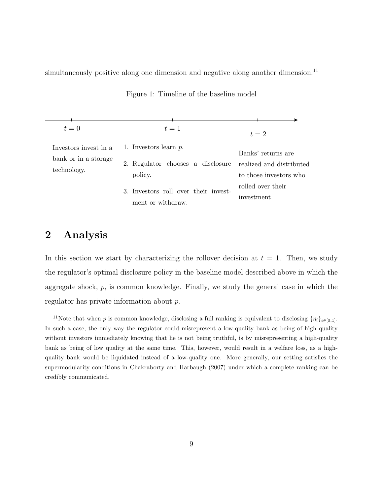simultaneously positive along one dimension and negative along another dimension.<sup>11</sup>

| $t=0$                                                        | $t=1$                                                                    | $t=2$                                                                    |
|--------------------------------------------------------------|--------------------------------------------------------------------------|--------------------------------------------------------------------------|
| Investors invest in a<br>bank or in a storage<br>technology. | 1. Investors learn $p$ .<br>2. Regulator chooses a disclosure<br>policy. | Banks' returns are<br>realized and distributed<br>to those investors who |
|                                                              | 3. Investors roll over their invest-<br>ment or withdraw.                | rolled over their<br>investment.                                         |

Figure 1: Timeline of the baseline model

## 2 Analysis

In this section we start by characterizing the rollover decision at  $t = 1$ . Then, we study the regulator's optimal disclosure policy in the baseline model described above in which the aggregate shock,  $p$ , is common knowledge. Finally, we study the general case in which the regulator has private information about p.

<sup>&</sup>lt;sup>11</sup>Note that when p is common knowledge, disclosing a full ranking is equivalent to disclosing  $\{\eta_i\}_{i\in[0,1]}$ . In such a case, the only way the regulator could misrepresent a low-quality bank as being of high quality without investors immediately knowing that he is not being truthful, is by misrepresenting a high-quality bank as being of low quality at the same time. This, however, would result in a welfare loss, as a highquality bank would be liquidated instead of a low-quality one. More generally, our setting satisfies the supermodularity conditions in Chakraborty and Harbaugh (2007) under which a complete ranking can be credibly communicated.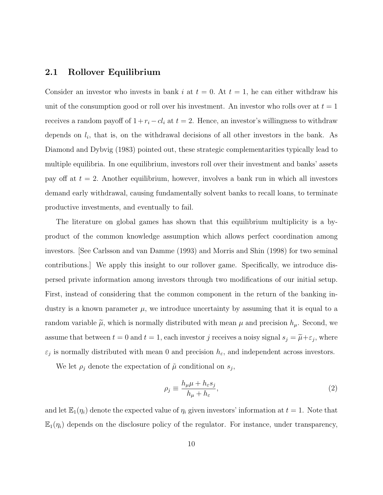#### 2.1 Rollover Equilibrium

Consider an investor who invests in bank i at  $t = 0$ . At  $t = 1$ , he can either withdraw his unit of the consumption good or roll over his investment. An investor who rolls over at  $t = 1$ receives a random payoff of  $1 + r_i - c_i$  at  $t = 2$ . Hence, an investor's willingness to withdraw depends on  $l_i$ , that is, on the withdrawal decisions of all other investors in the bank. As Diamond and Dybvig (1983) pointed out, these strategic complementarities typically lead to multiple equilibria. In one equilibrium, investors roll over their investment and banks' assets pay off at  $t = 2$ . Another equilibrium, however, involves a bank run in which all investors demand early withdrawal, causing fundamentally solvent banks to recall loans, to terminate productive investments, and eventually to fail.

The literature on global games has shown that this equilibrium multiplicity is a byproduct of the common knowledge assumption which allows perfect coordination among investors. [See Carlsson and van Damme (1993) and Morris and Shin (1998) for two seminal contributions.] We apply this insight to our rollover game. Specifically, we introduce dispersed private information among investors through two modifications of our initial setup. First, instead of considering that the common component in the return of the banking industry is a known parameter  $\mu$ , we introduce uncertainty by assuming that it is equal to a random variable  $\tilde{\mu}$ , which is normally distributed with mean  $\mu$  and precision  $h_{\mu}$ . Second, we assume that between  $t = 0$  and  $t = 1$ , each investor j receives a noisy signal  $s_j = \tilde{\mu} + \varepsilon_j$ , where  $\varepsilon_j$  is normally distributed with mean 0 and precision  $h_{\varepsilon}$ , and independent across investors.

We let  $\rho_j$  denote the expectation of  $\tilde{\mu}$  conditional on  $s_j$ ,

$$
\rho_j \equiv \frac{h_\mu \mu + h_\varepsilon s_j}{h_\mu + h_\varepsilon},\tag{2}
$$

and let  $\mathbb{E}_1(\eta_i)$  denote the expected value of  $\eta_i$  given investors' information at  $t = 1$ . Note that  $\mathbb{E}_1(\eta_i)$  depends on the disclosure policy of the regulator. For instance, under transparency,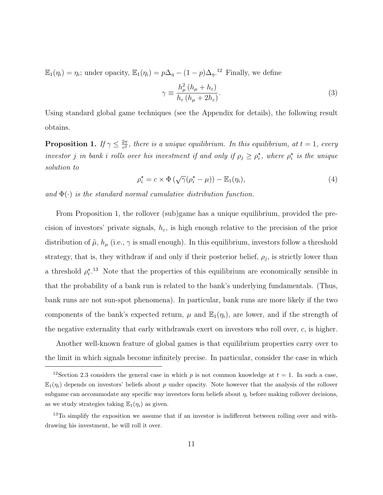$\mathbb{E}_1(\eta_i) = \eta_i$ ; under opacity,  $\mathbb{E}_1(\eta_i) = p\Delta_\eta - (1-p)\Delta_\eta$ <sup>12</sup> Finally, we define

$$
\gamma \equiv \frac{h_{\mu}^2 (h_{\mu} + h_{\varepsilon})}{h_{\varepsilon} (h_{\mu} + 2h_{\varepsilon})}.
$$
\n(3)

Using standard global game techniques (see the Appendix for details), the following result obtains.

**Proposition 1.** If  $\gamma \leq \frac{2\pi}{c^2}$  $\frac{2\pi}{c^2}$ , there is a unique equilibrium. In this equilibrium, at  $t=1$ , every investor j in bank i rolls over his investment if and only if  $\rho_j \geq \rho_i^*$ , where  $\rho_i^*$  is the unique solution to

$$
\rho_i^* = c \times \Phi\left(\sqrt{\gamma}(\rho_i^* - \mu)\right) - \mathbb{E}_1(\eta_i),\tag{4}
$$

and  $\Phi(\cdot)$  is the standard normal cumulative distribution function.

From Proposition 1, the rollover (sub)game has a unique equilibrium, provided the precision of investors' private signals,  $h_{\varepsilon}$ , is high enough relative to the precision of the prior distribution of  $\tilde{\mu}$ ,  $h_{\mu}$  (i.e.,  $\gamma$  is small enough). In this equilibrium, investors follow a threshold strategy, that is, they withdraw if and only if their posterior belief,  $\rho_j$ , is strictly lower than a threshold  $\rho_i^{\star}$ .<sup>13</sup> Note that the properties of this equilibrium are economically sensible in that the probability of a bank run is related to the bank's underlying fundamentals. (Thus, bank runs are not sun-spot phenomena). In particular, bank runs are more likely if the two components of the bank's expected return,  $\mu$  and  $\mathbb{E}_1(\eta_i)$ , are lower, and if the strength of the negative externality that early withdrawals exert on investors who roll over,  $c$ , is higher.

Another well-known feature of global games is that equilibrium properties carry over to the limit in which signals become infinitely precise. In particular, consider the case in which

<sup>&</sup>lt;sup>12</sup>Section 2.3 considers the general case in which p is not common knowledge at  $t = 1$ . In such a case,  $\mathbb{E}_1(\eta_i)$  depends on investors' beliefs about p under opacity. Note however that the analysis of the rollover subgame can accommodate any specific way investors form beliefs about  $\eta_i$  before making rollover decisions, as we study strategies taking  $\mathbb{E}_1(\eta_i)$  as given.

<sup>&</sup>lt;sup>13</sup>To simplify the exposition we assume that if an investor is indifferent between rolling over and withdrawing his investment, he will roll it over.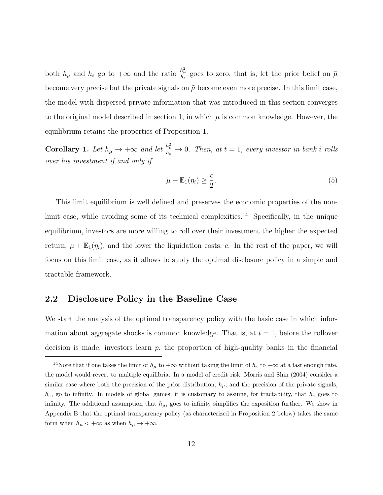both  $h_\mu$  and  $h_\varepsilon$  go to  $+\infty$  and the ratio  $\frac{h_\mu^2}{h_\varepsilon}$  goes to zero, that is, let the prior belief on  $\tilde{\mu}$ become very precise but the private signals on  $\tilde{\mu}$  become even more precise. In this limit case, the model with dispersed private information that was introduced in this section converges to the original model described in section 1, in which  $\mu$  is common knowledge. However, the equilibrium retains the properties of Proposition 1.

**Corollary 1.** Let  $h_{\mu} \to +\infty$  and let  $\frac{h_{\mu}^2}{h_{\varepsilon}} \to 0$ . Then, at  $t = 1$ , every investor in bank i rolls over his investment if and only if

$$
\mu + \mathbb{E}_1(\eta_i) \ge \frac{c}{2}.\tag{5}
$$

This limit equilibrium is well defined and preserves the economic properties of the nonlimit case, while avoiding some of its technical complexities.<sup>14</sup> Specifically, in the unique equilibrium, investors are more willing to roll over their investment the higher the expected return,  $\mu + \mathbb{E}_1(\eta_i)$ , and the lower the liquidation costs, c. In the rest of the paper, we will focus on this limit case, as it allows to study the optimal disclosure policy in a simple and tractable framework.

#### 2.2 Disclosure Policy in the Baseline Case

We start the analysis of the optimal transparency policy with the basic case in which information about aggregate shocks is common knowledge. That is, at  $t = 1$ , before the rollover decision is made, investors learn  $p$ , the proportion of high-quality banks in the financial

<sup>&</sup>lt;sup>14</sup>Note that if one takes the limit of  $h_\mu$  to  $+\infty$  without taking the limit of  $h_\varepsilon$  to  $+\infty$  at a fast enough rate, the model would revert to multiple equilibria. In a model of credit risk, Morris and Shin (2004) consider a similar case where both the precision of the prior distribution,  $h_{\mu}$ , and the precision of the private signals,  $h_{\varepsilon}$ , go to infinity. In models of global games, it is customary to assume, for tractability, that  $h_{\varepsilon}$  goes to infinity. The additional assumption that  $h_{\mu}$ , goes to infinity simplifies the exposition further. We show in Appendix B that the optimal transparency policy (as characterized in Proposition 2 below) takes the same form when  $h_{\mu} < +\infty$  as when  $h_{\mu} \to +\infty$ .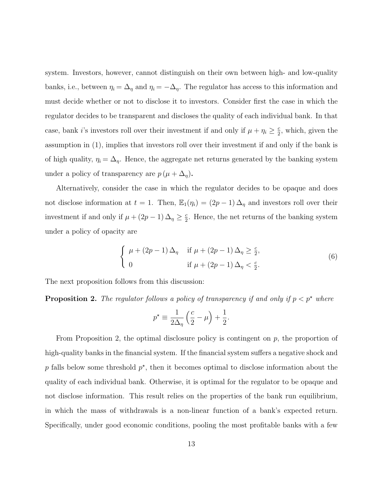system. Investors, however, cannot distinguish on their own between high- and low-quality banks, i.e., between  $\eta_i = \Delta_{\eta}$  and  $\eta_i = -\Delta_{\eta}$ . The regulator has access to this information and must decide whether or not to disclose it to investors. Consider first the case in which the regulator decides to be transparent and discloses the quality of each individual bank. In that case, bank *i*'s investors roll over their investment if and only if  $\mu + \eta_i \geq \frac{c}{2}$  $\frac{c}{2}$ , which, given the assumption in (1), implies that investors roll over their investment if and only if the bank is of high quality,  $\eta_i = \Delta_{\eta}$ . Hence, the aggregate net returns generated by the banking system under a policy of transparency are  $p(\mu + \Delta_{\eta}).$ 

Alternatively, consider the case in which the regulator decides to be opaque and does not disclose information at  $t = 1$ . Then,  $\mathbb{E}_1(\eta_i) = (2p - 1) \Delta_{\eta}$  and investors roll over their investment if and only if  $\mu + (2p - 1) \Delta_{\eta} \geq \frac{c}{2}$  $\frac{c}{2}$ . Hence, the net returns of the banking system under a policy of opacity are

$$
\begin{cases}\n\mu + (2p - 1) \Delta_{\eta} & \text{if } \mu + (2p - 1) \Delta_{\eta} \ge \frac{c}{2}, \\
0 & \text{if } \mu + (2p - 1) \Delta_{\eta} < \frac{c}{2}.\n\end{cases}
$$
\n(6)

The next proposition follows from this discussion:

**Proposition 2.** The regulator follows a policy of transparency if and only if  $p < p^*$  where

$$
p^* \equiv \frac{1}{2\Delta_\eta} \left(\frac{c}{2} - \mu\right) + \frac{1}{2}.
$$

From Proposition 2, the optimal disclosure policy is contingent on  $p$ , the proportion of high-quality banks in the financial system. If the financial system suffers a negative shock and  $p$  falls below some threshold  $p^*$ , then it becomes optimal to disclose information about the quality of each individual bank. Otherwise, it is optimal for the regulator to be opaque and not disclose information. This result relies on the properties of the bank run equilibrium, in which the mass of withdrawals is a non-linear function of a bank's expected return. Specifically, under good economic conditions, pooling the most profitable banks with a few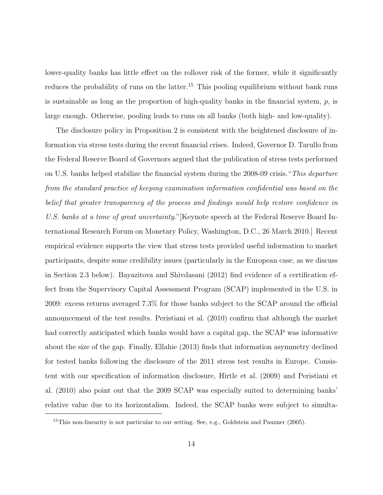lower-quality banks has little effect on the rollover risk of the former, while it significantly reduces the probability of runs on the latter.<sup>15</sup> This pooling equilibrium without bank runs is sustainable as long as the proportion of high-quality banks in the financial system,  $p$ , is large enough. Otherwise, pooling leads to runs on all banks (both high- and low-quality).

The disclosure policy in Proposition 2 is consistent with the heightened disclosure of information via stress tests during the recent financial crises. Indeed, Governor D. Tarullo from the Federal Reserve Board of Governors argued that the publication of stress tests performed on U.S. banks helped stabilize the financial system during the 2008-09 crisis."This departure from the standard practice of keeping examination information confidential was based on the belief that greater transparency of the process and findings would help restore confidence in U.S. banks at a time of great uncertainty." [Keynote speech at the Federal Reserve Board International Research Forum on Monetary Policy, Washington, D.C., 26 March 2010.] Recent empirical evidence supports the view that stress tests provided useful information to market participants, despite some credibility issues (particularly in the European case, as we discuss in Section 2.3 below). Bayazitova and Shivdasani (2012) find evidence of a certification effect from the Supervisory Capital Assessment Program (SCAP) implemented in the U.S. in 2009: excess returns averaged 7.3% for those banks subject to the SCAP around the official announcement of the test results. Peristiani et al. (2010) confirm that although the market had correctly anticipated which banks would have a capital gap, the SCAP was informative about the size of the gap. Finally, Ellahie (2013) finds that information asymmetry declined for tested banks following the disclosure of the 2011 stress test results in Europe. Consistent with our specification of information disclosure, Hirtle et al. (2009) and Peristiani et al. (2010) also point out that the 2009 SCAP was especially suited to determining banks' relative value due to its horizontalism. Indeed, the SCAP banks were subject to simulta-

<sup>&</sup>lt;sup>15</sup>This non-linearity is not particular to our setting. See, e.g., Goldstein and Pauzner (2005).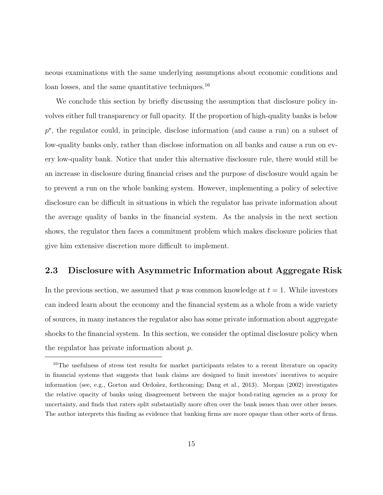neous examinations with the same underlying assumptions about economic conditions and loan losses, and the same quantitative techniques.<sup>16</sup>

We conclude this section by briefly discussing the assumption that disclosure policy involves either full transparency or full opacity. If the proportion of high-quality banks is below  $p^*$ , the regulator could, in principle, disclose information (and cause a run) on a subset of low-quality banks only, rather than disclose information on all banks and cause a run on every low-quality bank. Notice that under this alternative disclosure rule, there would still be an increase in disclosure during financial crises and the purpose of disclosure would again be to prevent a run on the whole banking system. However, implementing a policy of selective disclosure can be difficult in situations in which the regulator has private information about the average quality of banks in the financial system. As the analysis in the next section shows, the regulator then faces a commitment problem which makes disclosure policies that give him extensive discretion more difficult to implement.

### 2.3 Disclosure with Asymmetric Information about Aggregate Risk

In the previous section, we assumed that p was common knowledge at  $t = 1$ . While investors can indeed learn about the economy and the financial system as a whole from a wide variety of sources, in many instances the regulator also has some private information about aggregate shocks to the financial system. In this section, we consider the optimal disclosure policy when the regulator has private information about p.

<sup>&</sup>lt;sup>16</sup>The usefulness of stress test results for market participants relates to a recent literature on opacity in financial systems that suggests that bank claims are designed to limit investors' incentives to acquire information (see, e.g., Gorton and Ordoñez, forthcoming; Dang et al., 2013). Morgan (2002) investigates the relative opacity of banks using disagreement between the major bond-rating agencies as a proxy for uncertainty, and finds that raters split substantially more often over the bank issues than over other issues. The author interprets this finding as evidence that banking firms are more opaque than other sorts of firms.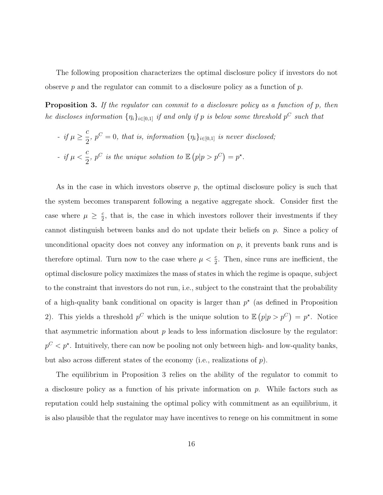The following proposition characterizes the optimal disclosure policy if investors do not observe p and the regulator can commit to a disclosure policy as a function of p.

Proposition 3. If the regulator can commit to a disclosure policy as a function of p, then he discloses information  $\{\eta_i\}_{i\in[0,1]}$  if and only if p is below some threshold  $p^C$  such that

\n- \n
$$
if \mu \geq \frac{c}{2}, \, p^C = 0,
$$
\n that is, information \n  $\{\eta_i\}_{i \in [0,1]}$ \n is never disclosed;\n
\n- \n $if \mu < \frac{c}{2}, \, p^C \text{ is the unique solution to } \mathbb{E}\left(p|p > p^C\right) = p^\star.$ \n
\n

As in the case in which investors observe  $p$ , the optimal disclosure policy is such that the system becomes transparent following a negative aggregate shock. Consider first the case where  $\mu \geq \frac{c}{2}$  $\frac{c}{2}$ , that is, the case in which investors rollover their investments if they cannot distinguish between banks and do not update their beliefs on  $p$ . Since a policy of unconditional opacity does not convey any information on  $p$ , it prevents bank runs and is therefore optimal. Turn now to the case where  $\mu < \frac{c}{2}$ . Then, since runs are inefficient, the optimal disclosure policy maximizes the mass of states in which the regime is opaque, subject to the constraint that investors do not run, i.e., subject to the constraint that the probability of a high-quality bank conditional on opacity is larger than  $p^*$  (as defined in Proposition 2). This yields a threshold  $p^C$  which is the unique solution to  $\mathbb{E}(p|p>p^C)=p^*$ . Notice that asymmetric information about  $p$  leads to less information disclosure by the regulator:  $p^C < p^*$ . Intuitively, there can now be pooling not only between high- and low-quality banks, but also across different states of the economy (i.e., realizations of p).

The equilibrium in Proposition 3 relies on the ability of the regulator to commit to a disclosure policy as a function of his private information on  $p$ . While factors such as reputation could help sustaining the optimal policy with commitment as an equilibrium, it is also plausible that the regulator may have incentives to renege on his commitment in some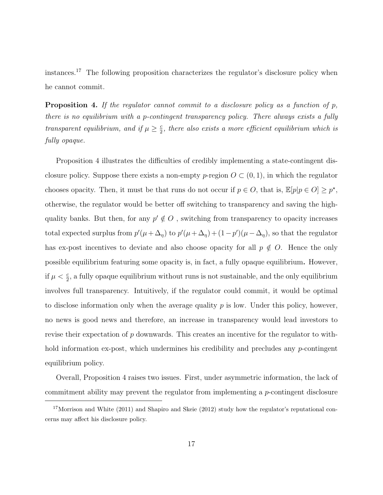instances.<sup>17</sup> The following proposition characterizes the regulator's disclosure policy when he cannot commit.

**Proposition 4.** If the regulator cannot commit to a disclosure policy as a function of  $p$ , there is no equilibrium with a p-contingent transparency policy. There always exists a fully transparent equilibrium, and if  $\mu \geq \frac{c}{2}$  $\frac{c}{2}$ , there also exists a more efficient equilibrium which is fully opaque.

Proposition 4 illustrates the difficulties of credibly implementing a state-contingent disclosure policy. Suppose there exists a non-empty p-region  $O \subset (0,1)$ , in which the regulator chooses opacity. Then, it must be that runs do not occur if  $p \in O$ , that is,  $\mathbb{E}[p|p \in O] \geq p^*$ , otherwise, the regulator would be better off switching to transparency and saving the highquality banks. But then, for any  $p' \notin O$ , switching from transparency to opacity increases total expected surplus from  $p'(\mu + \Delta_{\eta})$  to  $p'(\mu + \Delta_{\eta}) + (1-p')(\mu - \Delta_{\eta})$ , so that the regulator has ex-post incentives to deviate and also choose opacity for all  $p \notin O$ . Hence the only possible equilibrium featuring some opacity is, in fact, a fully opaque equilibrium. However, if  $\mu < \frac{c}{2}$ , a fully opaque equilibrium without runs is not sustainable, and the only equilibrium involves full transparency. Intuitively, if the regulator could commit, it would be optimal to disclose information only when the average quality  $p$  is low. Under this policy, however, no news is good news and therefore, an increase in transparency would lead investors to revise their expectation of p downwards. This creates an incentive for the regulator to withhold information ex-post, which undermines his credibility and precludes any  $p$ -contingent equilibrium policy.

Overall, Proposition 4 raises two issues. First, under asymmetric information, the lack of commitment ability may prevent the regulator from implementing a p-contingent disclosure

<sup>&</sup>lt;sup>17</sup>Morrison and White (2011) and Shapiro and Skeie (2012) study how the regulator's reputational concerns may affect his disclosure policy.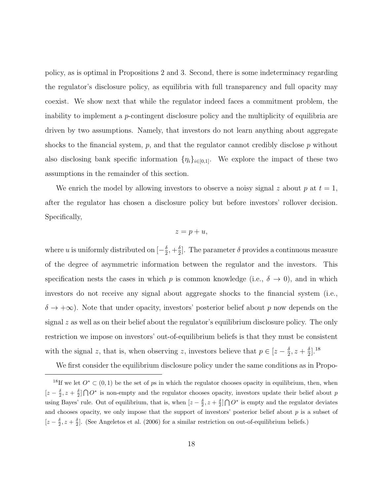policy, as is optimal in Propositions 2 and 3. Second, there is some indeterminacy regarding the regulator's disclosure policy, as equilibria with full transparency and full opacity may coexist. We show next that while the regulator indeed faces a commitment problem, the inability to implement a p-contingent disclosure policy and the multiplicity of equilibria are driven by two assumptions. Namely, that investors do not learn anything about aggregate shocks to the financial system,  $p$ , and that the regulator cannot credibly disclose  $p$  without also disclosing bank specific information  $\{\eta_i\}_{i\in[0,1]}$ . We explore the impact of these two assumptions in the remainder of this section.

We enrich the model by allowing investors to observe a noisy signal z about  $p$  at  $t = 1$ , after the regulator has chosen a disclosure policy but before investors' rollover decision. Specifically,

#### $z = p + u$ ,

where u is uniformly distributed on  $\left[-\frac{\delta}{2}\right]$  $\frac{\delta}{2}, +\frac{\delta}{2}$  $\frac{\delta}{2}$ . The parameter  $\delta$  provides a continuous measure of the degree of asymmetric information between the regulator and the investors. This specification nests the cases in which p is common knowledge (i.e.,  $\delta \to 0$ ), and in which investors do not receive any signal about aggregate shocks to the financial system (i.e.,  $\delta \to +\infty$ ). Note that under opacity, investors' posterior belief about p now depends on the signal  $z$  as well as on their belief about the regulator's equilibrium disclosure policy. The only restriction we impose on investors' out-of-equilibrium beliefs is that they must be consistent with the signal z, that is, when observing z, investors believe that  $p \in [z - \frac{\delta}{2}]$  $\frac{\delta}{2}$ ,  $z+\frac{\delta}{2}$  $\frac{\delta}{2}$ .<sup>18</sup>

We first consider the equilibrium disclosure policy under the same conditions as in Propo-

<sup>&</sup>lt;sup>18</sup>If we let  $O^* \subset (0,1)$  be the set of ps in which the regulator chooses opacity in equilibrium, then, when  $[z-\frac{\delta}{2},z+\frac{\delta}{2}] \bigcap O^*$  is non-empty and the regulator chooses opacity, investors update their belief about p using Bayes' rule. Out of equilibrium, that is, when  $[z - \frac{\delta}{2}, z + \frac{\delta}{2}] \bigcap O^*$  is empty and the regulator deviates and chooses opacity, we only impose that the support of investors' posterior belief about  $p$  is a subset of  $[z-\frac{\delta}{2},z+\frac{\delta}{2}]$ . (See Angeletos et al. (2006) for a similar restriction on out-of-equilibrium beliefs.)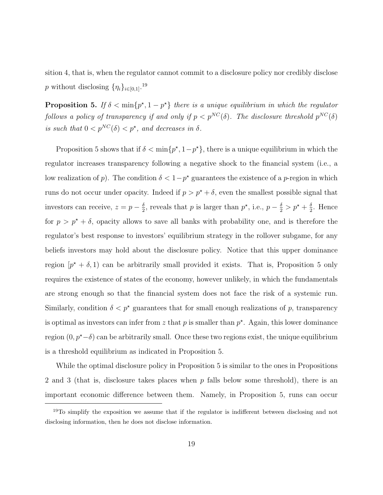sition 4, that is, when the regulator cannot commit to a disclosure policy nor credibly disclose p without disclosing  $\{\eta_i\}_{i\in[0,1]}.$ <sup>19</sup>

**Proposition 5.** If  $\delta < \min\{p^*, 1 - p^*\}$  there is a unique equilibrium in which the regulator follows a policy of transparency if and only if  $p < p^{NC}(\delta)$ . The disclosure threshold  $p^{NC}(\delta)$ is such that  $0 < p^{NC}(\delta) < p^*$ , and decreases in  $\delta$ .

Proposition 5 shows that if  $\delta < \min\{p^*, 1-p^*\}$ , there is a unique equilibrium in which the regulator increases transparency following a negative shock to the financial system (i.e., a low realization of p). The condition  $\delta < 1-p^*$  guarantees the existence of a p-region in which runs do not occur under opacity. Indeed if  $p > p^* + \delta$ , even the smallest possible signal that investors can receive,  $z = p - \frac{\delta}{2}$  $\frac{\delta}{2}$ , reveals that p is larger than  $p^*$ , i.e.,  $p - \frac{\delta}{2} > p^* + \frac{\delta}{2}$  $\frac{\delta}{2}$ . Hence for  $p > p^* + \delta$ , opacity allows to save all banks with probability one, and is therefore the regulator's best response to investors' equilibrium strategy in the rollover subgame, for any beliefs investors may hold about the disclosure policy. Notice that this upper dominance region  $[p^* + \delta, 1]$  can be arbitrarily small provided it exists. That is, Proposition 5 only requires the existence of states of the economy, however unlikely, in which the fundamentals are strong enough so that the financial system does not face the risk of a systemic run. Similarly, condition  $\delta < p^*$  guarantees that for small enough realizations of p, transparency is optimal as investors can infer from z that p is smaller than  $p^*$ . Again, this lower dominance region  $(0, p^{\star} - \delta)$  can be arbitrarily small. Once these two regions exist, the unique equilibrium is a threshold equilibrium as indicated in Proposition 5.

While the optimal disclosure policy in Proposition 5 is similar to the ones in Propositions 2 and 3 (that is, disclosure takes places when  $p$  falls below some threshold), there is an important economic difference between them. Namely, in Proposition 5, runs can occur

<sup>&</sup>lt;sup>19</sup>To simplify the exposition we assume that if the regulator is indifferent between disclosing and not disclosing information, then he does not disclose information.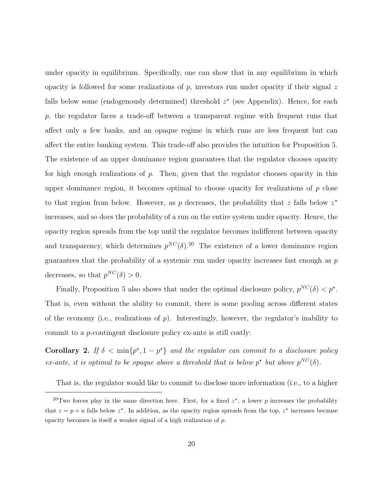under opacity in equilibrium. Specifically, one can show that in any equilibrium in which opacity is followed for some realizations of p, investors run under opacity if their signal z falls below some (endogenously determined) threshold  $z^*$  (see Appendix). Hence, for each  $p$ , the regulator faces a trade-off between a transparent regime with frequent runs that affect only a few banks, and an opaque regime in which runs are less frequent but can affect the entire banking system. This trade-off also provides the intuition for Proposition 5. The existence of an upper dominance region guarantees that the regulator chooses opacity for high enough realizations of  $p$ . Then, given that the regulator chooses opacity in this upper dominance region, it becomes optimal to choose opacity for realizations of  $p$  close to that region from below. However, as p decreases, the probability that z falls below  $z^*$ increases, and so does the probability of a run on the entire system under opacity. Hence, the opacity region spreads from the top until the regulator becomes indifferent between opacity and transparency, which determines  $p^{NC}(\delta)$ <sup>20</sup> The existence of a lower dominance region guarantees that the probability of a systemic run under opacity increases fast enough as p decreases, so that  $p^{NC}(\delta) > 0$ .

Finally, Proposition 5 also shows that under the optimal disclosure policy,  $p^{NC}(\delta) < p^*$ . That is, even without the ability to commit, there is some pooling across different states of the economy (i.e., realizations of  $p$ ). Interestingly, however, the regulator's inability to commit to a p-contingent disclosure policy ex-ante is still costly:

Corollary 2. If  $\delta < \min\{p^*, 1 - p^*\}$  and the regulator can commit to a disclosure policy ex-ante, it is optimal to be opaque above a threshold that is below  $p^*$  but above  $p^{NC}(\delta)$ .

That is, the regulator would like to commit to disclose more information (i.e., to a higher

<sup>&</sup>lt;sup>20</sup>Two forces play in the same direction here. First, for a fixed  $z^*$ , a lower p increases the probability that  $z = p + u$  falls below  $z^*$ . In addition, as the opacity region spreads from the top,  $z^*$  increases because opacity becomes in itself a weaker signal of a high realization of p.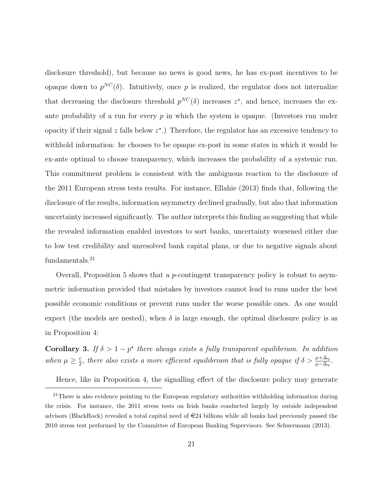disclosure threshold), but because no news is good news, he has ex-post incentives to be opaque down to  $p^{NC}(\delta)$ . Intuitively, once p is realized, the regulator does not internalize that decreasing the disclosure threshold  $p^{NC}(\delta)$  increases  $z^*$ , and hence, increases the exante probability of a run for every  $p$  in which the system is opaque. (Investors run under opacity if their signal  $z$  falls below  $z^*$ .) Therefore, the regulator has an excessive tendency to withhold information: he chooses to be opaque ex-post in some states in which it would be ex-ante optimal to choose transparency, which increases the probability of a systemic run. This commitment problem is consistent with the ambiguous reaction to the disclosure of the 2011 European stress tests results. For instance, Ellahie (2013) finds that, following the disclosure of the results, information asymmetry declined gradually, but also that information uncertainty increased significantly. The author interprets this finding as suggesting that while the revealed information enabled investors to sort banks, uncertainty worsened either due to low test credibility and unresolved bank capital plans, or due to negative signals about fundamentals.<sup>21</sup>

Overall, Proposition 5 shows that a p-contingent transparency policy is robust to asymmetric information provided that mistakes by investors cannot lead to runs under the best possible economic conditions or prevent runs under the worse possible ones. As one would expect (the models are nested), when  $\delta$  is large enough, the optimal disclosure policy is as in Proposition 4:

Corollary 3. If  $\delta > 1 - p^*$  there always exists a fully transparent equilibrium. In addition when  $\mu \geq \frac{c}{2}$  $\frac{c}{2}$ , there also exists a more efficient equilibrium that is fully opaque if  $\delta > \frac{\mu + \Delta_{\eta}}{\mu - \Delta_{\eta}}$ .

Hence, like in Proposition 4, the signalling effect of the disclosure policy may generate

 $21$ There is also evidence pointing to the European regulatory authorities withholding information during the crisis. For instance, the 2011 stress tests on Irish banks conducted largely by outside independent advisors (BlackRock) revealed a total capital need of  $\in 24$  billions while all banks had previously passed the 2010 stress test performed by the Committee of European Banking Supervisors. See Schuermann (2013).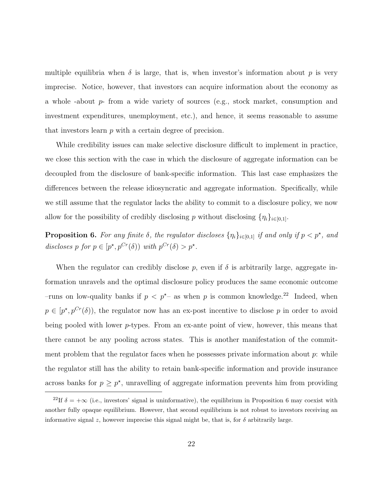multiple equilibria when  $\delta$  is large, that is, when investor's information about p is very imprecise. Notice, however, that investors can acquire information about the economy as a whole -about p- from a wide variety of sources (e.g., stock market, consumption and investment expenditures, unemployment, etc.), and hence, it seems reasonable to assume that investors learn p with a certain degree of precision.

While credibility issues can make selective disclosure difficult to implement in practice, we close this section with the case in which the disclosure of aggregate information can be decoupled from the disclosure of bank-specific information. This last case emphasizes the differences between the release idiosyncratic and aggregate information. Specifically, while we still assume that the regulator lacks the ability to commit to a disclosure policy, we now allow for the possibility of credibly disclosing p without disclosing  $\{\eta_i\}_{i\in[0,1]}$ .

**Proposition 6.** For any finite  $\delta$ , the regulator discloses  $\{\eta_i\}_{i\in[0,1]}$  if and only if  $p < p^*$ , and discloses p for  $p \in [p^*, p^{Cr}(\delta))$  with  $p^{Cr}(\delta) > p^*$ .

When the regulator can credibly disclose  $p$ , even if  $\delta$  is arbitrarily large, aggregate information unravels and the optimal disclosure policy produces the same economic outcome –runs on low-quality banks if  $p < p^*$  as when p is common knowledge.<sup>22</sup> Indeed, when  $p \in [p^*, p^{Cr}(\delta))$ , the regulator now has an ex-post incentive to disclose p in order to avoid being pooled with lower p-types. From an ex-ante point of view, however, this means that there cannot be any pooling across states. This is another manifestation of the commitment problem that the regulator faces when he possesses private information about  $p$ : while the regulator still has the ability to retain bank-specific information and provide insurance across banks for  $p \geq p^*$ , unravelling of aggregate information prevents him from providing

<sup>&</sup>lt;sup>22</sup>If  $\delta = +\infty$  (i.e., investors' signal is uninformative), the equilibrium in Proposition 6 may coexist with another fully opaque equilibrium. However, that second equilibrium is not robust to investors receiving an informative signal z, however imprecise this signal might be, that is, for  $\delta$  arbitrarily large.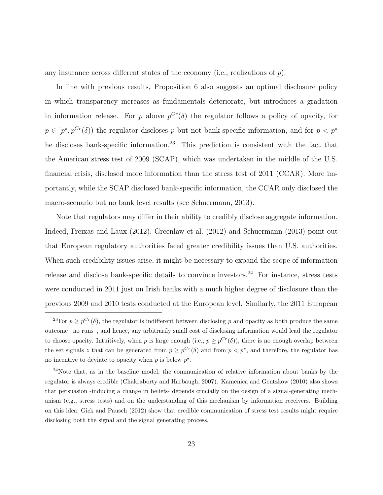any insurance across different states of the economy (i.e., realizations of  $p$ ).

In line with previous results, Proposition 6 also suggests an optimal disclosure policy in which transparency increases as fundamentals deteriorate, but introduces a gradation in information release. For p above  $p^{Cr}(\delta)$  the regulator follows a policy of opacity, for  $p \in [p^*, p^{Cr}(\delta))$  the regulator discloses p but not bank-specific information, and for  $p < p^*$ he discloses bank-specific information.<sup>23</sup> This prediction is consistent with the fact that the American stress test of 2009 (SCAP), which was undertaken in the middle of the U.S. financial crisis, disclosed more information than the stress test of 2011 (CCAR). More importantly, while the SCAP disclosed bank-specific information, the CCAR only disclosed the macro-scenario but no bank level results (see Schuermann, 2013).

Note that regulators may differ in their ability to credibly disclose aggregate information. Indeed, Freixas and Laux (2012), Greenlaw et al. (2012) and Schuermann (2013) point out that European regulatory authorities faced greater credibility issues than U.S. authorities. When such credibility issues arise, it might be necessary to expand the scope of information release and disclose bank-specific details to convince investors.<sup>24</sup> For instance, stress tests were conducted in 2011 just on Irish banks with a much higher degree of disclosure than the previous 2009 and 2010 tests conducted at the European level. Similarly, the 2011 European

<sup>&</sup>lt;sup>23</sup>For  $p \geq p^{Cr}(\delta)$ , the regulator is indifferent between disclosing p and opacity as both produce the same outcome –no runs–, and hence, any arbitrarily small cost of disclosing information would lead the regulator to choose opacity. Intuitively, when p is large enough (i.e.,  $p \geq p^{Cr}(\delta)$ ), there is no enough overlap between the set signals z that can be generated from  $p \geq p^{Cr}(\delta)$  and from  $p < p^*$ , and therefore, the regulator has no incentive to deviate to opacity when  $p$  is below  $p^*$ .

<sup>&</sup>lt;sup>24</sup>Note that, as in the baseline model, the communication of relative information about banks by the regulator is always credible (Chakraborty and Harbaugh, 2007). Kamenica and Gentzkow (2010) also shows that persuasion -inducing a change in beliefs- depends crucially on the design of a signal-generating mechanism (e.g., stress tests) and on the understanding of this mechanism by information receivers. Building on this idea, Gick and Pausch (2012) show that credible communication of stress test results might require disclosing both the signal and the signal generating process.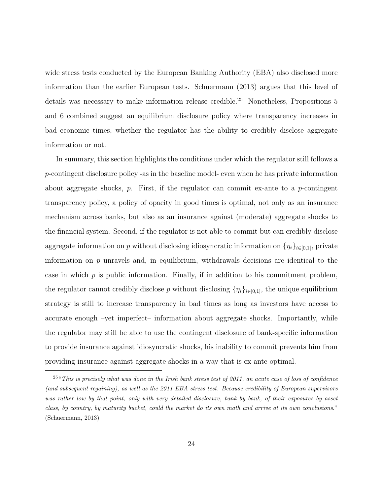wide stress tests conducted by the European Banking Authority (EBA) also disclosed more information than the earlier European tests. Schuermann (2013) argues that this level of details was necessary to make information release credible.<sup>25</sup> Nonetheless, Propositions 5 and 6 combined suggest an equilibrium disclosure policy where transparency increases in bad economic times, whether the regulator has the ability to credibly disclose aggregate information or not.

In summary, this section highlights the conditions under which the regulator still follows a p-contingent disclosure policy -as in the baseline model- even when he has private information about aggregate shocks,  $p$ . First, if the regulator can commit ex-ante to a  $p$ -contingent transparency policy, a policy of opacity in good times is optimal, not only as an insurance mechanism across banks, but also as an insurance against (moderate) aggregate shocks to the financial system. Second, if the regulator is not able to commit but can credibly disclose aggregate information on p without disclosing idiosyncratic information on  $\{\eta_i\}_{i\in[0,1]}$ , private information on  $p$  unravels and, in equilibrium, withdrawals decisions are identical to the case in which  $p$  is public information. Finally, if in addition to his commitment problem, the regulator cannot credibly disclose p without disclosing  $\{\eta_i\}_{i\in[0,1]}$ , the unique equilibrium strategy is still to increase transparency in bad times as long as investors have access to accurate enough –yet imperfect– information about aggregate shocks. Importantly, while the regulator may still be able to use the contingent disclosure of bank-specific information to provide insurance against idiosyncratic shocks, his inability to commit prevents him from providing insurance against aggregate shocks in a way that is ex-ante optimal.

 $^{25}$ "This is precisely what was done in the Irish bank stress test of 2011, an acute case of loss of confidence (and subsequent regaining), as well as the 2011 EBA stress test. Because credibility of European supervisors was rather low by that point, only with very detailed disclosure, bank by bank, of their exposures by asset class, by country, by maturity bucket, could the market do its own math and arrive at its own conclusions." (Schuermann, 2013)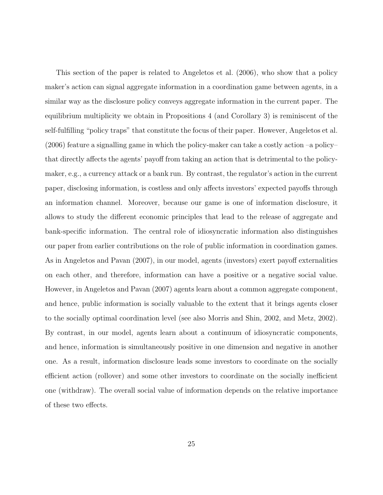This section of the paper is related to Angeletos et al. (2006), who show that a policy maker's action can signal aggregate information in a coordination game between agents, in a similar way as the disclosure policy conveys aggregate information in the current paper. The equilibrium multiplicity we obtain in Propositions 4 (and Corollary 3) is reminiscent of the self-fulfilling "policy traps" that constitute the focus of their paper. However, Angeletos et al.  $(2006)$  feature a signalling game in which the policy-maker can take a costly action –a policy– that directly affects the agents' payoff from taking an action that is detrimental to the policymaker, e.g., a currency attack or a bank run. By contrast, the regulator's action in the current paper, disclosing information, is costless and only affects investors' expected payoffs through an information channel. Moreover, because our game is one of information disclosure, it allows to study the different economic principles that lead to the release of aggregate and bank-specific information. The central role of idiosyncratic information also distinguishes our paper from earlier contributions on the role of public information in coordination games. As in Angeletos and Pavan (2007), in our model, agents (investors) exert payoff externalities on each other, and therefore, information can have a positive or a negative social value. However, in Angeletos and Pavan (2007) agents learn about a common aggregate component, and hence, public information is socially valuable to the extent that it brings agents closer to the socially optimal coordination level (see also Morris and Shin, 2002, and Metz, 2002). By contrast, in our model, agents learn about a continuum of idiosyncratic components, and hence, information is simultaneously positive in one dimension and negative in another one. As a result, information disclosure leads some investors to coordinate on the socially efficient action (rollover) and some other investors to coordinate on the socially inefficient one (withdraw). The overall social value of information depends on the relative importance of these two effects.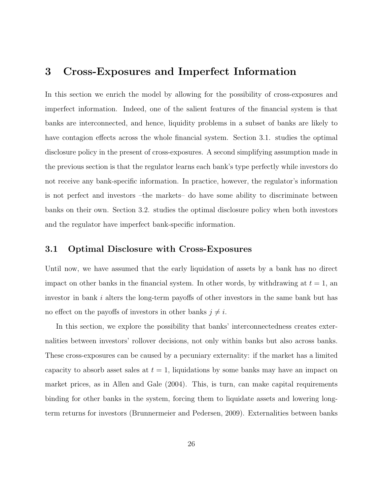## 3 Cross-Exposures and Imperfect Information

In this section we enrich the model by allowing for the possibility of cross-exposures and imperfect information. Indeed, one of the salient features of the financial system is that banks are interconnected, and hence, liquidity problems in a subset of banks are likely to have contagion effects across the whole financial system. Section 3.1. studies the optimal disclosure policy in the present of cross-exposures. A second simplifying assumption made in the previous section is that the regulator learns each bank's type perfectly while investors do not receive any bank-specific information. In practice, however, the regulator's information is not perfect and investors –the markets– do have some ability to discriminate between banks on their own. Section 3.2. studies the optimal disclosure policy when both investors and the regulator have imperfect bank-specific information.

### 3.1 Optimal Disclosure with Cross-Exposures

Until now, we have assumed that the early liquidation of assets by a bank has no direct impact on other banks in the financial system. In other words, by withdrawing at  $t = 1$ , and investor in bank  $i$  alters the long-term payoffs of other investors in the same bank but has no effect on the payoffs of investors in other banks  $j \neq i$ .

In this section, we explore the possibility that banks' interconnectedness creates externalities between investors' rollover decisions, not only within banks but also across banks. These cross-exposures can be caused by a pecuniary externality: if the market has a limited capacity to absorb asset sales at  $t = 1$ , liquidations by some banks may have an impact on market prices, as in Allen and Gale (2004). This, is turn, can make capital requirements binding for other banks in the system, forcing them to liquidate assets and lowering longterm returns for investors (Brunnermeier and Pedersen, 2009). Externalities between banks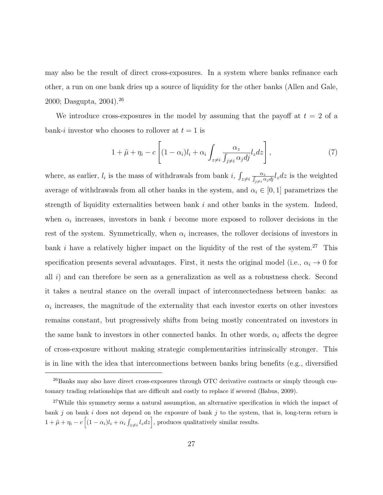may also be the result of direct cross-exposures. In a system where banks refinance each other, a run on one bank dries up a source of liquidity for the other banks (Allen and Gale, 2000; Dasgupta, 2004).<sup>26</sup>

We introduce cross-exposures in the model by assuming that the payoff at  $t = 2$  of a bank-i investor who chooses to rollover at  $t = 1$  is

$$
1 + \tilde{\mu} + \eta_i - c \left[ (1 - \alpha_i) l_i + \alpha_i \int_{z \neq i} \frac{\alpha_z}{\int_{j \neq i} \alpha_j d_j} l_z dz \right],
$$
\n(7)

where, as earlier,  $l_i$  is the mass of withdrawals from bank i,  $\int_{z\neq i} \frac{\alpha_z}{\int_{j\neq i} \alpha_j dj} l_z dz$  is the weighted average of withdrawals from all other banks in the system, and  $\alpha_i \in [0, 1]$  parametrizes the strength of liquidity externalities between bank  $i$  and other banks in the system. Indeed, when  $\alpha_i$  increases, investors in bank i become more exposed to rollover decisions in the rest of the system. Symmetrically, when  $\alpha_i$  increases, the rollover decisions of investors in bank i have a relatively higher impact on the liquidity of the rest of the system.<sup>27</sup> This specification presents several advantages. First, it nests the original model (i.e.,  $\alpha_i \to 0$  for all i) and can therefore be seen as a generalization as well as a robustness check. Second it takes a neutral stance on the overall impact of interconnectedness between banks: as  $\alpha_i$  increases, the magnitude of the externality that each investor exerts on other investors remains constant, but progressively shifts from being mostly concentrated on investors in the same bank to investors in other connected banks. In other words,  $\alpha_i$  affects the degree of cross-exposure without making strategic complementarities intrinsically stronger. This is in line with the idea that interconnections between banks bring benefits (e.g., diversified

<sup>&</sup>lt;sup>26</sup>Banks may also have direct cross-exposures through OTC derivative contracts or simply through customary trading relationships that are difficult and costly to replace if severed (Babus, 2009).

<sup>&</sup>lt;sup>27</sup>While this symmetry seems a natural assumption, an alternative specification in which the impact of bank  $j$  on bank  $i$  does not depend on the exposure of bank  $j$  to the system, that is, long-term return is  $1 + \tilde{\mu} + \eta_i - c \left[ (1 - \alpha_i) l_i + \alpha_i \int_{z \neq i} l_z dz \right]$ , produces qualitatively similar results.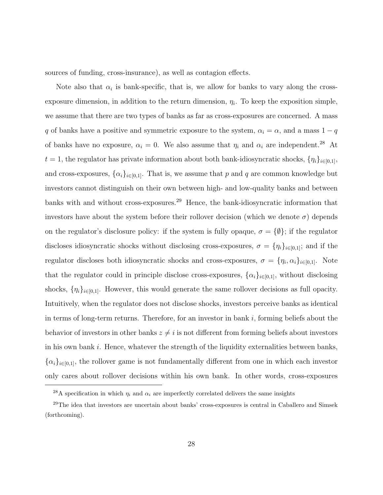sources of funding, cross-insurance), as well as contagion effects.

Note also that  $\alpha_i$  is bank-specific, that is, we allow for banks to vary along the crossexposure dimension, in addition to the return dimension,  $\eta_i$ . To keep the exposition simple, we assume that there are two types of banks as far as cross-exposures are concerned. A mass q of banks have a positive and symmetric exposure to the system,  $\alpha_i = \alpha$ , and a mass  $1 - q$ of banks have no exposure,  $\alpha_i = 0$ . We also assume that  $\eta_i$  and  $\alpha_i$  are independent.<sup>28</sup> At  $t = 1$ , the regulator has private information about both bank-idiosyncratic shocks,  $\{\eta_i\}_{i \in [0,1]},$ and cross-exposures,  $\{\alpha_i\}_{i\in[0,1]}$ . That is, we assume that p and q are common knowledge but investors cannot distinguish on their own between high- and low-quality banks and between banks with and without cross-exposures.<sup>29</sup> Hence, the bank-idiosyncratic information that investors have about the system before their rollover decision (which we denote  $\sigma$ ) depends on the regulator's disclosure policy: if the system is fully opaque,  $\sigma = \{\emptyset\}$ ; if the regulator discloses idiosyncratic shocks without disclosing cross-exposures,  $\sigma = {\eta_i}_{i \in [0,1]}$ ; and if the regulator discloses both idiosyncratic shocks and cross-exposures,  $\sigma = \{\eta_i, \alpha_i\}_{i \in [0,1]}$ . Note that the regulator could in principle disclose cross-exposures,  $\{\alpha_i\}_{i\in[0,1]}$ , without disclosing shocks,  $\{\eta_i\}_{i\in[0,1]}$ . However, this would generate the same rollover decisions as full opacity. Intuitively, when the regulator does not disclose shocks, investors perceive banks as identical in terms of long-term returns. Therefore, for an investor in bank  $i$ , forming beliefs about the behavior of investors in other banks  $z \neq i$  is not different from forming beliefs about investors in his own bank i. Hence, whatever the strength of the liquidity externalities between banks,  $\{\alpha_i\}_{i\in[0,1]},$  the rollover game is not fundamentally different from one in which each investor only cares about rollover decisions within his own bank. In other words, cross-exposures

<sup>&</sup>lt;sup>28</sup>A specification in which  $\eta_i$  and  $\alpha_i$  are imperfectly correlated delivers the same insights

<sup>29</sup>The idea that investors are uncertain about banks' cross-exposures is central in Caballero and Simsek (forthcoming).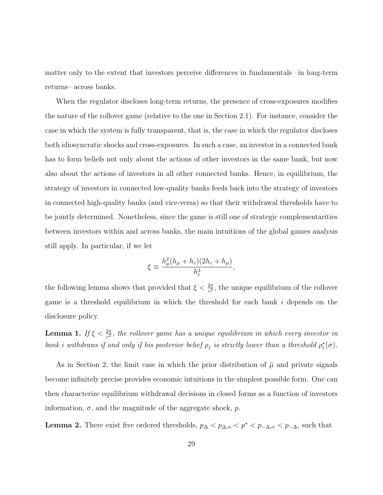matter only to the extent that investors perceive differences in fundamentals –in long-term returns– across banks.

When the regulator discloses long-term returns, the presence of cross-exposures modifies the nature of the rollover game (relative to the one in Section 2.1). For instance, consider the case in which the system is fully transparent, that is, the case in which the regulator discloses both idiosyncratic shocks and cross-exposures. In such a case, an investor in a connected bank has to form beliefs not only about the actions of other investors in the same bank, but now also about the actions of investors in all other connected banks. Hence, in equilibrium, the strategy of investors in connected low-quality banks feeds back into the strategy of investors in connected high-quality banks (and vice-versa) so that their withdrawal thresholds have to be jointly determined. Nonetheless, since the game is still one of strategic complementarities between investors within and across banks, the main intuitions of the global games analysis still apply. In particular, if we let

$$
\xi \equiv \frac{h_{\mu}^2 (h_{\mu} + h_{\varepsilon}) (2h_{\varepsilon} + h_{\mu})}{h_{\varepsilon}^3},
$$

the following lemma shows that provided that  $\xi < \frac{2\pi}{c^2}$ , the unique equilibrium of the rollover game is a threshold equilibrium in which the threshold for each bank i depends on the disclosure policy.

**Lemma 1.** If  $\xi < \frac{2\pi}{c^2}$ , the rollover game has a unique equilibrium in which every investor in bank i withdraws if and only if his posterior belief  $\rho_j$  is strictly lower than a threshold  $\rho_i^*(\sigma)$ .

As in Section 2, the limit case in which the prior distribution of  $\tilde{\mu}$  and private signals become infinitely precise provides economic intuitions in the simplest possible form. One can then characterize equilibrium withdrawal decisions in closed forms as a function of investors information,  $\sigma$ , and the magnitude of the aggregate shock, p.

**Lemma 2.** There exist five ordered thresholds,  $p_{\Delta} < p_{\Delta,\alpha} < p^* < p_{-\Delta,\alpha} < p_{-\Delta}$ , such that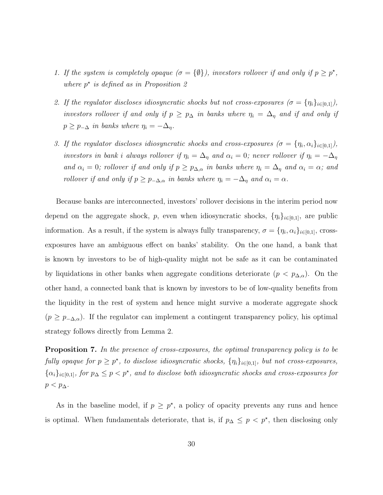- 1. If the system is completely opaque  $(\sigma = {\emptyset})$ , investors rollover if and only if  $p \geq p^*$ , where  $p^*$  is defined as in Proposition 2
- 2. If the regulator discloses idiosyncratic shocks but not cross-exposures  $(\sigma = {\eta_i}_{i\in[0,1]},$ investors rollover if and only if  $p \geq p_{\Delta}$  in banks where  $\eta_i = \Delta_{\eta}$  and if and only if  $p \geq p_{-\Delta}$  in banks where  $\eta_i = -\Delta_{\eta}$ .
- 3. If the regulator discloses idiosyncratic shocks and cross-exposures  $(\sigma = {\eta_i, \alpha_i}_{i \in [0,1]},$ investors in bank i always rollover if  $\eta_i = \Delta_{\eta}$  and  $\alpha_i = 0$ ; never rollover if  $\eta_i = -\Delta_{\eta}$ and  $\alpha_i = 0$ ; rollover if and only if  $p \geq p_{\Delta,\alpha}$  in banks where  $\eta_i = \Delta_\eta$  and  $\alpha_i = \alpha$ ; and rollover if and only if  $p \ge p_{-\Delta,\alpha}$  in banks where  $\eta_i = -\Delta_\eta$  and  $\alpha_i = \alpha$ .

Because banks are interconnected, investors' rollover decisions in the interim period now depend on the aggregate shock, p, even when idiosyncratic shocks,  $\{\eta_i\}_{i\in[0,1]}$ , are public information. As a result, if the system is always fully transparency,  $\sigma = \{\eta_i, \alpha_i\}_{i \in [0,1]},$  crossexposures have an ambiguous effect on banks' stability. On the one hand, a bank that is known by investors to be of high-quality might not be safe as it can be contaminated by liquidations in other banks when aggregate conditions deteriorate  $(p < p_{\Delta,\alpha})$ . On the other hand, a connected bank that is known by investors to be of low-quality benefits from the liquidity in the rest of system and hence might survive a moderate aggregate shock  $(p \geq p_{-\Delta,\alpha})$ . If the regulator can implement a contingent transparency policy, his optimal strategy follows directly from Lemma 2.

**Proposition 7.** In the presence of cross-exposures, the optimal transparency policy is to be fully opaque for  $p \geq p^*$ , to disclose idiosyncratic shocks,  $\{\eta_i\}_{i \in [0,1]}$ , but not cross-exposures,  $\{\alpha_i\}_{i\in[0,1]},$  for  $p_{\Delta} \leq p < p^*$ , and to disclose both idiosyncratic shocks and cross-exposures for  $p < p_{\Delta}$ .

As in the baseline model, if  $p \geq p^*$ , a policy of opacity prevents any runs and hence is optimal. When fundamentals deteriorate, that is, if  $p_{\Delta} \leq p \leq p^*$ , then disclosing only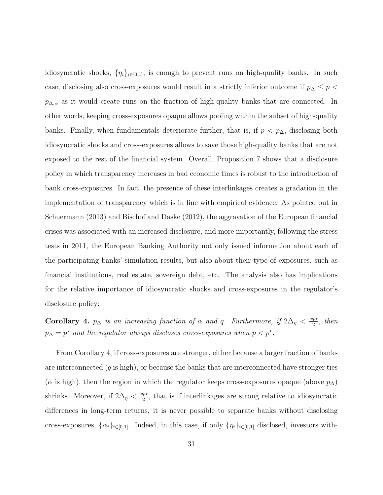idiosyncratic shocks,  $\{\eta_i\}_{i\in[0,1]},$  is enough to prevent runs on high-quality banks. In such case, disclosing also cross-exposures would result in a strictly inferior outcome if  $p_{\Delta} \leq p$  $p_{\Delta,\alpha}$  as it would create runs on the fraction of high-quality banks that are connected. In other words, keeping cross-exposures opaque allows pooling within the subset of high-quality banks. Finally, when fundamentals deteriorate further, that is, if  $p < p_{\Delta}$ , disclosing both idiosyncratic shocks and cross-exposures allows to save those high-quality banks that are not exposed to the rest of the financial system. Overall, Proposition 7 shows that a disclosure policy in which transparency increases in bad economic times is robust to the introduction of bank cross-exposures. In fact, the presence of these interlinkages creates a gradation in the implementation of transparency which is in line with empirical evidence. As pointed out in Schuermann (2013) and Bischof and Daske (2012), the aggravation of the European financial crises was associated with an increased disclosure, and more importantly, following the stress tests in 2011, the European Banking Authority not only issued information about each of the participating banks' simulation results, but also about their type of exposures, such as financial institutions, real estate, sovereign debt, etc. The analysis also has implications for the relative importance of idiosyncratic shocks and cross-exposures in the regulator's disclosure policy:

**Corollary 4.**  $p_{\Delta}$  is an increasing function of  $\alpha$  and q. Furthermore, if  $2\Delta_{\eta} < \frac{cqa}{2}$  $rac{q\alpha}{2}$ , then  $p_{\Delta} = p^*$  and the regulator always discloses cross-exposures when  $p < p^*$ .

From Corollary 4, if cross-exposures are stronger, either because a larger fraction of banks are interconnected  $(q \text{ is high})$ , or because the banks that are interconnected have stronger ties ( $\alpha$  is high), then the region in which the regulator keeps cross-exposures opaque (above  $p_{\Delta}$ ) shrinks. Moreover, if  $2\Delta_{\eta} < \frac{cqa}{2}$  $\frac{q\alpha}{2}$ , that is if interlinkages are strong relative to idiosyncratic differences in long-term returns, it is never possible to separate banks without disclosing cross-exposures,  $\{\alpha_i\}_{i\in[0,1]}$ . Indeed, in this case, if only  $\{\eta_i\}_{i\in[0,1]}$  disclosed, investors with-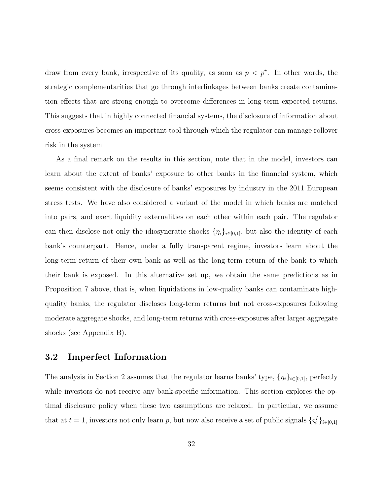draw from every bank, irrespective of its quality, as soon as  $p < p^*$ . In other words, the strategic complementarities that go through interlinkages between banks create contamination effects that are strong enough to overcome differences in long-term expected returns. This suggests that in highly connected financial systems, the disclosure of information about cross-exposures becomes an important tool through which the regulator can manage rollover risk in the system

As a final remark on the results in this section, note that in the model, investors can learn about the extent of banks' exposure to other banks in the financial system, which seems consistent with the disclosure of banks' exposures by industry in the 2011 European stress tests. We have also considered a variant of the model in which banks are matched into pairs, and exert liquidity externalities on each other within each pair. The regulator can then disclose not only the idiosyncratic shocks  $\{\eta_i\}_{i\in[0,1]}$ , but also the identity of each bank's counterpart. Hence, under a fully transparent regime, investors learn about the long-term return of their own bank as well as the long-term return of the bank to which their bank is exposed. In this alternative set up, we obtain the same predictions as in Proposition 7 above, that is, when liquidations in low-quality banks can contaminate highquality banks, the regulator discloses long-term returns but not cross-exposures following moderate aggregate shocks, and long-term returns with cross-exposures after larger aggregate shocks (see Appendix B).

### 3.2 Imperfect Information

The analysis in Section 2 assumes that the regulator learns banks' type,  $\{\eta_i\}_{i\in[0,1]}$ , perfectly while investors do not receive any bank-specific information. This section explores the optimal disclosure policy when these two assumptions are relaxed. In particular, we assume that at  $t = 1$ , investors not only learn p, but now also receive a set of public signals  $\{\zeta_i^I\}_{i \in [0,1]}$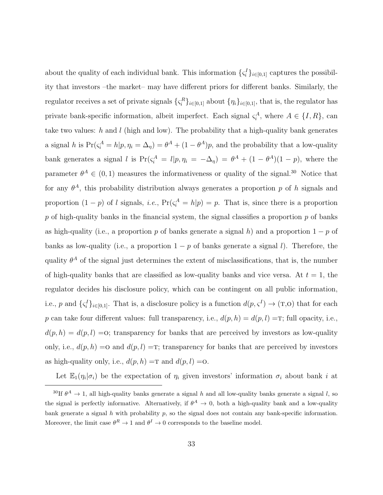about the quality of each individual bank. This information  $\{\zeta_i^I\}_{i\in[0,1]}$  captures the possibility that investors –the market– may have different priors for different banks. Similarly, the regulator receives a set of private signals  $\{\zeta_i^R\}_{i\in[0,1]}$  about  $\{\eta_i\}_{i\in[0,1]}$ , that is, the regulator has private bank-specific information, albeit imperfect. Each signal  $\zeta_i^A$ , where  $A \in \{I, R\}$ , can take two values: h and l (high and low). The probability that a high-quality bank generates a signal h is  $Pr(\zeta_i^A = h | p, \eta_i = \Delta_{\eta}) = \theta^A + (1 - \theta^A)p$ , and the probability that a low-quality bank generates a signal l is  $Pr(\zeta_i^A = l | p, \eta_i = -\Delta_{\eta}) = \theta^A + (1 - \theta^A)(1 - p)$ , where the parameter  $\theta^A \in (0,1)$  measures the informativeness or quality of the signal.<sup>30</sup> Notice that for any  $\theta^A$ , this probability distribution always generates a proportion p of h signals and proportion  $(1-p)$  of l signals, i.e.,  $Pr(\zeta_i^A = h|p) = p$ . That is, since there is a proportion  $p$  of high-quality banks in the financial system, the signal classifies a proportion  $p$  of banks as high-quality (i.e., a proportion p of banks generate a signal h) and a proportion  $1 - p$  of banks as low-quality (i.e., a proportion  $1 - p$  of banks generate a signal l). Therefore, the quality  $\theta^A$  of the signal just determines the extent of misclassifications, that is, the number of high-quality banks that are classified as low-quality banks and vice versa. At  $t = 1$ , the regulator decides his disclosure policy, which can be contingent on all public information, i.e., p and  $\{\zeta_i^I\}_{i\in[0,1]}$ . That is, a disclosure policy is a function  $d(p,\zeta^I)\to(\mathbf{T},0)$  that for each p can take four different values: full transparency, i.e.,  $d(p, h) = d(p, l) =T$ ; full opacity, i.e.,  $d(p, h) = d(p, l) = 0$ ; transparency for banks that are perceived by investors as low-quality only, i.e.,  $d(p, h) = o$  and  $d(p, l) = T$ ; transparency for banks that are perceived by investors as high-quality only, i.e.,  $d(p, h) = \text{T}$  and  $d(p, l) = \text{O}$ .

Let  $\mathbb{E}_1(\eta_i|\sigma_i)$  be the expectation of  $\eta_i$  given investors' information  $\sigma_i$  about bank i at

<sup>&</sup>lt;sup>30</sup>If  $\theta^A \to 1$ , all high-quality banks generate a signal h and all low-quality banks generate a signal l, so the signal is perfectly informative. Alternatively, if  $\theta^A \to 0$ , both a high-quality bank and a low-quality bank generate a signal h with probability  $p$ , so the signal does not contain any bank-specific information. Moreover, the limit case  $\theta^R \to 1$  and  $\theta^I \to 0$  corresponds to the baseline model.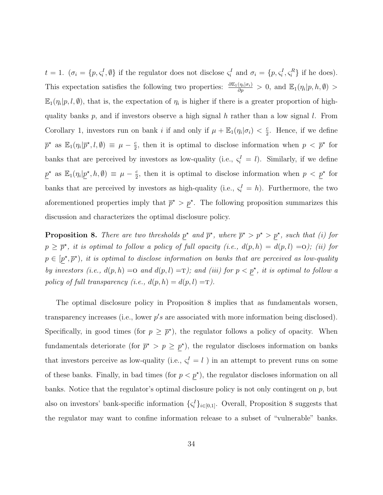$t = 1$ .  $(\sigma_i = \{p, \varsigma_i^I, \emptyset\})$  if the regulator does not disclose  $\varsigma_i^I$  and  $\sigma_i = \{p, \varsigma_i^I, \varsigma_i^R\}$  if he does). This expectation satisfies the following two properties:  $\frac{\partial \mathbb{E}_1(\eta_i|\sigma_i)}{\partial p} > 0$ , and  $\mathbb{E}_1(\eta_i|p, h, \emptyset) >$  $\mathbb{E}_1(\eta_i|p,l,\emptyset)$ , that is, the expectation of  $\eta_i$  is higher if there is a greater proportion of highquality banks  $p$ , and if investors observe a high signal  $h$  rather than a low signal  $l$ . From Corollary 1, investors run on bank i if and only if  $\mu + \mathbb{E}_1(\eta_i|\sigma_i) < \frac{c}{2}$  $\frac{c}{2}$ . Hence, if we define  $\overline{p}^{\star}$  as  $\mathbb{E}_{1}(\eta_{i}|\overline{p}^{\star},l,\emptyset) \equiv \mu - \frac{c}{2}$  $\frac{c}{2}$ , then it is optimal to disclose information when  $p < \overline{p}^{\star}$  for banks that are perceived by investors as low-quality (i.e.,  $\zeta_i^I = l$ ). Similarly, if we define  $p^*$  as  $\mathbb{E}_1(\eta_i|p^*,h,\emptyset) \equiv \mu - \frac{c}{2}$  $\frac{c}{2}$ , then it is optimal to disclose information when  $p < p^*$  for banks that are perceived by investors as high-quality (i.e.,  $\zeta_i^I = h$ ). Furthermore, the two aforementioned properties imply that  $\bar{p}^* > p^*$ . The following proposition summarizes this discussion and characterizes the optimal disclosure policy.

**Proposition 8.** There are two thresholds  $p^*$  and  $\overline{p}^*$ , where  $\overline{p}^* > p^* > p^*$ , such that (i) for  $p \geq \overline{p}^*$ , it is optimal to follow a policy of full opacity (i.e.,  $d(p, h) = d(p, l) = 0$ ); (ii) for  $p \in [p^*, \overline{p}^*)$ , it is optimal to disclose information on banks that are perceived as low-quality by investors (i.e.,  $d(p, h) = 0$  and  $d(p, l) = T$ ); and (iii) for  $p < p^*$ , it is optimal to follow a policy of full transparency (i.e.,  $d(p, h) = d(p, l) = T$ ).

The optimal disclosure policy in Proposition 8 implies that as fundamentals worsen, transparency increases (i.e., lower  $p's$  are associated with more information being disclosed). Specifically, in good times (for  $p \geq \bar{p}^*$ ), the regulator follows a policy of opacity. When fundamentals deteriorate (for  $\bar{p}^* > p \geq p^*$ ), the regulator discloses information on banks that investors perceive as low-quality (i.e.,  $\zeta_i^I = l$ ) in an attempt to prevent runs on some of these banks. Finally, in bad times (for  $p < p^*$ ), the regulator discloses information on all banks. Notice that the regulator's optimal disclosure policy is not only contingent on  $p$ , but also on investors' bank-specific information  $\{\zeta_i^I\}_{i\in[0,1]}$ . Overall, Proposition 8 suggests that the regulator may want to confine information release to a subset of "vulnerable" banks.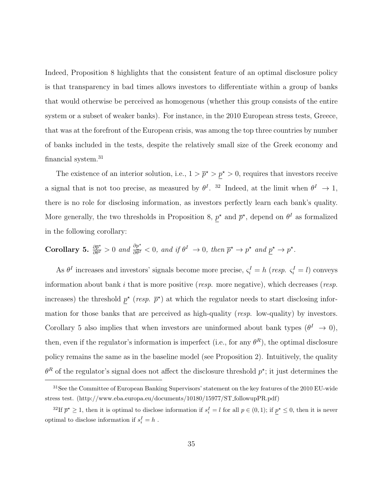Indeed, Proposition 8 highlights that the consistent feature of an optimal disclosure policy is that transparency in bad times allows investors to differentiate within a group of banks that would otherwise be perceived as homogenous (whether this group consists of the entire system or a subset of weaker banks). For instance, in the 2010 European stress tests, Greece, that was at the forefront of the European crisis, was among the top three countries by number of banks included in the tests, despite the relatively small size of the Greek economy and financial system.<sup>31</sup>

The existence of an interior solution, i.e.,  $1 > \bar{p}^{\star} > p^{\star} > 0$ , requires that investors receive a signal that is not too precise, as measured by  $\theta^I$ . <sup>32</sup> Indeed, at the limit when  $\theta^I \to 1$ , there is no role for disclosing information, as investors perfectly learn each bank's quality. More generally, the two thresholds in Proposition 8,  $p^*$  and  $\bar{p}^*$ , depend on  $\theta^I$  as formalized in the following corollary:

Corollary 5.  $\frac{\partial \bar{p}^*}{\partial \theta^I} > 0$  and  $\frac{\partial p^*}{\partial \theta^I} < 0$ , and if  $\theta^I \to 0$ , then  $\bar{p}^* \to p^*$  and  $\underline{p}^* \to p^*$ .

As  $\theta^I$  increases and investors' signals become more precise,  $\zeta_i^I = h$  (resp.  $\zeta_i^I = l$ ) conveys information about bank  $i$  that is more positive (*resp.* more negative), which decreases (*resp.* increases) the threshold  $p^*$  (resp.  $\bar{p}^*$ ) at which the regulator needs to start disclosing information for those banks that are perceived as high-quality (*resp.* low-quality) by investors. Corollary 5 also implies that when investors are uninformed about bank types  $(\theta^I \to 0)$ , then, even if the regulator's information is imperfect (i.e., for any  $\theta^R$ ), the optimal disclosure policy remains the same as in the baseline model (see Proposition 2). Intuitively, the quality  $\theta^R$  of the regulator's signal does not affect the disclosure threshold  $p^*$ ; it just determines the

<sup>&</sup>lt;sup>31</sup>See the Committee of European Banking Supervisors' statement on the key features of the 2010 EU-wide stress test. (http://www.eba.europa.eu/documents/10180/15977/ST followupPR.pdf)

<sup>&</sup>lt;sup>32</sup>If  $\bar{p}^* \geq 1$ , then it is optimal to disclose information if  $s_i^I = l$  for all  $p \in (0,1)$ ; if  $\underline{p}^* \leq 0$ , then it is never optimal to disclose information if  $s_i^I = h$ .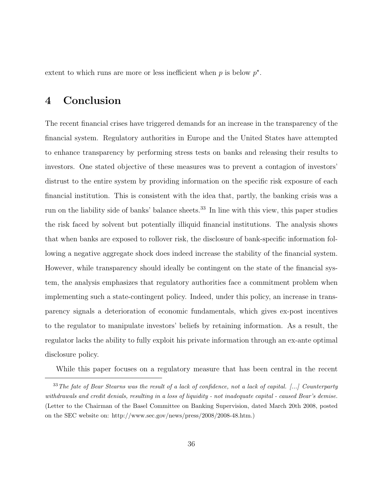extent to which runs are more or less inefficient when  $p$  is below  $p^*$ .

# 4 Conclusion

The recent financial crises have triggered demands for an increase in the transparency of the financial system. Regulatory authorities in Europe and the United States have attempted to enhance transparency by performing stress tests on banks and releasing their results to investors. One stated objective of these measures was to prevent a contagion of investors' distrust to the entire system by providing information on the specific risk exposure of each financial institution. This is consistent with the idea that, partly, the banking crisis was a run on the liability side of banks' balance sheets.<sup>33</sup> In line with this view, this paper studies the risk faced by solvent but potentially illiquid financial institutions. The analysis shows that when banks are exposed to rollover risk, the disclosure of bank-specific information following a negative aggregate shock does indeed increase the stability of the financial system. However, while transparency should ideally be contingent on the state of the financial system, the analysis emphasizes that regulatory authorities face a commitment problem when implementing such a state-contingent policy. Indeed, under this policy, an increase in transparency signals a deterioration of economic fundamentals, which gives ex-post incentives to the regulator to manipulate investors' beliefs by retaining information. As a result, the regulator lacks the ability to fully exploit his private information through an ex-ante optimal disclosure policy.

While this paper focuses on a regulatory measure that has been central in the recent

<sup>&</sup>lt;sup>33</sup>The fate of Bear Stearns was the result of a lack of confidence, not a lack of capital. [...] Counterparty withdrawals and credit denials, resulting in a loss of liquidity - not inadequate capital - caused Bear's demise. (Letter to the Chairman of the Basel Committee on Banking Supervision, dated March 20th 2008, posted on the SEC website on: http://www.sec.gov/news/press/2008/2008-48.htm.)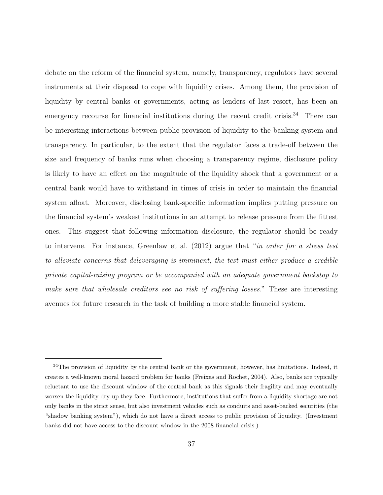debate on the reform of the financial system, namely, transparency, regulators have several instruments at their disposal to cope with liquidity crises. Among them, the provision of liquidity by central banks or governments, acting as lenders of last resort, has been an emergency recourse for financial institutions during the recent credit crisis.<sup>34</sup> There can be interesting interactions between public provision of liquidity to the banking system and transparency. In particular, to the extent that the regulator faces a trade-off between the size and frequency of banks runs when choosing a transparency regime, disclosure policy is likely to have an effect on the magnitude of the liquidity shock that a government or a central bank would have to withstand in times of crisis in order to maintain the financial system afloat. Moreover, disclosing bank-specific information implies putting pressure on the financial system's weakest institutions in an attempt to release pressure from the fittest ones. This suggest that following information disclosure, the regulator should be ready to intervene. For instance, Greenlaw et al. (2012) argue that "in order for a stress test to alleviate concerns that deleveraging is imminent, the test must either produce a credible private capital-raising program or be accompanied with an adequate government backstop to make sure that wholesale creditors see no risk of suffering losses." These are interesting avenues for future research in the task of building a more stable financial system.

<sup>&</sup>lt;sup>34</sup>The provision of liquidity by the central bank or the government, however, has limitations. Indeed, it creates a well-known moral hazard problem for banks (Freixas and Rochet, 2004). Also, banks are typically reluctant to use the discount window of the central bank as this signals their fragility and may eventually worsen the liquidity dry-up they face. Furthermore, institutions that suffer from a liquidity shortage are not only banks in the strict sense, but also investment vehicles such as conduits and asset-backed securities (the "shadow banking system"), which do not have a direct access to public provision of liquidity. (Investment banks did not have access to the discount window in the 2008 financial crisis.)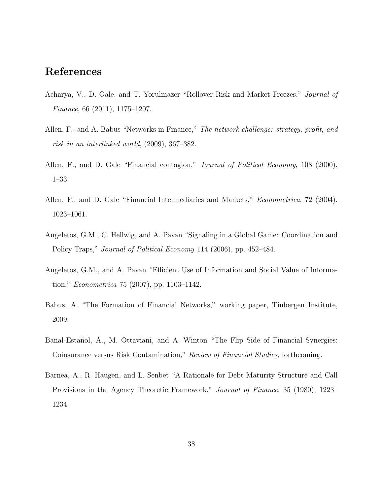## References

- Acharya, V., D. Gale, and T. Yorulmazer "Rollover Risk and Market Freezes," Journal of Finance, 66 (2011), 1175–1207.
- Allen, F., and A. Babus "Networks in Finance," The network challenge: strategy, profit, and risk in an interlinked world, (2009), 367–382.
- Allen, F., and D. Gale "Financial contagion," *Journal of Political Economy*, 108 (2000), 1–33.
- Allen, F., and D. Gale "Financial Intermediaries and Markets," *Econometrica*, 72 (2004), 1023–1061.
- Angeletos, G.M., C. Hellwig, and A. Pavan "Signaling in a Global Game: Coordination and Policy Traps," Journal of Political Economy 114 (2006), pp. 452–484.
- Angeletos, G.M., and A. Pavan "Efficient Use of Information and Social Value of Information," Econometrica 75 (2007), pp. 1103–1142.
- Babus, A. "The Formation of Financial Networks," working paper, Tinbergen Institute, 2009.
- Banal-Estañol, A., M. Ottaviani, and A. Winton "The Flip Side of Financial Synergies: Coinsurance versus Risk Contamination," Review of Financial Studies, forthcoming.
- Barnea, A., R. Haugen, and L. Senbet "A Rationale for Debt Maturity Structure and Call Provisions in the Agency Theoretic Framework," Journal of Finance, 35 (1980), 1223– 1234.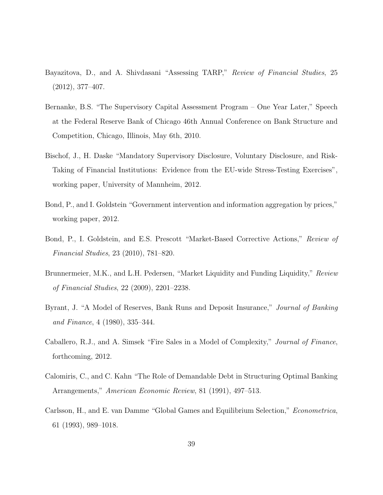- Bayazitova, D., and A. Shivdasani "Assessing TARP," Review of Financial Studies, 25 (2012), 377–407.
- Bernanke, B.S. "The Supervisory Capital Assessment Program One Year Later," Speech at the Federal Reserve Bank of Chicago 46th Annual Conference on Bank Structure and Competition, Chicago, Illinois, May 6th, 2010.
- Bischof, J., H. Daske "Mandatory Supervisory Disclosure, Voluntary Disclosure, and Risk-Taking of Financial Institutions: Evidence from the EU-wide Stress-Testing Exercises", working paper, University of Mannheim, 2012.
- Bond, P., and I. Goldstein "Government intervention and information aggregation by prices," working paper, 2012.
- Bond, P., I. Goldstein, and E.S. Prescott "Market-Based Corrective Actions," Review of Financial Studies, 23 (2010), 781–820.
- Brunnermeier, M.K., and L.H. Pedersen, "Market Liquidity and Funding Liquidity," Review of Financial Studies, 22 (2009), 2201–2238.
- Byrant, J. "A Model of Reserves, Bank Runs and Deposit Insurance," Journal of Banking and Finance, 4 (1980), 335–344.
- Caballero, R.J., and A. Simsek "Fire Sales in a Model of Complexity," Journal of Finance, forthcoming, 2012.
- Calomiris, C., and C. Kahn "The Role of Demandable Debt in Structuring Optimal Banking Arrangements," American Economic Review, 81 (1991), 497–513.
- Carlsson, H., and E. van Damme "Global Games and Equilibrium Selection," Econometrica, 61 (1993), 989–1018.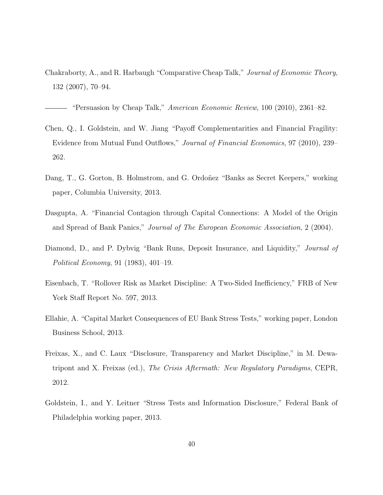Chakraborty, A., and R. Harbaugh "Comparative Cheap Talk," Journal of Economic Theory, 132 (2007), 70–94.

- "Persuasion by Cheap Talk," American Economic Review, 100 (2010), 2361–82.

- Chen, Q., I. Goldstein, and W. Jiang "Payoff Complementarities and Financial Fragility: Evidence from Mutual Fund Outflows," Journal of Financial Economics, 97 (2010), 239– 262.
- Dang, T., G. Gorton, B. Holmstrom, and G. Ordoñez "Banks as Secret Keepers," working paper, Columbia University, 2013.
- Dasgupta, A. "Financial Contagion through Capital Connections: A Model of the Origin and Spread of Bank Panics," Journal of The European Economic Association, 2 (2004).
- Diamond, D., and P. Dybvig "Bank Runs, Deposit Insurance, and Liquidity," Journal of Political Economy, 91 (1983), 401–19.
- Eisenbach, T. "Rollover Risk as Market Discipline: A Two-Sided Inefficiency," FRB of New York Staff Report No. 597, 2013.
- Ellahie, A. "Capital Market Consequences of EU Bank Stress Tests," working paper, London Business School, 2013.
- Freixas, X., and C. Laux "Disclosure, Transparency and Market Discipline," in M. Dewatripont and X. Freixas (ed.), The Crisis Aftermath: New Regulatory Paradigms, CEPR, 2012.
- Goldstein, I., and Y. Leitner "Stress Tests and Information Disclosure," Federal Bank of Philadelphia working paper, 2013.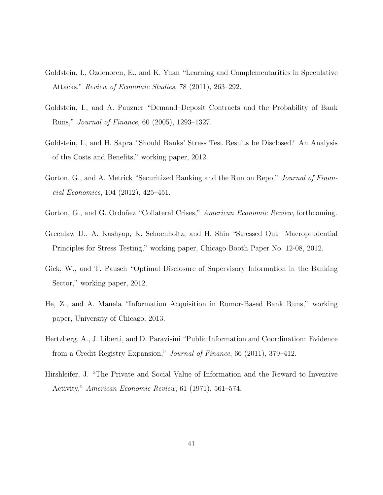- Goldstein, I., Ozdenoren, E., and K. Yuan "Learning and Complementarities in Speculative Attacks," Review of Economic Studies, 78 (2011), 263–292.
- Goldstein, I., and A. Pauzner "Demand–Deposit Contracts and the Probability of Bank Runs," Journal of Finance, 60 (2005), 1293–1327.
- Goldstein, I., and H. Sapra "Should Banks' Stress Test Results be Disclosed? An Analysis of the Costs and Benefits," working paper, 2012.
- Gorton, G., and A. Metrick "Securitized Banking and the Run on Repo," *Journal of Finan*cial Economics, 104 (2012), 425–451.
- Gorton, G., and G. Ordoñez "Collateral Crises," American Economic Review, forthcoming.
- Greenlaw D., A. Kashyap, K. Schoenholtz, and H. Shin "Stressed Out: Macroprudential Principles for Stress Testing," working paper, Chicago Booth Paper No. 12-08, 2012.
- Gick, W., and T. Pausch "Optimal Disclosure of Supervisory Information in the Banking Sector," working paper, 2012.
- He, Z., and A. Manela "Information Acquisition in Rumor-Based Bank Runs," working paper, University of Chicago, 2013.
- Hertzberg, A., J. Liberti, and D. Paravisini "Public Information and Coordination: Evidence from a Credit Registry Expansion," Journal of Finance, 66 (2011), 379–412.
- Hirshleifer, J. "The Private and Social Value of Information and the Reward to Inventive Activity," American Economic Review, 61 (1971), 561–574.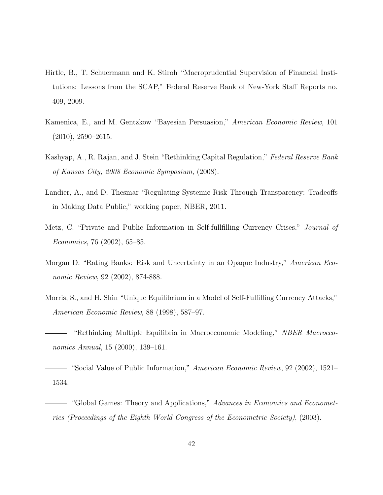- Hirtle, B., T. Schuermann and K. Stiroh "Macroprudential Supervision of Financial Institutions: Lessons from the SCAP," Federal Reserve Bank of New-York Staff Reports no. 409, 2009.
- Kamenica, E., and M. Gentzkow "Bayesian Persuasion," American Economic Review, 101 (2010), 2590–2615.
- Kashyap, A., R. Rajan, and J. Stein "Rethinking Capital Regulation," Federal Reserve Bank of Kansas City, 2008 Economic Symposium, (2008).
- Landier, A., and D. Thesmar "Regulating Systemic Risk Through Transparency: Tradeoffs in Making Data Public," working paper, NBER, 2011.
- Metz, C. "Private and Public Information in Self-fullfilling Currency Crises," Journal of Economics, 76 (2002), 65–85.
- Morgan D. "Rating Banks: Risk and Uncertainty in an Opaque Industry," American Economic Review, 92 (2002), 874-888.
- Morris, S., and H. Shin "Unique Equilibrium in a Model of Self-Fulfilling Currency Attacks," American Economic Review, 88 (1998), 587–97.
- "Rethinking Multiple Equilibria in Macroeconomic Modeling," NBER Macroeconomics Annual, 15 (2000), 139–161.
- "Social Value of Public Information," American Economic Review, 92 (2002), 1521– 1534.
- "Global Games: Theory and Applications," Advances in Economics and Econometrics (Proceedings of the Eighth World Congress of the Econometric Society), (2003).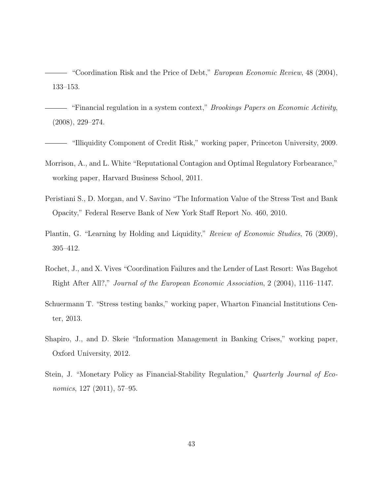"Coordination Risk and the Price of Debt," European Economic Review, 48 (2004), 133–153.

— "Financial regulation in a system context," *Brookings Papers on Economic Activity*, (2008), 229–274.

- "Illiquidity Component of Credit Risk," working paper, Princeton University, 2009.

- Morrison, A., and L. White "Reputational Contagion and Optimal Regulatory Forbearance," working paper, Harvard Business School, 2011.
- Peristiani S., D. Morgan, and V. Savino "The Information Value of the Stress Test and Bank Opacity," Federal Reserve Bank of New York Staff Report No. 460, 2010.
- Plantin, G. "Learning by Holding and Liquidity," Review of Economic Studies, 76 (2009), 395–412.
- Rochet, J., and X. Vives "Coordination Failures and the Lender of Last Resort: Was Bagehot Right After All?," Journal of the European Economic Association, 2 (2004), 1116–1147.
- Schuermann T. "Stress testing banks," working paper, Wharton Financial Institutions Center, 2013.
- Shapiro, J., and D. Skeie "Information Management in Banking Crises," working paper, Oxford University, 2012.
- Stein, J. "Monetary Policy as Financial-Stability Regulation," Quarterly Journal of Economics, 127 (2011), 57–95.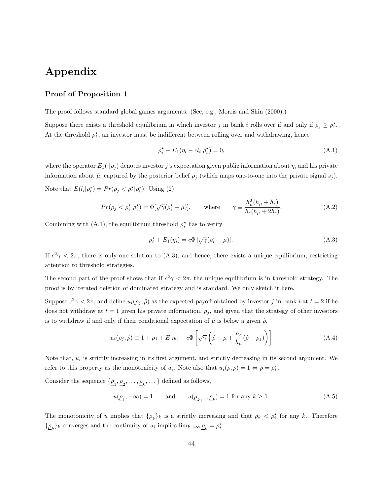# Appendix

#### Proof of Proposition 1

The proof follows standard global games arguments. (See, e.g., Morris and Shin (2000).)

Suppose there exists a threshold equilibrium in which investor j in bank i rolls over if and only if  $\rho_j \geq \rho_i^*$ . At the threshold  $\rho_i^*$ , an investor must be indifferent between rolling over and withdrawing, hence

$$
\rho_i^* + E_1(\eta_i - cl_i | \rho_i^*) = 0,
$$
\n(A.1)

where the operator  $E_1(.\vert\rho_j)$  denotes investor j's expectation given public information about  $\eta_i$  and his private information about  $\tilde{\mu}$ , captured by the posterior belief  $\rho_j$  (which maps one-to-one into the private signal  $s_j$ ). Note that  $E(l_i|\rho_i^*) = Pr(\rho_j < \rho_i^*|\rho_i^*)$ . Using (2),

$$
Pr(\rho_j < \rho_i^* | \rho_i^*) = \Phi[\sqrt{\gamma}(\rho_i^* - \mu)], \qquad \text{where} \qquad \gamma \equiv \frac{h_\mu^2(h_\mu + h_\epsilon)}{h_\epsilon(h_\mu + 2h_\epsilon)}.\tag{A.2}
$$

Combining with (A.1), the equilibrium threshold  $\rho_i^*$  has to verify

$$
\rho_i^* + E_1(\eta_i) = c\Phi\left[\sqrt{\gamma}(\rho_i^* - \mu)\right].\tag{A.3}
$$

If  $c^2\gamma < 2\pi$ , there is only one solution to (A.3), and hence, there exists a unique equilibrium, restricting attention to threshold strategies.

The second part of the proof shows that if  $c^2\gamma < 2\pi$ , the unique equilibrium is in threshold strategy. The proof is by iterated deletion of dominated strategy and is standard. We only sketch it here.

Suppose  $c^2\gamma < 2\pi$ , and define  $u_i(\rho_j, \hat{\rho})$  as the expected payoff obtained by investor j in bank i at  $t = 2$  if he does not withdraw at  $t = 1$  given his private information,  $\rho_j$ , and given that the strategy of other investors is to withdraw if and only if their conditional expectation of  $\tilde{\mu}$  is below a given  $\hat{\rho}$ .

$$
u_i(\rho_j, \hat{\rho}) \equiv 1 + \rho_j + E[\eta_i] - c\Phi \left[ \sqrt{\gamma} \left( \hat{\rho} - \mu + \frac{h_{\epsilon}}{h_{\mu}} (\hat{\rho} - \rho_j) \right) \right]
$$
(A.4)

Note that,  $u_i$  is strictly increasing in its first argument, and strictly decreasing in its second argument. We refer to this property as the monotonicity of  $u_i$ . Note also that  $u_i(\rho, \rho) = 1 \Leftrightarrow \rho = \rho_i^*$ .

Consider the sequence  $\{\underline{\rho}_1, \underline{\rho}_2, \dots, \underline{\rho}_k, \dots\}$  defined as follows,

$$
u(\underline{\rho}_1, -\infty) = 1 \quad \text{and} \quad u(\underline{\rho}_{k+1}, \underline{\rho}_k) = 1 \text{ for any } k \ge 1. \tag{A.5}
$$

The monotonicity of u implies that  $\{\rho_k\}_k$  is a strictly increasing and that  $\rho_k < \rho_i^*$  for any k. Therefore  $\{\underline{\rho}_k\}_k$  converges and the continuity of  $u_i$  implies  $\lim_{k\to\infty}\underline{\rho}_k = \rho_i^*$ .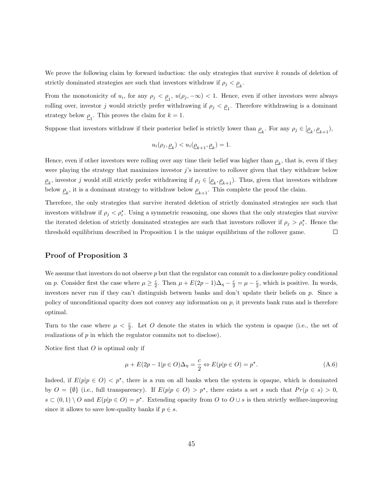We prove the following claim by forward induction: the only strategies that survive k rounds of deletion of strictly dominated strategies are such that investors withdraw if  $\rho_j < \underline{\rho}_k$ .

From the monotonicity of  $u_i$ , for any  $\rho_j < \rho_1$ ,  $u(\rho_j, -\infty) < 1$ . Hence, even if other investors were always rolling over, investor j would strictly prefer withdrawing if  $\rho_j < \rho_1$ . Therefore withdrawing is a dominant strategy below  $p_1$ . This proves the claim for  $k = 1$ .

Suppose that investors withdraw if their posterior belief is strictly lower than  $\rho_k$ . For any  $\rho_j \in [\rho_k, \rho_{k+1}),$ 

$$
u_i(\rho_j, \underline{\rho}_k) < u_i(\underline{\rho}_{k+1}, \underline{\rho}_k) = 1.
$$

Hence, even if other investors were rolling over any time their belief was higher than  $\rho_k$ , that is, even if they were playing the strategy that maximizes investor  $j$ 's incentive to rollover given that they withdraw below  $\rho_k$ , investor j would still strictly prefer withdrawing if  $\rho_j \in [\rho_k, \rho_{k+1})$ . Thus, given that investors withdraw below  $\underline{\rho}_k$ , it is a dominant strategy to withdraw below  $\underline{\rho}_{k+1}$ . This complete the proof the claim.

Therefore, the only strategies that survive iterated deletion of strictly dominated strategies are such that investors withdraw if  $\rho_j < \rho_i^*$ . Using a symmetric reasoning, one shows that the only strategies that survive the iterated deletion of strictly dominated strategies are such that investors rollover if  $\rho_j > \rho_i^*$ . Hence the threshold equilibrium described in Proposition 1 is the unique equilibrium of the rollover game.  $\Box$ 

#### Proof of Proposition 3

We assume that investors do not observe  $p$  but that the regulator can commit to a disclosure policy conditional on p. Consider first the case where  $\mu \geq \frac{c}{2}$ . Then  $\mu + E(2p-1)\Delta_{\eta} - \frac{c}{2} = \mu - \frac{c}{2}$ , which is positive. In words, investors never run if they can't distinguish between banks and don't update their beliefs on p. Since a policy of unconditional opacity does not convey any information on  $p$ , it prevents bank runs and is therefore optimal.

Turn to the case where  $\mu < \frac{c}{2}$ . Let O denote the states in which the system is opaque (i.e., the set of realizations of p in which the regulator commits not to disclose).

Notice first that  $O$  is optimal only if

$$
\mu + E(2p - 1|p \in O)\Delta_{\eta} = \frac{c}{2} \Leftrightarrow E(p|p \in O) = p^{\star}.
$$
\n(A.6)

Indeed, if  $E(p|p \in O) < p^*$ , there is a run on all banks when the system is opaque, which is dominated by  $O = \{\emptyset\}$  (i.e., full transparency). If  $E(p|p \in O) > p^*$ , there exists a set s such that  $Pr(p \in s) > 0$ ,  $s \subset (0,1) \setminus O$  and  $E(p|p \in O) = p^*$ . Extending opacity from O to  $O \cup s$  is then strictly welfare-improving since it allows to save low-quality banks if  $p \in s$ .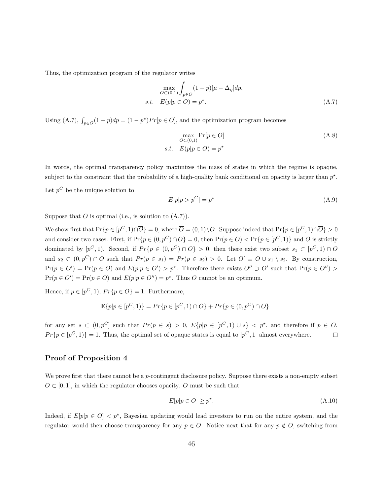Thus, the optimization program of the regulator writes

$$
\max_{O \subset (0,1)} \int_{p \in O} (1-p)[\mu - \Delta_{\eta}] dp,
$$
  
s.t.  $E(p|p \in O) = p^*$ . (A.7)

Using (A.7),  $\int_{p \in O} (1 - p) dp = (1 - p^*) Pr[p \in O]$ , and the optimization program becomes

$$
\max_{O \subset (0,1)} \Pr[p \in O]
$$
\n
$$
s.t. \quad E(p|p \in O) = p^*
$$
\n
$$
(A.8)
$$

In words, the optimal transparency policy maximizes the mass of states in which the regime is opaque, subject to the constraint that the probability of a high-quality bank conditional on opacity is larger than  $p^*$ .

Let  $p^C$  be the unique solution to

$$
E[p|p > p^C] = p^{\star}
$$
 (A.9)

Suppose that  $O$  is optimal (i.e., is solution to  $(A.7)$ ).

We show first that  $Pr\{p \in [p^C, 1) \cap \overline{O}\} = 0$ , where  $\overline{O} = (0, 1) \setminus O$ . Suppose indeed that  $Pr\{p \in [p^C, 1) \cap \overline{O}\} > 0$ and consider two cases. First, if  $Pr\{p \in (0, p^C) \cap O\} = 0$ , then  $Pr(p \in O) < Pr\{p \in [p^C, 1)\}\$ and O is strictly dominated by  $[p^C, 1)$ . Second, if  $Pr\{p \in (0, p^C) \cap O\} > 0$ , then there exist two subset  $s_1 \subset [p^C, 1) \cap \overline{O}$ and  $s_2 \subset (0, p^C) \cap O$  such that  $Pr(p \in s_1) = Pr(p \in s_2) > 0$ . Let  $O' \equiv O \cup s_1 \setminus s_2$ . By construction,  $Pr(p \in O') = Pr(p \in O)$  and  $E(p|p \in O') > p^*$ . Therefore there exists  $O'' \supset O'$  such that  $Pr(p \in O'') >$  $Pr(p \in O') = Pr(p \in O)$  and  $E(p|p \in O'') = p^*$ . Thus O cannot be an optimum.

Hence, if  $p \in [p^C, 1)$ ,  $Pr\{p \in O\} = 1$ . Furthermore,

$$
\mathbb{E}{p|p \in [p^C, 1)} = Pr{p \in [p^C, 1) \cap O} + Pr{p \in (0, p^C) \cap O}
$$

for any set  $s \text{ }\subset (0,p^C]$  such that  $Pr(p \in s) > 0, E\{p|p \in [p^C,1) \cup s\} < p^*$ , and therefore if  $p \in O$ ,  $Pr{p \in [p^C, 1)} = 1$ . Thus, the optimal set of opaque states is equal to  $[p^C, 1]$  almost everywhere.  $\Box$ 

#### Proof of Proposition 4

We prove first that there cannot be a *p*-contingent disclosure policy. Suppose there exists a non-empty subset  $O \subset [0, 1]$ , in which the regulator chooses opacity. O must be such that

$$
E[p|p \in O] \ge p^\star. \tag{A.10}
$$

Indeed, if  $E[p|p \in O] < p^*$ , Bayesian updating would lead investors to run on the entire system, and the regulator would then choose transparency for any  $p \in O$ . Notice next that for any  $p \notin O$ , switching from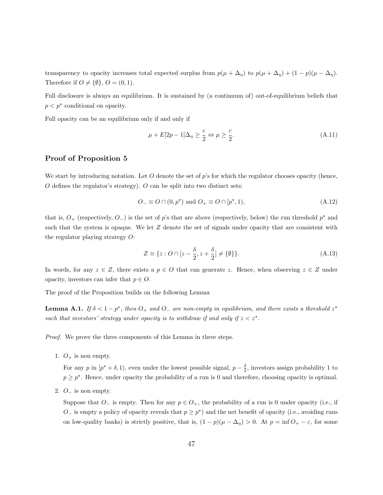transparency to opacity increases total expected surplus from  $p(\mu + \Delta_{\eta})$  to  $p(\mu + \Delta_{\eta}) + (1 - p)(\mu - \Delta_{\eta})$ . Therefore if  $O \neq \{\emptyset\}$ ,  $O = (0, 1)$ .

Full disclosure is always an equilibrium. It is sustained by (a continuum of) out-of-equilibrium beliefs that  $p < p^*$  conditional on opacity.

Full opacity can be an equilibrium only if and only if

$$
\mu + E[2p - 1]\Delta_{\eta} \ge \frac{c}{2} \Leftrightarrow \mu \ge \frac{c}{2}.\tag{A.11}
$$

#### Proof of Proposition 5

We start by introducing notation. Let O denote the set of  $p$ 's for which the regulator chooses opacity (hence,  $O$  defines the regulator's strategy).  $O$  can be split into two distinct sets:

$$
O_{-} \equiv O \cap (0, p^{\star}) \text{ and } O_{+} \equiv O \cap [p^{\star}, 1), \tag{A.12}
$$

that is,  $O_+$  (respectively,  $O_-$ ) is the set of p's that are above (respectively, below) the run threshold  $p^*$  and such that the system is opaque. We let  $Z$  denote the set of signals under opacity that are consistent with the regulator playing strategy O:

$$
Z \equiv \{ z : O \cap [z - \frac{\delta}{2}, z + \frac{\delta}{2}] \neq \{ \emptyset \} \}.
$$
 (A.13)

In words, for any  $z \in Z$ , there exists a  $p \in O$  that can generate z. Hence, when observing  $z \in Z$  under opacity, investors can infer that  $p \in O$ .

The proof of the Proposition builds on the following Lemma

**Lemma A.1.** If  $\delta < 1 - p^*$ , then  $O_+$  and  $O_-$  are non-empty in equilibrium, and there exists a threshold  $z^*$ such that investors' strategy under opacity is to withdraw if and only if  $z < z^*$ .

Proof. We prove the three components of this Lemma in three steps.

1.  $O_+$  is non empty.

For any p in  $[p^* + \delta, 1)$ , even under the lowest possible signal,  $p - \frac{\delta}{2}$ , investors assign probability 1 to  $p \geq p^*$ . Hence, under opacity the probability of a run is 0 and therefore, choosing opacity is optimal.

2. O<sup>−</sup> is non empty.

Suppose that  $O_-\$  is empty. Then for any  $p \in O_+$ , the probability of a run is 0 under opacity (i.e., if  $O_-\$  is empty a policy of opacity reveals that  $p \geq p^*$ ) and the net benefit of opacity (i.e., avoiding runs on low-quality banks) is strictly positive, that is,  $(1 - p)(\mu - \Delta_{\eta}) > 0$ . At  $p = \inf O_{+} - \varepsilon$ , for some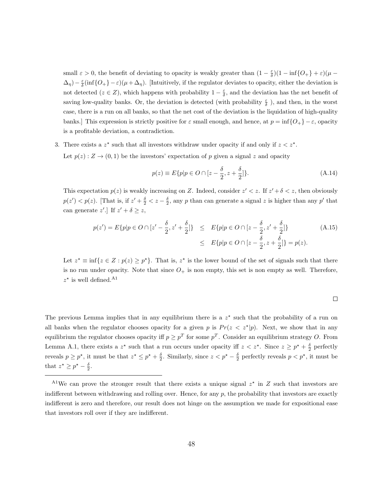small  $\varepsilon > 0$ , the benefit of deviating to opacity is weakly greater than  $(1 - \frac{\varepsilon}{\delta})(1 - \inf\{O_+\} + \varepsilon)(\mu (\Delta_{\eta})-\frac{\varepsilon}{\delta}(\inf\{O_+\}-\varepsilon)(\mu+\Delta_{\eta})$ . [Intuitively, if the regulator deviates to opacity, either the deviation is not detected  $(z \in Z)$ , which happens with probability  $1 - \frac{\varepsilon}{\delta}$ , and the deviation has the net benefit of saving low-quality banks. Or, the deviation is detected (with probability  $\frac{\varepsilon}{\delta}$ ), and then, in the worst case, there is a run on all banks, so that the net cost of the deviation is the liquidation of high-quality banks.] This expression is strictly positive for  $\varepsilon$  small enough, and hence, at  $p = \inf\{O_+\} - \varepsilon$ , opacity is a profitable deviation, a contradiction.

3. There exists a  $z^*$  such that all investors withdraw under opacity if and only if  $z < z^*$ . Let  $p(z): Z \to (0, 1)$  be the investors' expectation of p given a signal z and opacity

$$
p(z) \equiv E\{p|p \in O \cap [z - \frac{\delta}{2}, z + \frac{\delta}{2}]\}.
$$
 (A.14)

This expectation  $p(z)$  is weakly increasing on Z. Indeed, consider  $z' < z$ . If  $z' + \delta < z$ , then obviously  $p(z') < p(z)$ . [That is, if  $z' + \frac{\delta}{2} < z - \frac{\delta}{2}$ , any p than can generate a signal z is higher than any p' that can generate z'.] If  $z' + \delta \geq z$ ,

$$
p(z') = E\{p|p \in O \cap [z' - \frac{\delta}{2}, z' + \frac{\delta}{2}]\} \le E\{p|p \in O \cap [z - \frac{\delta}{2}, z' + \frac{\delta}{2}]\} \tag{A.15}
$$
  

$$
\le E\{p|p \in O \cap [z - \frac{\delta}{2}, z + \frac{\delta}{2}]\} = p(z).
$$

Let  $z^* \equiv \inf\{z \in Z : p(z) \geq p^*\}\.$  That is,  $z^*$  is the lower bound of the set of signals such that there is no run under opacity. Note that since  $O_+$  is non empty, this set is non empty as well. Therefore,  $z^*$  is well defined.<sup>A1</sup>

The previous Lemma implies that in any equilibrium there is a  $z^*$  such that the probability of a run on all banks when the regulator chooses opacity for a given p is  $Pr(z \lt z^*|p)$ . Next, we show that in any equilibrium the regulator chooses opacity iff  $p \geq p^T$  for some  $p^T$ . Consider an equilibrium strategy O. From Lemma A.1, there exists a  $z^*$  such that a run occurs under opacity iff  $z < z^*$ . Since  $z \geq p^* + \frac{\delta}{2}$  perfectly reveals  $p \geq p^*$ , it must be that  $z^* \leq p^* + \frac{\delta}{2}$ . Similarly, since  $z < p^* - \frac{\delta}{2}$  perfectly reveals  $p < p^*$ , it must be that  $z^* \geq p^* - \frac{\delta}{2}$ .

<sup>&</sup>lt;sup>A1</sup>We can prove the stronger result that there exists a unique signal  $z^*$  in Z such that investors are indifferent between withdrawing and rolling over. Hence, for any  $p$ , the probability that investors are exactly indifferent is zero and therefore, our result does not hinge on the assumption we made for expositional ease that investors roll over if they are indifferent.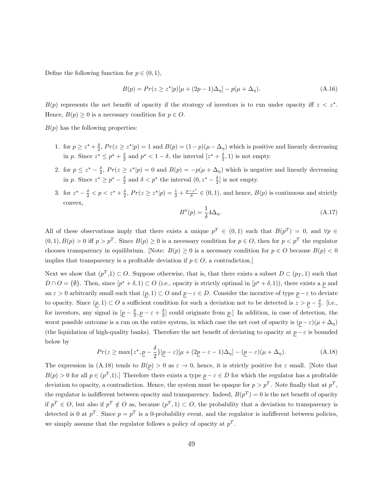Define the following function for  $p \in (0,1)$ ,

$$
B(p) = Pr(z \ge z^*|p)[\mu + (2p - 1)\Delta_{\eta}] - p(\mu + \Delta_{\eta}).
$$
\n(A.16)

 $B(p)$  represents the net benefit of opacity if the strategy of investors is to run under opacity iff  $z < z^*$ . Hence,  $B(p) \geq 0$  is a necessary condition for  $p \in O$ .

 $B(p)$  has the following properties:

- 1. for  $p \geq z^* + \frac{\delta}{2}$ ,  $Pr(z \geq z^*|p) = 1$  and  $B(p) = (1-p)(\mu \Delta_p)$  which is positive and linearly decreasing in p. Since  $z^* \leq p^* + \frac{\delta}{2}$  and  $p^* < 1 - \delta$ , the interval  $[z^* + \frac{\delta}{2}, 1)$  is not empty.
- 2. for  $p \leq z^* \frac{\delta}{2}$ ,  $Pr(z \geq z^*|p) = 0$  and  $B(p) = -p(\mu + \Delta_{\eta})$  which is negative and linearly decreasing in p. Since  $z^* \ge p^* - \frac{\delta}{2}$  and  $\delta < p^*$  the interval  $(0, z^* - \frac{\delta}{2}]$  is not empty.
- 3. for  $z^* \frac{\delta}{2} < p < z^* + \frac{\delta}{2}$ ,  $Pr(z \geq z^* | p) = \frac{1}{2} + \frac{p z^*}{\delta}$  $\overline{\delta}^{-z^-} \in (0, 1)$ , and hence,  $B(p)$  is continuous and strictly convex,

$$
B''(p) = \frac{1}{\delta} 4\Delta_\eta. \tag{A.17}
$$

All of these observations imply that there exists a unique  $p^T \in (0,1)$  such that  $B(p^T) = 0$ , and  $\forall p \in$  $(0, 1), B(p) > 0$  iff  $p > p^T$ . Since  $B(p) \ge 0$  is a necessary condition for  $p \in O$ , then for  $p < p^T$  the regulator chooses transparency in equilibrium. [Note:  $B(p) \ge 0$  is a necessary condition for  $p \in O$  because  $B(p) < 0$ implies that transparency is a profitable deviation if  $p \in O$ , a contradiction.]

Next we show that  $(p^T,1) \subset O$ . Suppose otherwise, that is, that there exists a subset  $D \subset (p_T,1)$  such that  $D \cap O = \{\emptyset\}.$  Then, since  $[p^* + \delta, 1) \subset O$  (i.e., opacity is strictly optimal in  $[p^* + \delta, 1)$ ), there exists a p and an  $\varepsilon > 0$  arbitrarily small such that  $(p, 1) \subset O$  and  $\underline{p} - \varepsilon \in D$ . Consider the incentive of type  $\underline{p} - \varepsilon$  to deviate to opacity. Since  $(p, 1) \subset O$  a sufficient condition for such a deviation not to be detected is  $z > p - \frac{\delta}{2}$ . [i.e., for investors, any signal in  $[\underline{p} - \frac{\delta}{2}, \underline{p} - \varepsilon + \frac{\delta}{2}]$  could originate from  $\underline{p}$ . In addition, in case of detection, the worst possible outcome is a run on the entire system, in which case the net cost of opacity is  $(p - \varepsilon)(\mu + \Delta_{\eta})$ (the liquidation of high-quality banks). Therefore the net benefit of deviating to opacity at  $p - \varepsilon$  is bounded below by

$$
Pr(z \ge \max\{z^*, \underline{p} - \frac{\delta}{2}\} | \underline{p} - \varepsilon) [\mu + (2\underline{p} - \varepsilon - 1)\Delta_{\eta}] - (\underline{p} - \varepsilon)(\mu + \Delta_{\eta}).
$$
\n(A.18)

The expression in (A.18) tends to  $B(p) > 0$  as  $\varepsilon \to 0$ , hence, it is strictly positive for  $\varepsilon$  small. [Note that  $B(p) > 0$  for all  $p \in (p^T, 1)$ . Therefore there exists a type  $p - \varepsilon \in D$  for which the regulator has a profitable deviation to opacity, a contradiction. Hence, the system must be opaque for  $p > p<sup>T</sup>$ . Note finally that at  $p<sup>T</sup>$ , the regulator is indifferent between opacity and transparency. Indeed,  $B(p^T) = 0$  is the net benefit of opacity if  $p^T \in O$ , but also if  $p^T \notin O$  as, because  $(p^T, 1) \subset O$ , the probability that a deviation to transparency is detected is 0 at  $p^T$ . Since  $p = p^T$  is a 0-probability event, and the regulator is indifferent between policies, we simply assume that the regulator follows a policy of opacity at  $p<sup>T</sup>$ .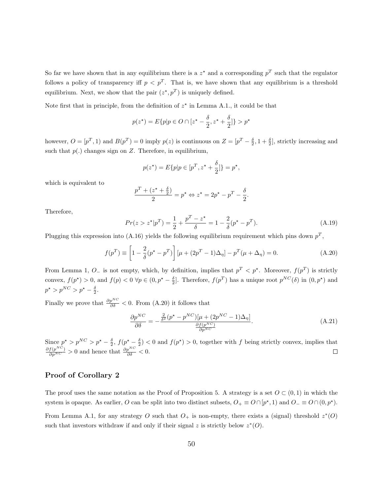So far we have shown that in any equilibrium there is a  $z^*$  and a corresponding  $p^T$  such that the regulator follows a policy of transparency iff  $p < p<sup>T</sup>$ . That is, we have shown that any equilibrium is a threshold equilibrium. Next, we show that the pair  $(z^*, p^T)$  is uniquely defined.

Note first that in principle, from the definition of  $z^*$  in Lemma A.1., it could be that

$$
p(z^*) = E\{p|p \in O \cap [z^* - \frac{\delta}{2}, z^* + \frac{\delta}{2}]\} > p^*
$$

however,  $O = [p^T, 1)$  and  $B(p^T) = 0$  imply  $p(z)$  is continuous on  $Z = [p^T - \frac{\delta}{2}, 1 + \frac{\delta}{2}]$ , strictly increasing and such that  $p(.)$  changes sign on Z. Therefore, in equilibrium,

$$
p(z^*) = E\{p|p \in [p^T, z^* + \frac{\delta}{2}]\} = p^*,
$$

which is equivalent to

$$
\frac{p^T + (z^* + \frac{\delta}{2})}{2} = p^* \Leftrightarrow z^* = 2p^* - p^T - \frac{\delta}{2}.
$$

Therefore,

$$
Pr(z > z^* | p^T) = \frac{1}{2} + \frac{p^T - z^*}{\delta} = 1 - \frac{2}{\delta} (p^* - p^T). \tag{A.19}
$$

Plugging this expression into (A.16) yields the following equilibrium requirement which pins down  $p<sup>T</sup>$ ,

$$
f(p^T) \equiv \left[1 - \frac{2}{\delta}(p^* - p^T)\right] \left[\mu + (2p^T - 1)\Delta_{\eta}\right] - p^T(\mu + \Delta_{\eta}) = 0.
$$
 (A.20)

From Lemma 1,  $O_{-}$  is not empty, which, by definition, implies that  $p^{T} < p^{\star}$ . Moreover,  $f(p^{T})$  is strictly convex,  $f(p^*) > 0$ , and  $f(p) < 0 \ \forall p \in (0, p^* - \frac{\delta}{2}]$ . Therefore,  $f(p^T)$  has a unique root  $p^{NC}(\delta)$  in  $(0, p^*)$  and  $p^* > p^{NC} > p^* - \frac{\delta}{2}.$ 

Finally we prove that  $\frac{\partial p^{NC}}{\partial \delta} < 0$ . From (A.20) it follows that

$$
\frac{\partial p^{NC}}{\partial \delta} = -\frac{\frac{2}{\delta^2} (p^* - p^{NC}) [\mu + (2p^{NC} - 1)\Delta_{\eta}]}{\frac{\partial f(p^{NC})}{\partial p^{NC}}}.
$$
(A.21)

Since  $p^* > p^{NC} > p^* - \frac{\delta}{2}$ ,  $f(p^* - \frac{\delta}{2}) < 0$  and  $f(p^*) > 0$ , together with f being strictly convex, implies that  $\frac{\partial f(p^{NC})}{\partial p^{NC}} > 0$  and hence that  $\frac{\partial p^{NC}}{\partial \delta} < 0$ .  $\Box$ 

#### Proof of Corollary 2

The proof uses the same notation as the Proof of Proposition 5. A strategy is a set  $O \subset (0,1)$  in which the system is opaque. As earlier, O can be split into two distinct subsets,  $O_+ \equiv O \cap [p^*, 1)$  and  $O_- \equiv O \cap (0, p^*)$ . From Lemma A.1, for any strategy O such that  $O_+$  is non-empty, there exists a (signal) threshold  $z^*(O)$ such that investors withdraw if and only if their signal z is strictly below  $z^*(O)$ .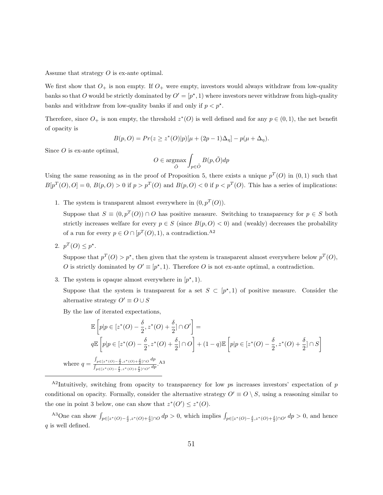Assume that strategy O is ex-ante optimal.

We first show that  $O_+$  is non empty. If  $O_+$  were empty, investors would always withdraw from low-quality banks so that O would be strictly dominated by  $O' = [p^*, 1)$  where investors never withdraw from high-quality banks and withdraw from low-quality banks if and only if  $p < p^*$ .

Therefore, since  $O_+$  is non empty, the threshold  $z^*(O)$  is well defined and for any  $p \in (0,1)$ , the net benefit of opacity is

$$
B(p, O) = Pr(z \ge z^*(O)|p)[\mu + (2p - 1)\Delta_{\eta}] - p(\mu + \Delta_{\eta}).
$$

Since  $O$  is ex-ante optimal,

$$
O \in \underset{\tilde{O}}{\text{argmax}} \int_{p \in \tilde{O}} B(p, \tilde{O}) dp
$$

Using the same reasoning as in the proof of Proposition 5, there exists a unique  $p^T(0)$  in  $(0, 1)$  such that  $B[p^T(0),0] = 0, B(p,0) > 0$  if  $p > p^T(0)$  and  $B(p,0) < 0$  if  $p < p^T(0)$ . This has a series of implications:

1. The system is transparent almost everywhere in  $(0, p^T(O))$ .

Suppose that  $S \equiv (0, p^T(O)) \cap O$  has positive measure. Switching to transparency for  $p \in S$  both strictly increases welfare for every  $p \in S$  (since  $B(p, O) < 0$ ) and (weakly) decreases the probability of a run for every  $p \in O \cap [p^T(O), 1)$ , a contradiction.<sup>A2</sup>

2.  $p^T(O) \leq p^*$ .

 $\mathbf w$ 

Suppose that  $p^T(O) > p^*$ , then given that the system is transparent almost everywhere below  $p^T(O)$ , O is strictly dominated by  $O' \equiv [p^*, 1]$ . Therefore O is not ex-ante optimal, a contradiction.

3. The system is opaque almost everywhere in  $[p^*, 1)$ .

Suppose that the system is transparent for a set  $S \subset [p^*,1)$  of positive measure. Consider the alternative strategy  $O' \equiv O \cup S$ 

By the law of iterated expectations,

$$
\mathbb{E}\left[p|p\in[z^*(O)-\frac{\delta}{2},z^*(O)+\frac{\delta}{2}]\cap O'\right]=
$$
\n
$$
q\mathbb{E}\left[p|p\in[z^*(O)-\frac{\delta}{2},z^*(O)+\frac{\delta}{2}]\cap O\right]+(1-q)\mathbb{E}\left[p|p\in[z^*(O)-\frac{\delta}{2},z^*(O)+\frac{\delta}{2}]\cap S\right]
$$
\nhere 
$$
q=\frac{\int_{p\in[z^*(O)-\frac{\delta}{2},z^*(O)+\frac{\delta}{2}]\cap O}{\int_{p\in[z^*(O)-\frac{\delta}{2},z^*(O)+\frac{\delta}{2}]\cap O'}d^p}.
$$

 $A<sup>2</sup>$ Intuitively, switching from opacity to transparency for low ps increases investors' expectation of p conditional on opacity. Formally, consider the alternative strategy  $O' \equiv O \setminus S$ , using a reasoning similar to the one in point 3 below, one can show that  $z^*(O') \leq z^*(O)$ .

<sup>A3</sup>One can show  $\int_{p\in[z^*(O)-\frac{\delta}{2},z^*(O)+\frac{\delta}{2}]}\cap O} dp > 0$ , which implies  $\int_{p\in[z^*(O)-\frac{\delta}{2},z^*(O)+\frac{\delta}{2}]}\cap O'} dp > 0$ , and hence  $q$  is well defined.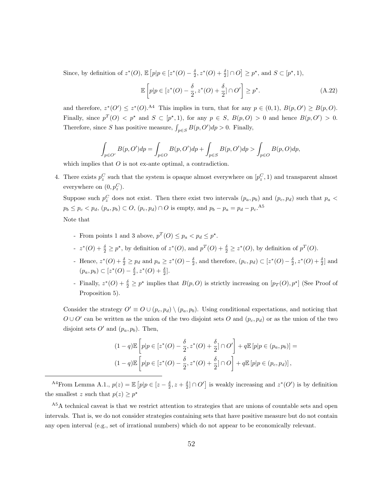Since, by definition of  $z^*(O)$ ,  $\mathbb{E}\left[p|p \in [z^*(O) - \frac{\delta}{2}, z^*(O) + \frac{\delta}{2}] \cap O\right] \geq p^*$ , and  $S \subset [p^*, 1)$ ,

$$
\mathbb{E}\left[p|p\in[z^*(O)-\frac{\delta}{2},z^*(O)+\frac{\delta}{2}]\cap O'\right]\geq p^\star.\tag{A.22}
$$

and therefore,  $z^*(O') \leq z^*(O)$ .<sup>A4</sup> This implies in turn, that for any  $p \in (0,1)$ ,  $B(p,O') \geq B(p,O)$ . Finally, since  $p^T(0) < p^*$  and  $S \subset [p^*, 1)$ , for any  $p \in S$ ,  $B(p, 0) > 0$  and hence  $B(p, 0') > 0$ . Therefore, since S has positive measure,  $\int_{p\in S} B(p, O')dp > 0$ . Finally,

$$
\int_{p \in O'} B(p, O') dp = \int_{p \in O} B(p, O') dp + \int_{p \in S} B(p, O') dp > \int_{p \in O} B(p, O) dp,
$$

which implies that  $O$  is not ex-ante optimal, a contradiction.

4. There exists  $p_z^C$  such that the system is opaque almost everywhere on  $[p_z^C, 1)$  and transparent almost everywhere on  $(0, p_z^C)$ .

Suppose such  $p_z^C$  does not exist. Then there exist two intervals  $(p_a, p_b)$  and  $(p_c, p_d)$  such that  $p_a$  $p_b \leq p_c < p_d$ ,  $(p_a, p_b) \subset O$ ,  $(p_c, p_d) \cap O$  is empty, and  $p_b - p_a = p_d - p_c$ .<sup>A5</sup> Note that

- From points 1 and 3 above,  $p^T(O) \leq p_a < p_d \leq p^*$ .
- $z<sup>*</sup>(O) + <sup>δ</sup>/<sub>2</sub> ≥ p<sup>*</sup>, by definition of z<sup>*</sup>(O), and p<sup>T</sup>(O) + <sup>δ</sup>/<sub>2</sub> ≥ z<sup>*</sup>(O), by definition of p<sup>T</sup>(O).$
- Hence,  $z^*(O) + \frac{\delta}{2} \geq p_d$  and  $p_a \geq z^*(O) \frac{\delta}{2}$ , and therefore,  $(p_c, p_d) \subset [z^*(O) \frac{\delta}{2}, z^*(O) + \frac{\delta}{2}]$  and  $(p_a, p_b) \subset [z^*(O) - \frac{\delta}{2}, z^*(O) + \frac{\delta}{2}].$
- Finally,  $z^*(O) + \frac{\delta}{2} \ge p^*$  implies that  $B(p, O)$  is strictly increasing on  $[p_T(O), p^*]$  (See Proof of Proposition 5).

Consider the strategy  $O' \equiv O \cup (p_c, p_d) \setminus (p_a, p_b)$ . Using conditional expectations, and noticing that  $O\cup O'$  can be written as the union of the two disjoint sets O and  $(p_c, p_d)$  or as the union of the two disjoint sets  $O'$  and  $(p_a, p_b)$ . Then,

$$
(1-q)\mathbb{E}\left[p|p\in[z^*(O)-\frac{\delta}{2},z^*(O)+\frac{\delta}{2}]\cap O'\right]+q\mathbb{E}\left[p|p\in(p_a,p_b)\right]=
$$
  

$$
(1-q)\mathbb{E}\left[p|p\in[z^*(O)-\frac{\delta}{2},z^*(O)+\frac{\delta}{2}]\cap O\right]+q\mathbb{E}\left[p|p\in(p_c,p_d)\right],
$$

<sup>A4</sup>From Lemma A.1.,  $p(z) = \mathbb{E}\left[p|p \in [z - \frac{\delta}{2}, z + \frac{\delta}{2}] \cap O'\right]$  is weakly increasing and  $z^*(O')$  is by definition the smallest z such that  $p(z) \geq p^*$ 

<sup>&</sup>lt;sup>A5</sup>A technical caveat is that we restrict attention to strategies that are unions of countable sets and open intervals. That is, we do not consider strategies containing sets that have positive measure but do not contain any open interval (e.g., set of irrational numbers) which do not appear to be economically relevant.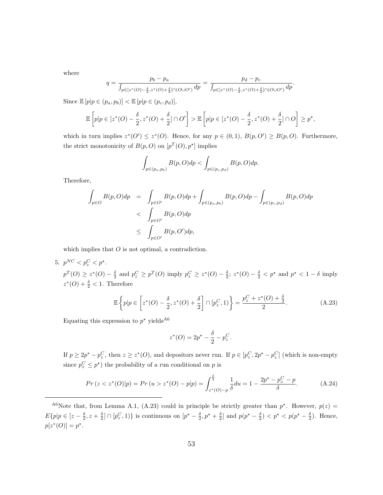where

$$
q = \frac{p_b - p_a}{\int_{p \in [z^*(O) - \frac{\delta}{2}, z^*(O) + \frac{\delta}{2}] \cap (O \cup O')}} dp = \frac{p_d - p_c}{\int_{p \in [z^*(O) - \frac{\delta}{2}, z^*(O) + \frac{\delta}{2}] \cap (O \cup O')}} dp}.
$$

Since  $\mathbb{E}[p|p \in (p_a, p_b)] < \mathbb{E}[p|p \in (p_c, p_d)],$ 

$$
\mathbb{E}\left[p|p\in [z^*(O)-\frac{\delta}{2},z^*(O)+\frac{\delta}{2}]\cap O'\right] > \mathbb{E}\left[p|p\in [z^*(O)-\frac{\delta}{2},z^*(O)+\frac{\delta}{2}]\cap O\right]\geq p^\star,
$$

which in turn implies  $z^*(O') \leq z^*(O)$ . Hence, for any  $p \in (0,1)$ ,  $B(p,O') \geq B(p,O)$ . Furthermore, the strict monotonicity of  $B(p, O)$  on  $[p^T(O), p^*]$  implies

$$
\int_{p\in(p_a,p_b)} B(p,O) dp < \int_{p\in(p_c,p_d)} B(p,O) dp.
$$

Therefore,

$$
\int_{p\in O} B(p, O) dp = \int_{p\in O'} B(p, O) dp + \int_{p\in (p_a, p_b)} B(p, O) dp - \int_{p\in (p_c, p_d)} B(p, O) dp
$$
\n
$$
< \int_{p\in O'} B(p, O) dp
$$
\n
$$
\leq \int_{p\in O'} B(p, O') dp,
$$

which implies that  $O$  is not optimal, a contradiction.

5.  $p^{NC} < p_z^C < p^*$ .

 $p^T(Q) \geq z^*(Q) - \frac{\delta}{2}$  and  $p_z^C \geq p^T(Q)$  imply  $p_z^C \geq z^*(Q) - \frac{\delta}{2}$ ;  $z^*(Q) - \frac{\delta}{2} < p^*$  and  $p^* < 1 - \delta$  imply  $z^*(O) + \frac{\delta}{2} < 1$ . Therefore

$$
\mathbb{E}\left\{p|p\in\left[z^*(O)-\frac{\delta}{2},z^*(O)+\frac{\delta}{2}\right]\cap[p_z^C,1)\right\}=\frac{p_z^C+z^*(O)+\frac{\delta}{2}}{2}.\tag{A.23}
$$

Equating this expression to  $p^*$  yields<sup>A6</sup>

$$
z^*(O) = 2p^* - \frac{\delta}{2} - p_z^C.
$$

If  $p \geq 2p^* - p_z^C$ , then  $z \geq z^*(O)$ , and depositors never run. If  $p \in [p_z^C, 2p^* - p_z^C]$  (which is non-empty since  $p_z^C \leq p^*$ ) the probability of a run conditional on p is

$$
Pr(z < z^*(O)|p) = Pr(u > z^*(O) - p|p) = \int_{z^*(O) - p}^{\frac{\delta}{2}} \frac{1}{\delta} du = 1 - \frac{2p^* - p_z^C - p}{\delta}.
$$
\n(A.24)

<sup>&</sup>lt;sup>A6</sup>Note that, from Lemma A.1, (A.23) could in principle be strictly greater than  $p^*$ . However,  $p(z)$  $E\{p|p\in[z-\frac{\delta}{2},z+\frac{\delta}{2}]\cap[p_{z}^{C},1)\}\$  is continuous on  $[p^*-\frac{\delta}{2},p^*+\frac{\delta}{2}]$  and  $p(p^*-\frac{\delta}{2})< p^*< p(p^*-\frac{\delta}{2})$ . Hence,  $p[z^*(O)] = p^*$ .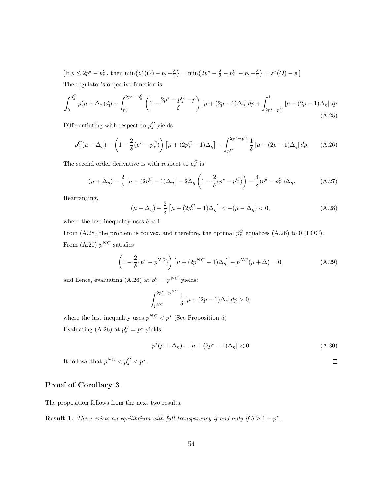[If  $p \leq 2p^* - p_z^C$ , then  $\min\{z^*(O) - p, -\frac{\delta}{2}\} = \min\{2p^* - \frac{\delta}{2} - p_z^C - p, -\frac{\delta}{2}\} = z^*(O) - p.$ ] The regulator's objective function is

$$
\int_{0}^{p_z^C} p(\mu + \Delta_{\eta}) dp + \int_{p_z^C}^{2p^* - p_z^C} \left(1 - \frac{2p^* - p_z^C - p}{\delta}\right) [\mu + (2p - 1)\Delta_{\eta}] dp + \int_{2p^* - p_z^C}^{1} [\mu + (2p - 1)\Delta_{\eta}] dp
$$
\n(A.25)

Differentiating with respect to  $p_z^C$  yields

$$
p_z^C(\mu + \Delta_\eta) - \left(1 - \frac{2}{\delta}(p^* - p_z^C)\right) \left[\mu + (2p_z^C - 1)\Delta_\eta\right] + \int_{p_z^C}^{2p^* - p_z^C} \frac{1}{\delta} \left[\mu + (2p - 1)\Delta_\eta\right] dp. \tag{A.26}
$$

The second order derivative is with respect to  $p_z^C$  is

$$
(\mu + \Delta_{\eta}) - \frac{2}{\delta} \left[ \mu + (2p_z^C - 1)\Delta_{\eta} \right] - 2\Delta_{\eta} \left( 1 - \frac{2}{\delta} (p^* - p_z^C) \right) - \frac{4}{\delta} (p^* - p_z^C) \Delta_{\eta}.
$$
 (A.27)

Rearranging,

$$
(\mu - \Delta_{\eta}) - \frac{2}{\delta} \left[ \mu + (2p_z^C - 1)\Delta_{\eta} \right] < -(\mu - \Delta_{\eta}) < 0,\tag{A.28}
$$

where the last inequality uses  $\delta < 1$ .

From (A.28) the problem is convex, and therefore, the optimal  $p_z^C$  equalizes (A.26) to 0 (FOC). From  $(A.20)$   $p<sup>NC</sup>$  satisfies

$$
\left(1 - \frac{2}{\delta}(p^* - p^{NC})\right)\left[\mu + (2p^{NC} - 1)\Delta_{\eta}\right] - p^{NC}(\mu + \Delta) = 0,\tag{A.29}
$$

and hence, evaluating (A.26) at  $p_z^C = p^{NC}$  yields:

$$
\int_{p^{NC}}^{2p^* - p^{NC}} \frac{1}{\delta} \left[ \mu + (2p - 1) \Delta_{\eta} \right] dp > 0,
$$

where the last inequality uses  $p^{NC} < p^*$  (See Proposition 5) Evaluating (A.26) at  $p_z^C = p^*$  yields:

$$
p^{\star}(\mu + \Delta_{\eta}) - [\mu + (2p^{\star} - 1)\Delta_{\eta}] < 0 \tag{A.30}
$$

 $\Box$ 

It follows that  $p^{NC} < p_z^C < p^*$ .

#### Proof of Corollary 3

The proposition follows from the next two results.

**Result 1.** There exists an equilibrium with full transparency if and only if  $\delta \geq 1 - p^*$ .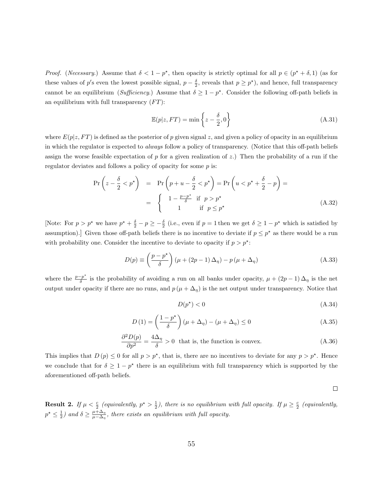*Proof.* (*Necessary.*) Assume that  $\delta < 1 - p^*$ , then opacity is strictly optimal for all  $p \in (p^* + \delta, 1)$  (as for these values of p's even the lowest possible signal,  $p - \frac{\delta}{2}$ , reveals that  $p \geq p^*$ ), and hence, full transparency cannot be an equilibrium (Sufficiency.) Assume that  $\delta \geq 1 - p^*$ . Consider the following off-path beliefs in an equilibrium with full transparency  $(FT)$ :

$$
\mathbb{E}(p|z, FT) = \min\left\{z - \frac{\delta}{2}, 0\right\}
$$
\n(A.31)

where  $E(p|z, FT)$  is defined as the posterior of p given signal z, and given a policy of opacity in an equilibrium in which the regulator is expected to always follow a policy of transparency. (Notice that this off-path beliefs assign the worse feasible expectation of p for a given realization of z.) Then the probability of a run if the regulator deviates and follows a policy of opacity for some p is:

$$
\Pr\left(z - \frac{\delta}{2} < p^{\star}\right) = \Pr\left(p + u - \frac{\delta}{2} < p^{\star}\right) = \Pr\left(u < p^{\star} + \frac{\delta}{2} - p\right) = \left\{\n\begin{array}{ll}\n1 - \frac{p - p^{\star}}{\delta} & \text{if } p > p^{\star} \\
1 & \text{if } p \leq p^{\star}\n\end{array}\n\right.\n\tag{A.32}
$$

[Note: For  $p > p^*$  we have  $p^* + \frac{\delta}{2} - p \ge -\frac{\delta}{2}$  (i.e., even if  $p = 1$  then we get  $\delta \ge 1 - p^*$  which is satisfied by assumption). Given those off-path beliefs there is no incentive to deviate if  $p \leq p^*$  as there would be a run with probability one. Consider the incentive to deviate to opacity if  $p > p^*$ :

$$
D(p) \equiv \left(\frac{p - p^*}{\delta}\right) \left(\mu + (2p - 1)\Delta_{\eta}\right) - p\left(\mu + \Delta_{\eta}\right) \tag{A.33}
$$

where the  $\frac{p-p^*}{\delta}$  $\frac{p}{\delta}$  is the probability of avoiding a run on all banks under opacity,  $\mu + (2p - 1) \Delta_{\eta}$  is the net output under opacity if there are no runs, and  $p(\mu + \Delta_{\eta})$  is the net output under transparency. Notice that

$$
D(p^*)<0\tag{A.34}
$$

$$
D(1) = \left(\frac{1 - p^*}{\delta}\right)(\mu + \Delta_\eta) - (\mu + \Delta_\eta) \le 0
$$
\n(A.35)

$$
\frac{\partial^2 D(p)}{\partial p^2} = \frac{4\Delta_\eta}{\delta} > 0 \text{ that is, the function is convex.} \tag{A.36}
$$

This implies that  $D(p) \leq 0$  for all  $p > p^*$ , that is, there are no incentives to deviate for any  $p > p^*$ . Hence we conclude that for  $\delta \geq 1 - p^*$  there is an equilibrium with full transparency which is supported by the aforementioned off-path beliefs.

 $\Box$ 

**Result 2.** If  $\mu < \frac{c}{2}$  (equivalently,  $p^* > \frac{1}{2}$ ), there is no equilibrium with full opacity. If  $\mu \ge \frac{c}{2}$  (equivalently,  $p^* \leq \frac{1}{2}$ ) and  $\delta \geq \frac{\mu + \Delta_{\eta}}{\mu - \Delta_{\eta}}$  $\frac{\mu+\Delta_{\eta}}{\mu-\Delta_{\eta}}$ , there exists an equilibrium with full opacity.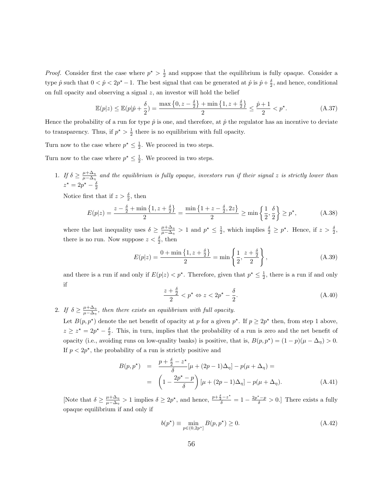*Proof.* Consider first the case where  $p^* > \frac{1}{2}$  and suppose that the equilibrium is fully opaque. Consider a type  $\hat{p}$  such that  $0 < \hat{p} < 2p^* - 1$ . The best signal that can be generated at  $\hat{p}$  is  $\hat{p} + \frac{\delta}{2}$ , and hence, conditional on full opacity and observing a signal  $z$ , an investor will hold the belief

$$
\mathbb{E}(p|z) \le \mathbb{E}(p|\hat{p} + \frac{\delta}{2}) = \frac{\max\left\{0, z - \frac{\delta}{2}\right\} + \min\left\{1, z + \frac{\delta}{2}\right\}}{2} \le \frac{\hat{p} + 1}{2} < p^*.
$$
\n(A.37)

Hence the probability of a run for type  $\hat{p}$  is one, and therefore, at  $\hat{p}$  the regulator has an incentive to deviate to transparency. Thus, if  $p^* > \frac{1}{2}$  there is no equilibrium with full opacity.

Turn now to the case where  $p^* \leq \frac{1}{2}$ . We proceed in two steps.

Turn now to the case where  $p^* \leq \frac{1}{2}$ . We proceed in two steps.

1. If  $\delta \geq \frac{\mu + \Delta_{\eta}}{\mu - \Delta}$  $\frac{\mu+\Delta_{\eta}}{\mu-\Delta_{\eta}}$  and the equilibrium is fully opaque, investors run if their signal z is strictly lower than  $z^* = 2p^* - \frac{\delta}{2}$ 

Notice first that if  $z > \frac{\delta}{2}$ , then

$$
E(p|z) = \frac{z - \frac{\delta}{2} + \min\left\{1, z + \frac{\delta}{2}\right\}}{2} = \frac{\min\left\{1 + z - \frac{\delta}{2}, 2z\right\}}{2} \ge \min\left\{\frac{1}{2}, \frac{\delta}{2}\right\} \ge p^\star,
$$
 (A.38)

where the last inequality uses  $\delta \geq \frac{\mu + \Delta_{\eta}}{\mu - \Delta}$  $\frac{\mu+\Delta_{\eta}}{\mu-\Delta_{\eta}} > 1$  and  $p^* \leq \frac{1}{2}$ , which implies  $\frac{\delta}{2} \geq p^*$ . Hence, if  $z > \frac{\delta}{2}$ , there is no run. Now suppose  $z < \frac{\delta}{2}$ , then

$$
E(p|z) = \frac{0 + \min\left\{1, z + \frac{\delta}{2}\right\}}{2} = \min\left\{\frac{1}{2}, \frac{z + \frac{\delta}{2}}{2}\right\},\tag{A.39}
$$

and there is a run if and only if  $E(p|z) < p^*$ . Therefore, given that  $p^* \leq \frac{1}{2}$ , there is a run if and only if

$$
\frac{z+\frac{\delta}{2}}{2} < p^\star \Leftrightarrow z < 2p^\star - \frac{\delta}{2}.\tag{A.40}
$$

2. If  $\delta \geq \frac{\mu + \Delta_{\eta}}{\mu - \Delta}$  $\frac{\mu+\Delta_{\eta}}{\mu-\Delta_{\eta}}$ , then there exists an equilibrium with full opacity.

Let  $B(p, p^*)$  denote the net benefit of opacity at p for a given  $p^*$ . If  $p \geq 2p^*$  then, from step 1 above,  $z \geq z^* = 2p^* - \frac{\delta}{2}$ . This, in turn, implies that the probability of a run is zero and the net benefit of opacity (i.e., avoiding runs on low-quality banks) is positive, that is,  $B(p, p^*) = (1 - p)(\mu - \Delta_{\eta}) > 0$ . If  $p < 2p^*$ , the probability of a run is strictly positive and

$$
B(p, p^*) = \frac{p + \frac{\delta}{2} - z^*}{\delta} [\mu + (2p - 1)\Delta_{\eta}] - p(\mu + \Delta_{\eta}) =
$$
  
= 
$$
\left(1 - \frac{2p^* - p}{\delta}\right) [\mu + (2p - 1)\Delta_{\eta}] - p(\mu + \Delta_{\eta}).
$$
 (A.41)

[Note that  $\delta \geq \frac{\mu + \Delta_{\eta}}{\mu - \Delta}$  $\frac{\mu+\Delta_{\eta}}{\mu-\Delta_{\eta}} > 1$  implies  $\delta \geq 2p^*$ , and hence,  $\frac{p+\frac{\delta}{2}-z^*}{\delta} = 1 - \frac{2p^*-p}{\delta} > 0$ . There exists a fully opaque equilibrium if and only if

$$
b(p^*) \equiv \min_{p \in (0, 2p^*]} B(p, p^*) \ge 0.
$$
 (A.42)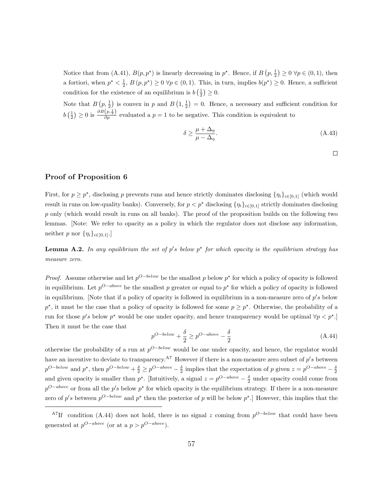Notice that from (A.41),  $B(p, p^*)$  is linearly decreasing in  $p^*$ . Hence, if  $B(p, \frac{1}{2}) \ge 0 \ \forall p \in (0, 1)$ , then a fortiori, when  $p^* < \frac{1}{2}$ ,  $B(p, p^*) \ge 0$   $\forall p \in (0, 1)$ . This, in turn, implies  $b(p^*) \ge 0$ . Hence, a sufficient condition for the existence of an equilibrium is  $b\left(\frac{1}{2}\right) \geq 0$ .

Note that  $B(p, \frac{1}{2})$  is convex in p and  $B(1, \frac{1}{2}) = 0$ . Hence, a necessary and sufficient condition for  $b\left(\frac{1}{2}\right) \geq 0$  is  $\frac{\partial B(p,\frac{1}{2})}{\partial p}$  evaluated a  $p=1$  to be negative. This condition is equivalent to

$$
\delta \ge \frac{\mu + \Delta_{\eta}}{\mu - \Delta_{\eta}}.\tag{A.43}
$$

 $\Box$ 

#### Proof of Proposition 6

First, for  $p \geq p^*$ , disclosing p prevents runs and hence strictly dominates disclosing  $\{\eta_i\}_{i\in[0,1]}$  (which would result in runs on low-quality banks). Conversely, for  $p < p^*$  disclosing  $\{\eta_i\}_{i\in[0,1]}$  strictly dominates disclosing p only (which would result in runs on all banks). The proof of the proposition builds on the following two lemmas. [Note: We refer to opacity as a policy in which the regulator does not disclose any information, neither p nor  $\{\eta_i\}_{i\in[0,1]}$ .

**Lemma A.2.** In any equilibrium the set of p's below  $p^*$  for which opacity is the equilibrium strategy has measure zero.

*Proof.* Assume otherwise and let  $p^{O-below}$  be the smallest p below  $p^*$  for which a policy of opacity is followed in equilibrium. Let  $p^{O-above}$  be the smallest p greater or equal to  $p^*$  for which a policy of opacity is followed in equilibrium. [Note that if a policy of opacity is followed in equilibrium in a non-measure zero of  $p's$  below  $p^*$ , it must be the case that a policy of opacity is followed for some  $p \geq p^*$ . Otherwise, the probability of a run for those p's below p<sup>\*</sup> would be one under opacity, and hence transparency would be optimal  $\forall p < p^*$ . Then it must be the case that

$$
p^{O-below} + \frac{\delta}{2} \ge p^{O-above} - \frac{\delta}{2}
$$
 (A.44)

otherwise the probability of a run at  $p^{O-below}$  would be one under opacity, and hence, the regulator would have an incentive to deviate to transparency.<sup>A7</sup> However if there is a non-measure zero subset of  $p's$  between  $p^{O-below}$  and  $p^*$ , then  $p^{O-below} + \frac{\delta}{2} \ge p^{O-above} - \frac{\delta}{2}$  implies that the expectation of p given  $z = p^{O-above} - \frac{\delta}{2}$ and given opacity is smaller than  $p^*$ . [Intuitively, a signal  $z = p^{O-above} - \frac{\delta}{2}$  under opacity could come from  $p^{O-above}$  or from all the p's below p<sup>\*</sup> for which opacity is the equilibrium strategy. If there is a non-measure zero of p's between  $p^{O-below}$  and  $p^*$  then the posterior of p will be below  $p^*$ . However, this implies that the

<sup>&</sup>lt;sup>A7</sup>If condition (A.44) does not hold, there is no signal z coming from  $p^{O-below}$  that could have been generated at  $p^{O-above}$  (or at a  $p > p^{O-above}$ ).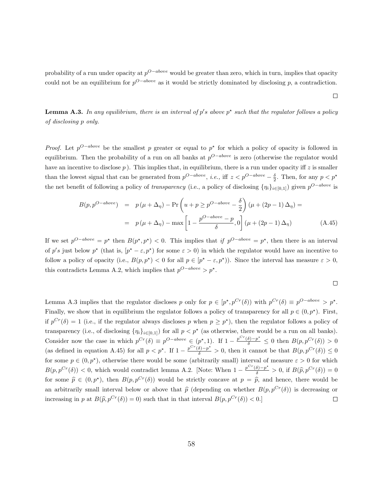probability of a run under opacity at  $p^{O-above}$  would be greater than zero, which in turn, implies that opacity could not be an equilibrium for  $p^{O-above}$  as it would be strictly dominated by disclosing p, a contradiction.

**Lemma A.3.** In any equilibrium, there is an interval of p's above p<sup>\*</sup> such that the regulator follows a policy of disclosing p only.

*Proof.* Let  $p^{O-above}$  be the smallest p greater or equal to  $p^*$  for which a policy of opacity is followed in equilibrium. Then the probability of a run on all banks at  $p^{O-above}$  is zero (otherwise the regulator would have an incentive to disclose  $p$ ). This implies that, in equilibrium, there is a run under opacity iff z is smaller than the lowest signal that can be generated from  $p^{O-above}$ , *i.e.*, iff  $z < p^{O-above} - \frac{\delta}{2}$ . Then, for any  $p < p^*$ the net benefit of following a policy of *transparency* (i.e., a policy of disclosing  $\{\eta_i\}_{i\in[0,1]})$  given  $p^{O-above}$  is

$$
B(p, p^{O-above}) = p(\mu + \Delta_{\eta}) - \Pr\left(u + p \ge p^{O-above} - \frac{\delta}{2}\right)(\mu + (2p - 1)\Delta_{\eta}) =
$$

$$
= p(\mu + \Delta_{\eta}) - \max\left[1 - \frac{p^{O-above} - p}{\delta}, 0\right](\mu + (2p - 1)\Delta_{\eta}) \tag{A.45}
$$

If we set  $p^{O-above} = p^*$  then  $B(p^*, p^*) < 0$ . This implies that if  $p^{O-above} = p^*$ , then there is an interval of p's just below  $p^*$  (that is,  $[p^* - \varepsilon, p^*)$  for some  $\varepsilon > 0$ ) in which the regulator would have an incentive to follow a policy of opacity (i.e.,  $B(p, p^*) < 0$  for all  $p \in [p^* - \varepsilon, p^*)$ ). Since the interval has measure  $\varepsilon > 0$ , this contradicts Lemma A.2, which implies that  $p^{O-above} > p^*$ .

$$
\qquad \qquad \Box
$$

Lemma A.3 implies that the regulator discloses p only for  $p \in [p^*, p^{Cr}(\delta))$  with  $p^{Cr}(\delta) \equiv p^{O-above} > p^*$ . Finally, we show that in equilibrium the regulator follows a policy of transparency for all  $p \in (0, p^*)$ . First, if  $p^{Cr}(\delta) = 1$  (i.e., if the regulator always discloses p when  $p \geq p^*$ ), then the regulator follows a policy of transparency (i.e., of disclosing  $\{\eta_i\}_{i\in[0,1]})$  for all  $p < p^*$  (as otherwise, there would be a run on all banks). Consider now the case in which  $p^{Cr}(\delta) \equiv p^{O-above} \in (p^*, 1)$ . If  $1 - \frac{p^{Cr}(\delta) - p^*}{\delta} \leq 0$  then  $B(p, p^{Cr}(\delta)) > 0$ (as defined in equation A.45) for all  $p < p^*$ . If  $1 - \frac{p^{Cr}(\delta) - p^*}{\delta} > 0$ , then it cannot be that  $B(p, p^{Cr}(\delta)) \le 0$ for some  $p \in (0, p^*)$ , otherwise there would be some (arbitrarily small) interval of measure  $\varepsilon > 0$  for which  $B(p, p^{Cr}(\delta)) < 0$ , which would contradict lemma A.2. [Note: When  $1 - \frac{p^{Cr}(\delta) - p^{*}}{\delta} > 0$ , if  $B(\hat{p}, p^{Cr}(\delta)) = 0$ for some  $\hat{p} \in (0, p^*)$ , then  $B(p, p^{Cr}(\delta))$  would be strictly concave at  $p = \hat{p}$ , and hence, there would be an arbitrarily small interval below or above that  $\hat{p}$  (depending on whether  $B(p, p^{Cr}(\delta))$  is decreasing or increasing in p at  $B(\hat{p}, p^{Cr}(\delta)) = 0$ ) such that in that interval  $B(p, p^{Cr}(\delta)) < 0$ . increasing in p at  $B(\hat{p}, p^{Cr}(\delta)) = 0$ ) such that in that interval  $B(p, p^{Cr}(\delta)) < 0$ .

 $\Box$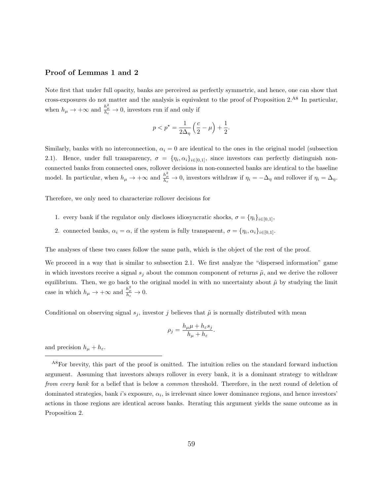#### Proof of Lemmas 1 and 2

Note first that under full opacity, banks are perceived as perfectly symmetric, and hence, one can show that cross-exposures do not matter and the analysis is equivalent to the proof of Proposition 2.A8 In particular, when  $h_{\mu} \to +\infty$  and  $\frac{h_{\mu}^2}{h_{\varepsilon}} \to 0$ , investors run if and only if

$$
p < p^* = \frac{1}{2\Delta_{\eta}}\left(\frac{c}{2} - \mu\right) + \frac{1}{2}.
$$

Similarly, banks with no interconnection,  $\alpha_i = 0$  are identical to the ones in the original model (subsection 2.1). Hence, under full transparency,  $\sigma = {\eta_i, \alpha_i}_{i \in [0,1]}$ , since investors can perfectly distinguish nonconnected banks from connected ones, rollover decisions in non-connected banks are identical to the baseline model. In particular, when  $h_{\mu} \to +\infty$  and  $\frac{h_{\mu}^2}{h_{\varepsilon}} \to 0$ , investors withdraw if  $\eta_i = -\Delta_{\eta}$  and rollover if  $\eta_i = \Delta_{\eta}$ .

Therefore, we only need to characterize rollover decisions for

- 1. every bank if the regulator only discloses idiosyncratic shocks,  $\sigma = {\eta_i}_{i \in [0,1]},$
- 2. connected banks,  $\alpha_i = \alpha$ , if the system is fully transparent,  $\sigma = {\eta_i, \alpha_i}_{i \in [0,1]}$ .

The analyses of these two cases follow the same path, which is the object of the rest of the proof.

We proceed in a way that is similar to subsection 2.1. We first analyze the "dispersed information" game in which investors receive a signal  $s_i$  about the common component of returns  $\tilde{\mu}$ , and we derive the rollover equilibrium. Then, we go back to the original model in with no uncertainty about  $\tilde{\mu}$  by studying the limit case in which  $h_{\mu} \to +\infty$  and  $\frac{h_{\mu}^2}{h_{\varepsilon}} \to 0$ .

Conditional on observing signal  $s_j$ , investor j believes that  $\tilde{\mu}$  is normally distributed with mean

$$
\rho_j = \frac{h_\mu \mu + h_\varepsilon s_j}{h_\mu + h_\varepsilon}.
$$

and precision  $h_{\mu} + h_{\varepsilon}$ .

<sup>&</sup>lt;sup>A8</sup>For brevity, this part of the proof is omitted. The intuition relies on the standard forward induction argument. Assuming that investors always rollover in every bank, it is a dominant strategy to withdraw from every bank for a belief that is below a *common* threshold. Therefore, in the next round of deletion of dominated strategies, bank  $i$ 's exposure,  $\alpha_i$ , is irrelevant since lower dominance regions, and hence investors' actions in those regions are identical across banks. Iterating this argument yields the same outcome as in Proposition 2.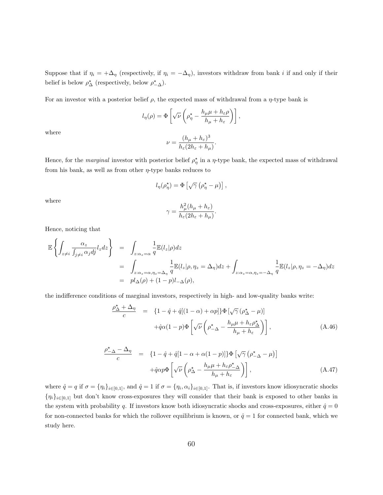Suppose that if  $\eta_i = +\Delta_\eta$  (respectively, if  $\eta_i = -\Delta_\eta$ ), investors withdraw from bank i if and only if their belief is below  $\rho^*_{\Delta}$  (respectively, below  $\rho^*_{-\Delta}$ ).

For an investor with a posterior belief  $\rho$ , the expected mass of withdrawal from a  $\eta$ -type bank is

$$
l_{\eta}(\rho) = \Phi \left[ \sqrt{\nu} \left( \rho_{\eta}^{\star} - \frac{h_{\mu}\mu + h_{\varepsilon}\rho}{h_{\mu} + h_{\varepsilon}} \right) \right],
$$

where

$$
\nu = \frac{(h_\mu + h_\varepsilon)^3}{h_\varepsilon (2h_\varepsilon + h_\mu)}.
$$

Hence, for the *marginal* investor with posterior belief  $\rho_{\eta}^*$  in a  $\eta$ -type bank, the expected mass of withdrawal from his bank, as well as from other  $\eta$ -type banks reduces to

$$
l_{\eta}(\rho_{\eta}^{\star}) = \Phi \left[ \sqrt{\gamma} \left( \rho_{\eta}^{\star} - \mu \right) \right],
$$

where

$$
\gamma = \frac{h_{\mu}^2 (h_{\mu} + h_{\varepsilon})}{h_{\varepsilon} (2h_{\varepsilon} + h_{\mu})}.
$$

Hence, noticing that

$$
\mathbb{E}\left\{\int_{z\neq i}\frac{\alpha_z}{\int_{j\neq i}\alpha_j d\dot{y}}l_z dz\right\} = \int_{z:\alpha_z=\alpha} \frac{1}{q}\mathbb{E}(l_z|\rho)dz
$$
  
\n
$$
= \int_{z:\alpha_z=\alpha,\eta_z=\Delta_{\eta}} \frac{1}{q}\mathbb{E}(l_z|\rho,\eta_z=\Delta_{\eta})dz + \int_{z:\alpha_z=\alpha,\eta_z=-\Delta_{\eta}} \frac{1}{q}\mathbb{E}(l_z|\rho,\eta_z=-\Delta_{\eta})dz
$$
  
\n
$$
= pl_{\Delta}(\rho) + (1-p)l_{-\Delta}(\rho),
$$

the indifference conditions of marginal investors, respectively in high- and low-quality banks write:

$$
\frac{\rho_{\Delta}^{\star} + \Delta_{\eta}}{c} = \left\{ 1 - \hat{q} + \hat{q}[(1 - \alpha) + \alpha p] \right\} \Phi \left[ \sqrt{\gamma} \left( \rho_{\Delta}^{\star} - \mu \right) \right] \n+ \hat{q}\alpha (1 - p) \Phi \left[ \sqrt{\nu} \left( \rho_{-\Delta}^{\star} - \frac{h_{\mu}\mu + h_{\varepsilon}\rho_{\Delta}^{\star}}{h_{\mu} + h_{\varepsilon}} \right) \right],
$$
\n(A.46)

$$
\frac{\rho_{\Delta}^{\star} - \Delta_{\eta}}{c} = \left\{ 1 - \hat{q} + \hat{q}[1 - \alpha + \alpha(1 - p)] \right\} \Phi \left[ \sqrt{\gamma} \left( \rho_{\Delta}^{\star} - \mu \right) \right] \n+ \hat{q} \alpha p \Phi \left[ \sqrt{\nu} \left( \rho_{\Delta}^{\star} - \frac{h_{\mu} \mu + h_{\varepsilon} \rho_{\Delta}^{\star}}{h_{\mu} + h_{\varepsilon}} \right) \right],
$$
\n(A.47)

where  $\hat{q} = q$  if  $\sigma = \{\eta_i\}_{i \in [0,1]},$  and  $\hat{q} = 1$  if  $\sigma = \{\eta_i, \alpha_i\}_{i \in [0,1]}$ . That is, if investors know idiosyncratic shocks  ${n_i}_{i\in[0,1]}$  but don't know cross-exposures they will consider that their bank is exposed to other banks in the system with probability q. If investors know both idiosyncratic shocks and cross-exposures, either  $\hat{q} = 0$ for non-connected banks for which the rollover equilibrium is known, or  $\hat{q} = 1$  for connected bank, which we study here.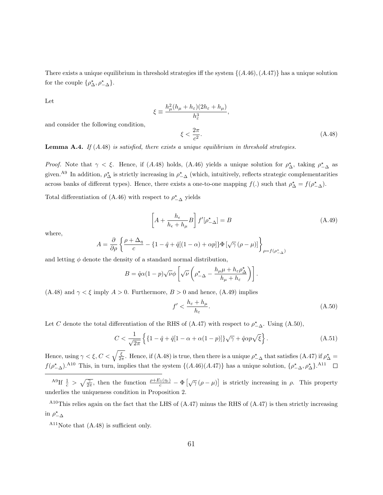There exists a unique equilibrium in threshold strategies iff the system  $\{(A.46), (A.47)\}\$  has a unique solution for the couple  $\{\rho^{\star}_{\Delta}, \rho^{\star}_{-\Delta}\}.$ 

Let

$$
\xi \equiv \frac{h_{\mu}^{2}(h_{\mu} + h_{\varepsilon})(2h_{\varepsilon} + h_{\mu})}{h_{\varepsilon}^{3}},
$$
  

$$
\xi < \frac{2\pi}{c^{2}}.
$$
 (A.48)

and consider the following condition,

**Lemma A.4.** If  $(A.48)$  is satisfied, there exists a unique equilibrium in threshold strategies.

Proof. Note that  $\gamma < \xi$ . Hence, if (A.48) holds, (A.46) yields a unique solution for  $\rho^*_{\Delta}$ , taking  $\rho^*_{-\Delta}$  as given.<sup>A9</sup> In addition,  $\rho_{\Delta}^*$  is strictly increasing in  $\rho_{-\Delta}^*$  (which, intuitively, reflects strategic complementarities across banks of different types). Hence, there exists a one-to-one mapping  $f(.)$  such that  $\rho_{\Delta}^* = f(\rho_{-\Delta}^*)$ .

Total differentiation of (A.46) with respect to  $\rho_{-\Delta}^*$  yields

$$
\left[A + \frac{h_{\epsilon}}{h_{\epsilon} + h_{\mu}} B\right] f'[\rho_{-\Delta}^{\star}] = B \tag{A.49}
$$

where,

$$
A = \frac{\partial}{\partial \rho} \left\{ \frac{\rho + \Delta_{\eta}}{c} - \left\{ 1 - \hat{q} + \hat{q}[(1 - \alpha) + \alpha p] \right\} \Phi \left[ \sqrt{\gamma} \left( \rho - \mu \right) \right] \right\}_{\rho = f(\rho^*_{-\Delta})}
$$

and letting  $\phi$  denote the density of a standard normal distribution,

$$
B = \hat{q}\alpha(1-p)\sqrt{\nu}\phi\left[\sqrt{\nu}\left(\rho_{-\Delta}^* - \frac{h_{\mu}\mu + h_{\varepsilon}\rho_{\Delta}^*}{h_{\mu} + h_{\varepsilon}}\right)\right].
$$

(A.48) and  $\gamma < \xi$  imply  $A > 0$ . Furthermore,  $B > 0$  and hence, (A.49) implies

$$
f' < \frac{h_{\varepsilon} + h_{\mu}}{h_{\varepsilon}}.\tag{A.50}
$$

Let C denote the total differentiation of the RHS of (A.47) with respect to  $\rho_{-\Delta}^*$ . Using (A.50),

$$
C < \frac{1}{\sqrt{2\pi}} \left\{ \left\{ 1 - \hat{q} + \hat{q} [1 - \alpha + \alpha (1 - p)] \right\} \sqrt{\gamma} + \hat{q} \alpha p \sqrt{\xi} \right\}. \tag{A.51}
$$

Hence, using  $\gamma < \xi$ ,  $C < \sqrt{\frac{\xi}{2\pi}}$ . Hence, if (A.48) is true, then there is a unique  $\rho_{-\Delta}^*$  that satisfies (A.47) if  $\rho_{\Delta}^* =$  $f(\rho_{\Delta}^{\star})$ .<sup>A10</sup> This, in turn, implies that the system  $\{(A.46)(A.47)\}\$  has a unique solution,  $\{\rho_{\Delta}^{\star}, \rho_{\Delta}^{\star}\}\$ .<sup>A11</sup>

<sup>A9</sup>If  $\frac{1}{c} > \sqrt{\frac{\gamma}{2\pi}}$ , then the function  $\frac{\rho+E_1(\eta_i)}{c} - \Phi[\sqrt{\gamma}(\rho-\mu)]$  is strictly increasing in  $\rho$ . This property underlies the uniqueness condition in Proposition 2.

 $A10$ This relies again on the fact that the LHS of  $(A.47)$  minus the RHS of  $(A.47)$  is then strictly increasing in  $\rho_{-\Delta}^{\star}$ 

 $A<sup>11</sup>$ Note that  $(A.48)$  is sufficient only.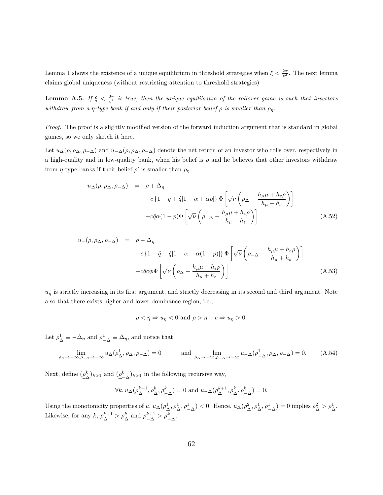Lemma 1 shows the existence of a unique equilibrium in threshold strategies when  $\xi < \frac{2\pi}{c^2}$ . The next lemma claims global uniqueness (without restricting attention to threshold strategies)

**Lemma A.5.** If  $\xi < \frac{2\pi}{c^2}$  is true, then the unique equilibrium of the rollover game is such that investors withdraw from a η-type bank if and only if their posterior belief  $\rho$  is smaller than  $\rho_n$ .

Proof. The proof is a slightly modified version of the forward induction argument that is standard in global games, so we only sketch it here.

Let  $u_{\Delta}(\rho, \rho_{\Delta}, \rho_{-\Delta})$  and  $u_{-\Delta}(\rho, \rho_{\Delta}, \rho_{-\Delta})$  denote the net return of an investor who rolls over, respectively in a high-quality and in low-quality bank, when his belief is  $\rho$  and he believes that other investors withdraw from  $\eta$ -type banks if their belief  $\rho'$  is smaller than  $\rho_{\eta}$ .

$$
u_{\Delta}(\rho, \rho_{\Delta}, \rho_{-\Delta}) = \rho + \Delta_{\eta}
$$
  
-c\{1 - \hat{q} + \hat{q}[1 - \alpha + \alpha p]\}\Phi\left[\sqrt{\nu}\left(\rho\_{\Delta} - \frac{h\_{\mu}\mu + h\_{\varepsilon}\rho}{h\_{\mu} + h\_{\varepsilon}}\right)\right]  
-c\hat{q}\alpha(1 - p)\Phi\left[\sqrt{\nu}\left(\rho\_{-\Delta} - \frac{h\_{\mu}\mu + h\_{\varepsilon}\rho}{h\_{\mu} + h\_{\varepsilon}}\right)\right] (A.52)

$$
u_{-}(\rho, \rho_{\Delta}, \rho_{-\Delta}) = \rho - \Delta_{\eta}
$$
  

$$
-c \{1 - \hat{q} + \hat{q}[1 - \alpha + \alpha(1 - p)]\} \Phi \left[ \sqrt{\nu} \left( \rho_{-\Delta} - \frac{h_{\mu}\mu + h_{\varepsilon}\rho}{h_{\mu} + h_{\varepsilon}} \right) \right]
$$

$$
-c\hat{q}\alpha p \Phi \left[ \sqrt{\nu} \left( \rho_{\Delta} - \frac{h_{\mu}\mu + h_{\varepsilon}\rho}{h_{\mu} + h_{\varepsilon}} \right) \right]
$$
(A.53)

 $u_n$  is strictly increasing in its first argument, and strictly decreasing in its second and third argument. Note also that there exists higher and lower dominance region, i.e.,

$$
\rho < \eta \Rightarrow u_{\eta} < 0 \text{ and } \rho > \eta - c \Rightarrow u_{\eta} > 0.
$$

Let  $\rho^1$  $\frac{1}{\Delta} \equiv -\Delta_{\eta}$  and  $\underline{\rho}^{1}_{-\Delta} \equiv \Delta_{\eta}$ , and notice that

$$
\lim_{\rho_{\Delta} \to -\infty, \rho_{-\Delta} \to -\infty} u_{\Delta}(\rho_{\Delta}^1, \rho_{\Delta}, \rho_{-\Delta}) = 0 \quad \text{and} \quad \lim_{\rho_{\Delta} \to -\infty, \rho_{-\Delta} \to -\infty} u_{-\Delta}(\rho_{-\Delta}^1, \rho_{\Delta}, \rho_{-\Delta}) = 0. \quad (A.54)
$$

Next, define  $(\rho^k_A)$  $(\underline{\rho}_{-\Delta}^k)_{k>1}$  and  $(\underline{\rho}_{-\Delta}^k)_{k>1}$  in the following recursive way,

$$
\forall k, u_{\Delta}(\underline{\rho_{\Delta}^{k+1}}, \underline{\rho_{\Delta}^k}, \underline{\rho_{-\Delta}^k}) = 0 \text{ and } u_{-\Delta}(\underline{\rho_{\Delta}^{k+1}}, \underline{\rho_{\Delta}^k}, \underline{\rho_{-\Delta}^k}) = 0.
$$

Using the monotonicity properties of  $u, u_{\Delta}(\rho_{\Lambda}^1)$  $(\Delta, \rho^1_{\Delta}, \rho^1_{-\Delta})$  < 0. Hence,  $u_{\Delta}(\rho^2_{\Delta})$  $\mathcal{L}_{\Delta}, \mathcal{L}_{\Delta}^{1}, \mathcal{L}_{-\Delta}^{1}$  = 0 implies  $\mathcal{L}_{\Delta}^{2}$  $\frac{2}{\Delta} > \underline{\rho}_{\Delta}^1.$ Likewise, for any  $k, \rho_{\lambda}^{k+1}$  $_{\Delta}^{k+1} > \underline{\rho}_{\Delta}^{k}$  and  $\underline{\rho}_{-\Delta}^{k+1} > \underline{\rho}_{-\Delta}^{k}$ .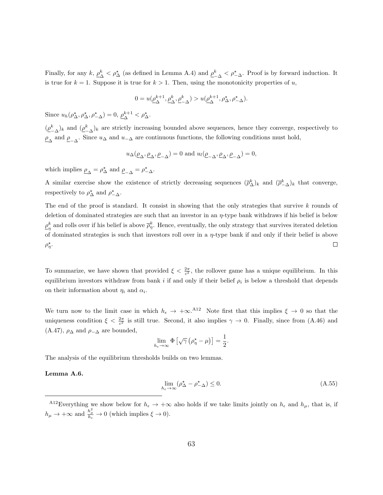Finally, for any  $k, \rho_{\lambda}^{k}$  $\frac{k}{\Delta} < \rho^{\star}_{\Delta}$  (as defined in Lemma A.4) and  $\rho^k_{-\Delta} < \rho^{\star}_{-\Delta}$ . Proof is by forward induction. It is true for  $k = 1$ . Suppose it is true for  $k > 1$ . Then, using the monotonicity properties of u,

$$
0 = u(\underline{\rho_{\Delta}^{k+1}}, \underline{\rho_{\Delta}^k}, \underline{\rho_{-\Delta}^k}) > u(\underline{\rho_{\Delta}^{k+1}}, \rho_{\Delta}^*, \rho_{-\Delta}^*).
$$

Since  $u_h(\rho_{\Delta}^*, \rho_{\Delta}^*, \rho_{-\Delta}^*) = 0, \underline{\rho}_{\Delta}^{k+1}$  $_{\Delta}^{k+1} < \rho_{\Delta}^*$ .

 $(\underline{\rho}_{-\Delta}^k)_k$  and  $(\underline{\rho}_{-\Delta}^k)_k$  are strictly increasing bounded above sequences, hence they converge, respectively to  $\rho_{\Delta}$  and  $\rho_{-\Delta}$ . Since  $u_{\Delta}$  and  $u_{-\Delta}$  are continuous functions, the following conditions must hold,

$$
u_{\Delta}(\underline{\rho}_{\Delta}, \underline{\rho}_{\Delta}, \underline{\rho}_{-\Delta}) = 0
$$
 and  $u_{l}(\underline{\rho}_{-\Delta}, \underline{\rho}_{\Delta}, \underline{\rho}_{-\Delta}) = 0$ ,

which implies  $\rho_{\Delta} = \rho_{\Delta}^*$  and  $\rho_{-\Delta} = \rho_{-\Delta}^*$ .

A similar exercise show the existence of strictly decreasing sequences  $(\bar{\rho}_{\Delta}^k)_k$  and  $(\bar{\rho}_{-\Delta}^k)_k$  that converge, respectively to  $\rho_{\Delta}^{\star}$  and  $\rho_{-\Delta}^{\star}$ .

The end of the proof is standard. It consist in showing that the only strategies that survive  $k$  rounds of deletion of dominated strategies are such that an investor in an  $\eta$ -type bank withdraws if his belief is below  $\rho^k$  $\frac{k}{\eta}$  and rolls over if his belief is above  $\overline{\rho}_{\eta}^k$ . Hence, eventually, the only strategy that survives iterated deletion of dominated strategies is such that investors roll over in a  $\eta$ -type bank if and only if their belief is above  $\rho_{\eta}^{\star}$ .  $\Box$ 

To summarize, we have shown that provided  $\xi < \frac{2\pi}{c^2}$ , the rollover game has a unique equilibrium. In this equilibrium investors withdraw from bank i if and only if their belief  $\rho_i$  is below a threshold that depends on their information about  $\eta_i$  and  $\alpha_i$ .

We turn now to the limit case in which  $h_{\epsilon} \to +\infty$ .<sup>A12</sup> Note first that this implies  $\xi \to 0$  so that the uniqueness condition  $\xi < \frac{2\pi}{c^2}$  is still true. Second, it also implies  $\gamma \to 0$ . Finally, since from (A.46) and (A.47),  $\rho_{\Delta}$  and  $\rho_{-\Delta}$  are bounded,

$$
\lim_{h_{\varepsilon}\to\infty}\Phi\left[\sqrt{\gamma}\left(\rho_{\eta}^{\star}-\mu\right)\right]=\frac{1}{2}.
$$

The analysis of the equilibrium thresholds builds on two lemmas.

#### Lemma A.6.

$$
\lim_{h_{\varepsilon}\to\infty} (\rho^{\star}_{\Delta} - \rho^{\star}_{-\Delta}) \le 0. \tag{A.55}
$$

<sup>&</sup>lt;sup>A12</sup>Everything we show below for  $h_{\epsilon} \to +\infty$  also holds if we take limits jointly on  $h_{\epsilon}$  and  $h_{\mu}$ , that is, if  $h_{\mu} \to +\infty$  and  $\frac{h_{\mu}^2}{h_{\varepsilon}} \to 0$  (which implies  $\xi \to 0$ ).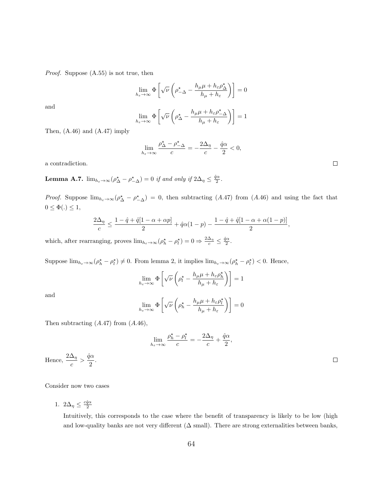Proof. Suppose (A.55) is not true, then

$$
\lim_{h_{\varepsilon}\to\infty} \Phi\left[\sqrt{\nu}\left(\rho_{-\Delta}^* - \frac{h_{\mu}\mu + h_{\varepsilon}\rho_{\Delta}^*}{h_{\mu} + h_{\varepsilon}}\right)\right] = 0
$$

and

$$
\lim_{h_{\varepsilon}\to\infty} \Phi\left[\sqrt{\nu}\left(\rho^{\star}_{\Delta} - \frac{h_{\mu}\mu + h_{\varepsilon}\rho^{\star}_{-\Delta}}{h_{\mu} + h_{\varepsilon}}\right)\right] = 1
$$

Then, (A.46) and (A.47) imply

$$
\lim_{h_{\varepsilon}\to\infty}\frac{\rho^{\star}_{\Delta}-\rho^{\star}_{-\Delta}}{c}=-\frac{2\Delta_{\eta}}{c}-\frac{\hat{q}\alpha}{2}<0,
$$

a contradiction.

**Lemma A.7.**  $\lim_{h_{\varepsilon}\to\infty} (\rho_{\Delta}^* - \rho_{-\Delta}^*) = 0$  if and only if  $2\Delta_{\eta} \leq \frac{\hat{q}\alpha}{2}$ .

*Proof.* Suppose  $\lim_{h_{\varepsilon}\to\infty}$  ( $\rho^{\star}_{\Delta} - \rho^{\star}_{-\Delta}$ ) = 0, then subtracting (A.47) from (A.46) and using the fact that  $0\leq \Phi(.)\leq 1,$ 

$$
\frac{2\Delta_{\eta}}{c} \le \frac{1-\hat{q}+\hat{q}[1-\alpha+\alpha p]}{2} + \hat{q}\alpha(1-p) - \frac{1-\hat{q}+\hat{q}[1-\alpha+\alpha(1-p)]}{2},
$$

which, after rearranging, proves  $\lim_{h_{\varepsilon}\to\infty} (\rho_h^* - \rho_l^*) = 0 \Rightarrow \frac{2\Delta_\eta}{c} \leq \frac{\hat{q}\alpha}{2}$ .

Suppose  $\lim_{h_{\varepsilon}\to\infty} (\rho_h^* - \rho_l^*) \neq 0$ . From lemma 2, it implies  $\lim_{h_{\varepsilon}\to\infty} (\rho_h^* - \rho_l^*) < 0$ . Hence,

$$
\lim_{h_{\varepsilon}\to\infty} \Phi\left[\sqrt{\nu}\left(\rho_l^{\star} - \frac{h_{\mu}\mu + h_{\varepsilon}\rho_h^{\star}}{h_{\mu} + h_{\varepsilon}}\right)\right] = 1
$$

and

Hence,

$$
\lim_{h_{\varepsilon}\to\infty}\Phi\left[\sqrt{\nu}\left(\rho_h^{\star}-\frac{h_{\mu}\mu+h_{\varepsilon}\rho_l^{\star}}{h_{\mu}+h_{\varepsilon}}\right)\right]=0
$$

Then subtracting  $(A.47)$  from  $(A.46)$ ,

$$
\lim_{h_{\varepsilon}\to\infty}\frac{\rho_h^{\star}-\rho_l^{\star}}{c}=-\frac{2\Delta_\eta}{c}+\frac{\hat{q}\alpha}{2},
$$
  

$$
\frac{2\Delta_\eta}{c}>\frac{\hat{q}\alpha}{2}.
$$

Consider now two cases

1.  $2\Delta_{\eta} \leq \frac{c\hat{q}\alpha}{2}$ 

Intuitively, this corresponds to the case where the benefit of transparency is likely to be low (high and low-quality banks are not very different  $(\Delta \text{ small})$ . There are strong externalities between banks,

 $\Box$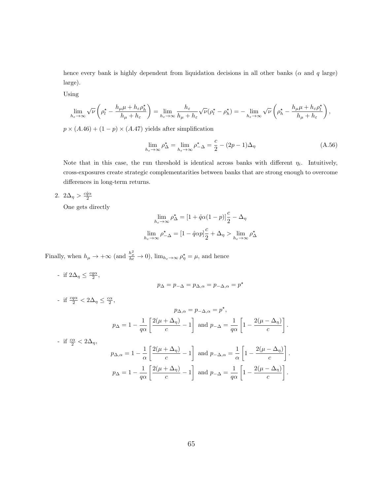hence every bank is highly dependent from liquidation decisions in all other banks ( $\alpha$  and  $q$  large) large).

Using

$$
\lim_{h_{\varepsilon}\to\infty}\sqrt{\nu}\left(\rho_l^{\star}-\frac{h_{\mu}\mu+h_{\varepsilon}\rho_h^{\star}}{h_{\mu}+h_{\varepsilon}}\right)=\lim_{h_{\varepsilon}\to\infty}\frac{h_{\varepsilon}}{h_{\mu}+h_{\varepsilon}}\sqrt{\nu}(\rho_l^{\star}-\rho_h^{\star})=-\lim_{h_{\varepsilon}\to\infty}\sqrt{\nu}\left(\rho_h^{\star}-\frac{h_{\mu}\mu+h_{\varepsilon}\rho_l^{\star}}{h_{\mu}+h_{\varepsilon}}\right),
$$

 $p \times (A.46) + (1 - p) \times (A.47)$  yields after simplification

$$
\lim_{h_{\varepsilon}\to\infty} \rho_{\Delta}^{\star} = \lim_{h_{\varepsilon}\to\infty} \rho_{-\Delta}^{\star} = \frac{c}{2} - (2p - 1)\Delta_{\eta}
$$
\n(A.56)

Note that in this case, the run threshold is identical across banks with different  $\eta_i$ . Intuitively, cross-exposures create strategic complementarities between banks that are strong enough to overcome differences in long-term returns.

2.  $2\Delta_{\eta} > \frac{c\hat{q}\alpha}{2}$ 

One gets directly

$$
\lim_{h_{\varepsilon}\to\infty} \rho^{\star}_{\Delta} = [1 + \hat{q}\alpha(1-p)]\frac{c}{2} - \Delta_{\eta}
$$

$$
\lim_{h_{\varepsilon}\to\infty} \rho^{\star}_{-\Delta} = [1 - \hat{q}\alpha p]\frac{c}{2} + \Delta_{\eta} > \lim_{h_{\varepsilon}\to\infty} \rho^{\star}_{\Delta}
$$

Finally, when  $h_{\mu} \to +\infty$  (and  $\frac{h_{\mu}^2}{h_{\epsilon}} \to 0$ ),  $\lim_{h_{\epsilon} \to \infty} \rho_{\eta}^* = \mu$ , and hence

- if  $2\Delta_{\eta} \leq \frac{c q \alpha}{2},$ - if  $\frac{c q \alpha}{2} < 2\Delta_{\eta} \leq \frac{c \alpha}{2},$ 

$$
p_{\Delta,\alpha} = p_{-\Delta,\alpha} = p^*,
$$
  

$$
p_{\Delta} = 1 - \frac{1}{q\alpha} \left[ \frac{2(\mu + \Delta_\eta)}{c} - 1 \right]
$$
 and 
$$
p_{-\Delta} = \frac{1}{q\alpha} \left[ 1 - \frac{2(\mu - \Delta_\eta)}{c} \right].
$$

 $p_{\Delta} = p_{-\Delta} = p_{\Delta,\alpha} = p_{-\Delta,\alpha} = p^*$ 

- if 
$$
\frac{c\alpha}{2} < 2\Delta_{\eta}
$$
,  
\n
$$
p_{\Delta,\alpha} = 1 - \frac{1}{\alpha} \left[ \frac{2(\mu + \Delta_{\eta})}{c} - 1 \right] \text{ and } p_{-\Delta,\alpha} = \frac{1}{\alpha} \left[ 1 - \frac{2(\mu - \Delta_{\eta})}{c} \right].
$$
\n
$$
p_{\Delta} = 1 - \frac{1}{q\alpha} \left[ \frac{2(\mu + \Delta_{\eta})}{c} - 1 \right] \text{ and } p_{-\Delta} = \frac{1}{q\alpha} \left[ 1 - \frac{2(\mu - \Delta_{\eta})}{c} \right].
$$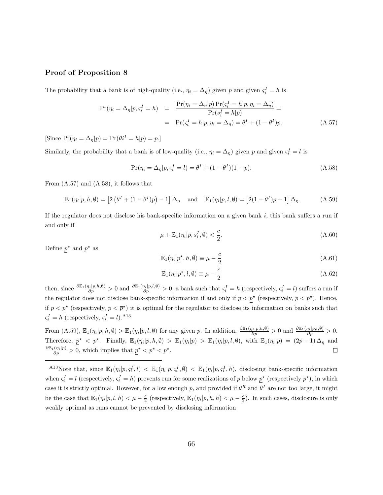#### Proof of Proposition 8

The probability that a bank is of high-quality (i.e.,  $\eta_i = \Delta_{\eta}$ ) given p and given  $\varsigma_i^I = h$  is

$$
\Pr(\eta_i = \Delta_{\eta} | p, \varsigma_i^I = h) = \frac{\Pr(\eta_i = \Delta_{\eta} | p) \Pr(\varsigma_i^I = h | p, \eta_i = \Delta_{\eta})}{\Pr(\varsigma_i^I = h | p)} =
$$
\n
$$
= \Pr(\varsigma_i^I = h | p, \eta_i = \Delta_{\eta}) = \theta^I + (1 - \theta^I) p. \tag{A.57}
$$

[Since  $Pr(\eta_i = \Delta_{\eta} | p) = Pr(\theta_i^I = h | p) = p$ .]

Similarly, the probability that a bank is of low-quality (i.e.,  $\eta_i = \Delta_{\eta}$ ) given p and given  $\varsigma_i^I = l$  is

$$
\Pr(\eta_i = \Delta_{\eta} | p, \varsigma_i^I = l) = \theta^I + (1 - \theta^I)(1 - p). \tag{A.58}
$$

From (A.57) and (A.58), it follows that

$$
\mathbb{E}_1(\eta_i|p,h,\emptyset) = \left[2\left(\theta^I + (1-\theta^I)p\right) - 1\right]\Delta_\eta \quad \text{and} \quad \mathbb{E}_1(\eta_i|p,l,\emptyset) = \left[2(1-\theta^I)p - 1\right]\Delta_\eta. \tag{A.59}
$$

If the regulator does not disclose his bank-specific information on a given bank  $i$ , this bank suffers a run if and only if

$$
\mu + \mathbb{E}_1(\eta_i | p, s_i^I, \emptyset) < \frac{c}{2}.\tag{A.60}
$$

Define  $p^*$  and  $\overline{p}^*$  as

$$
\mathbb{E}_1(\eta_i | \underline{p}^\star, h, \emptyset) \equiv \mu - \frac{c}{2} \tag{A.61}
$$

$$
\mathbb{E}_1(\eta_i|\overline{p}^\star, l, \emptyset) \equiv \mu - \frac{c}{2}
$$
\n(A.62)

then, since  $\frac{\partial \mathbb{E}_1(\eta_i|p,h,\theta)}{\partial p} > 0$  and  $\frac{\partial \mathbb{E}_1(\eta_i|p,l,\theta)}{\partial p} > 0$ , a bank such that  $\varsigma_i^I = h$  (respectively,  $\varsigma_i^I = l$ ) suffers a run if the regulator does not disclose bank-specific information if and only if  $p < p^*$  (respectively,  $p < \overline{p}^*$ ). Hence, if  $p < p^*$  (respectively,  $p < \overline{p}^*$ ) it is optimal for the regulator to disclose its information on banks such that  $s_i^I = h$  (respectively,  $s_i^I = l$ ).<sup>A13</sup>

From  $(A.59)$ ,  $\mathbb{E}_1(\eta_i|p,h,\emptyset) > \mathbb{E}_1(\eta_i|p,l,\emptyset)$  for any given p. In addition,  $\frac{\partial \mathbb{E}_1(\eta_i|p,h,\emptyset)}{\partial p} > 0$  and  $\frac{\partial \mathbb{E}_1(\eta_i|p,l,\emptyset)}{\partial p} > 0$ . Therefore,  $p^* \leq \overline{p}^*$ . Finally,  $\mathbb{E}_1(\eta_i|p, h, \emptyset) > \mathbb{E}_1(\eta_i|p) > \mathbb{E}_1(\eta_i|p, l, \emptyset)$ , with  $\mathbb{E}_1(\eta_i|p) = (2p-1)\Delta_{\eta}$  and  $\frac{\partial \mathbb{E}_1(\eta_i|p)}{\partial p} > 0$ , which implies that  $\underline{p}^* < p^* < \overline{p}^*$ .  $\Box$ 

<sup>A13</sup>Note that, since  $\mathbb{E}_1(\eta_i|p,\varsigma_i^I,l) < \mathbb{E}_1(\eta_i|p,\varsigma_i^I,\emptyset) < \mathbb{E}_1(\eta_i|p,\varsigma_i^I,h)$ , disclosing bank-specific information when  $s_i^I = l$  (respectively,  $s_i^I = h$ ) prevents run for some realizations of p below  $\underline{p}^*$  (respectively  $\overline{p}^*$ ), in which case it is strictly optimal. However, for a low enough p, and provided if  $\theta^R$  and  $\theta^I$  are not too large, it might be the case that  $\mathbb{E}_1(\eta_i|p,l,h) < \mu - \frac{c}{2}$  (respectively,  $\mathbb{E}_1(\eta_i|p,h,h) < \mu - \frac{c}{2}$ ). In such cases, disclosure is only weakly optimal as runs cannot be prevented by disclosing information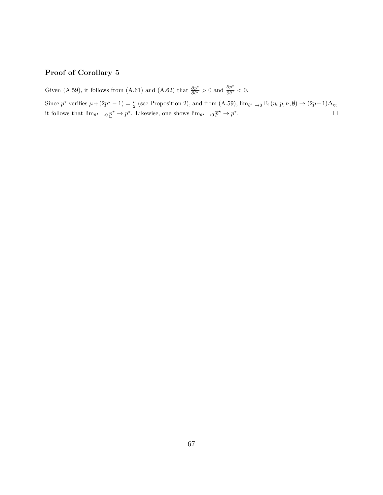### Proof of Corollary 5

Given (A.59), it follows from (A.61) and (A.62) that  $\frac{\partial \bar{p}^*}{\partial \theta^I} > 0$  and  $\frac{\partial p^*}{\partial \theta^I} < 0$ .

Since  $p^*$  verifies  $\mu + (2p^* - 1) = \frac{c}{2}$  (see Proposition 2), and from  $(A.59)$ ,  $\lim_{\theta^I \to 0} \mathbb{E}_1(\eta_i | p, h, \emptyset) \to (2p - 1)\Delta_{\eta}$ , it follows that  $\lim_{\theta^I \to 0} p^* \to p^*$ . Likewise, one shows  $\lim_{\theta^I \to 0} \overline{p}^* \to p^*$ .  $\Box$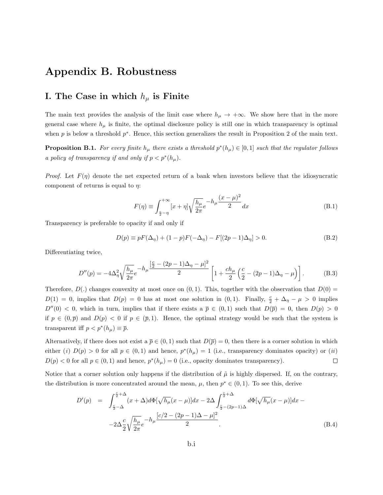### Appendix B. Robustness

### I. The Case in which  $h_{\mu}$  is Finite

The main text provides the analysis of the limit case where  $h_{\mu} \to +\infty$ . We show here that in the more general case where  $h_{\mu}$  is finite, the optimal disclosure policy is still one in which transparency is optimal when  $p$  is below a threshold  $p^*$ . Hence, this section generalizes the result in Proposition 2 of the main text.

**Proposition B.1.** For every finite  $h_\mu$  there exists a threshold  $p^*(h_\mu) \in [0,1]$  such that the regulator follows a policy of transparency if and only if  $p < p^*(h_\mu)$ .

*Proof.* Let  $F(\eta)$  denote the net expected return of a bank when investors believe that the idiosyncratic component of returns is equal to  $\eta$ :

$$
F(\eta) \equiv \int_{\frac{c}{2} - \eta}^{+\infty} [x + \eta] \sqrt{\frac{h_{\mu}}{2\pi}} e^{-h_{\mu} \frac{(x - \mu)^2}{2}} dx
$$
 (B.1)

Transparency is preferable to opacity if and only if

$$
D(p) \equiv pF(\Delta_{\eta}) + (1 - p)F(-\Delta_{\eta}) - F[(2p - 1)\Delta_{\eta}] > 0.
$$
 (B.2)

Differentiating twice,

$$
D''(p) = -4\Delta_{\eta}^{2} \sqrt{\frac{h_{\mu}}{2\pi}} e^{-h_{\mu} \frac{\left[\frac{c}{2} - (2p - 1)\Delta_{\eta} - \mu\right]^{2}}{2}} \left[1 + \frac{c h_{\mu}}{2} \left(\frac{c}{2} - (2p - 1)\Delta_{\eta} - \mu\right)\right].
$$
 (B.3)

Therefore,  $D(.)$  changes convexity at most once on  $(0, 1)$ . This, together with the observation that  $D(0)$  =  $D(1) = 0$ , implies that  $D(p) = 0$  has at most one solution in  $(0,1)$ . Finally,  $\frac{c}{2} + \Delta_{\eta} - \mu > 0$  implies  $D''(0) < 0$ , which in turn, implies that if there exists a  $\overline{p} \in (0,1)$  such that  $D(\overline{p}) = 0$ , then  $D(p) > 0$ if  $p \in (0,\bar{p})$  and  $D(p) < 0$  if  $p \in (\bar{p},1)$ . Hence, the optimal strategy would be such that the system is transparent iff  $p < p^*(h_\mu) \equiv \overline{p}$ .

Alternatively, if there does not exist a  $\bar{p} \in (0,1)$  such that  $D(\bar{p}) = 0$ , then there is a corner solution in which either (i)  $D(p) > 0$  for all  $p \in (0,1)$  and hence,  $p^*(h_\mu) = 1$  (i.e., transparency dominates opacity) or (ii)  $D(p) < 0$  for all  $p \in (0, 1)$  and hence,  $p^*(h_\mu) = 0$  (i.e., opacity dominates transparency).  $\Box$ 

Notice that a corner solution only happens if the distribution of  $\tilde{\mu}$  is highly dispersed. If, on the contrary, the distribution is more concentrated around the mean,  $\mu$ , then  $p^* \in (0,1)$ . To see this, derive

$$
D'(p) = \int_{\frac{c}{2}-\Delta}^{\frac{c}{2}+\Delta} (x+\Delta)d\Phi[\sqrt{h_{\mu}}(x-\mu)]dx - 2\Delta \int_{\frac{c}{2}-(2p-1)\Delta}^{\frac{c}{2}+\Delta} d\Phi[\sqrt{h_{\mu}}(x-\mu)]dx - 2\Delta \frac{c}{2} \sqrt{\frac{h_{\mu}}{2\pi}} e^{-h_{\mu} \frac{[c/2-(2p-1)\Delta-\mu]^2}{2}}.
$$
\n(B.4)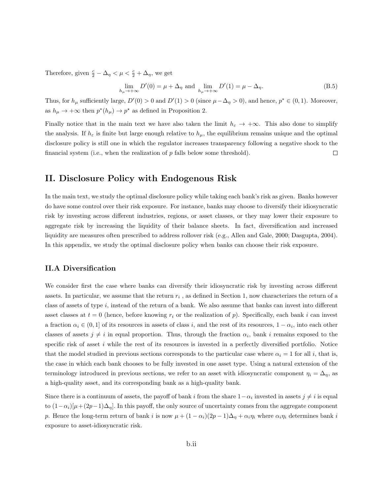Therefore, given  $\frac{c}{2} - \Delta_{\eta} < \mu < \frac{c}{2} + \Delta_{\eta}$ , we get

$$
\lim_{h_{\mu}\to+\infty} D'(0) = \mu + \Delta_{\eta} \text{ and } \lim_{h_{\mu}\to+\infty} D'(1) = \mu - \Delta_{\eta}.
$$
 (B.5)

Thus, for  $h_\mu$  sufficiently large,  $D'(0) > 0$  and  $D'(1) > 0$  (since  $\mu - \Delta_\eta > 0$ ), and hence,  $p^* \in (0, 1)$ . Moreover, as  $h_{\mu} \to +\infty$  then  $p^*(h_{\mu}) \to p^*$  as defined in Proposition 2.

Finally notice that in the main text we have also taken the limit  $h_{\varepsilon} \to +\infty$ . This also done to simplify the analysis. If  $h_{\varepsilon}$  is finite but large enough relative to  $h_{\mu}$ , the equilibrium remains unique and the optimal disclosure policy is still one in which the regulator increases transparency following a negative shock to the financial system (i.e., when the realization of  $p$  falls below some threshold).  $\Box$ 

### II. Disclosure Policy with Endogenous Risk

In the main text, we study the optimal disclosure policy while taking each bank's risk as given. Banks however do have some control over their risk exposure. For instance, banks may choose to diversify their idiosyncratic risk by investing across different industries, regions, or asset classes, or they may lower their exposure to aggregate risk by increasing the liquidity of their balance sheets. In fact, diversification and increased liquidity are measures often prescribed to address rollover risk (e.g., Allen and Gale, 2000; Dasgupta, 2004). In this appendix, we study the optimal disclosure policy when banks can choose their risk exposure.

#### II.A Diversification

We consider first the case where banks can diversify their idiosyncratic risk by investing across different assets. In particular, we assume that the return  $r_i$ , as defined in Section 1, now characterizes the return of a class of assets of type  $i$ , instead of the return of a bank. We also assume that banks can invest into different asset classes at  $t = 0$  (hence, before knowing  $r_i$  or the realization of p). Specifically, each bank i can invest a fraction  $\alpha_i \in (0,1]$  of its resources in assets of class i, and the rest of its resources,  $1 - \alpha_i$ , into each other classes of assets  $j \neq i$  in equal proportion. Thus, through the fraction  $\alpha_i$ , bank i remains exposed to the specific risk of asset i while the rest of its resources is invested in a perfectly diversified portfolio. Notice that the model studied in previous sections corresponds to the particular case where  $\alpha_i = 1$  for all i, that is, the case in which each bank chooses to be fully invested in one asset type. Using a natural extension of the terminology introduced in previous sections, we refer to an asset with idiosyncratic component  $\eta_i = \Delta_{\eta}$ , as a high-quality asset, and its corresponding bank as a high-quality bank.

Since there is a continuum of assets, the payoff of bank i from the share  $1-\alpha_i$  invested in assets  $j \neq i$  is equal to  $(1-\alpha_i)[\mu+(2p-1)\Delta_n]$ . In this payoff, the only source of uncertainty comes from the aggregate component p. Hence the long-term return of bank i is now  $\mu + (1 - \alpha_i)(2p - 1)\Delta_\eta + \alpha_i \eta_i$  where  $\alpha_i \eta_i$  determines bank i exposure to asset-idiosyncratic risk.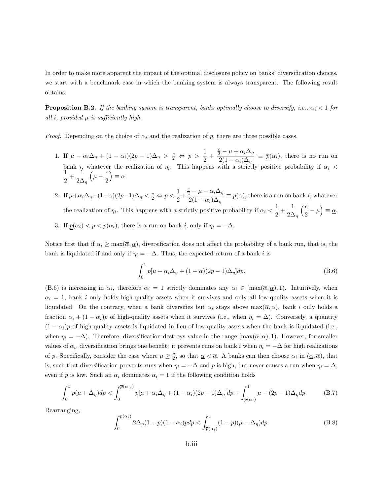In order to make more apparent the impact of the optimal disclosure policy on banks' diversification choices, we start with a benchmark case in which the banking system is always transparent. The following result obtains.

**Proposition B.2.** If the banking system is transparent, banks optimally choose to diversify, i.e.,  $\alpha_i < 1$  for all i, provided  $\mu$  is sufficiently high.

*Proof.* Depending on the choice of  $\alpha_i$  and the realization of p, there are three possible cases.

- 1. If  $\mu \alpha_i \Delta_{\eta} + (1 \alpha_i)(2p 1)\Delta_{\eta} > \frac{c}{2} \Leftrightarrow p > \frac{1}{2}$  $\frac{1}{2}$  +  $\frac{c}{2} - \mu + \alpha_i \Delta_\eta$  $\frac{2}{2(1-\alpha_i)\Delta_{\eta}} \equiv \bar{p}(\alpha_i)$ , there is no run on bank i, whatever the realization of  $\eta_i$ . This happens with a strictly positive probability if  $\alpha_i < 1$  $\frac{1}{2} + \frac{1}{2\Delta}$  $2\Delta_{\eta}$  $\left(\mu-\frac{c}{2}\right)$ 2  $\Big) \equiv \overline{\alpha}.$
- 2. If  $\mu + \alpha_i \Delta_{\eta} + (1 \alpha)(2p 1)\Delta_{\eta} < \frac{c}{2} \Leftrightarrow p < \frac{1}{2}$  $\frac{1}{2}$  +  $\frac{c}{2} - \mu - \alpha_i \Delta_{\eta}$  $\frac{2}{2(1-\alpha_i)\Delta_{\eta}} \equiv \underline{p}(\alpha)$ , there is a run on bank *i*, whatever the realization of  $\eta_i$ . This happens with a strictly positive probability if  $\alpha_i < \frac{1}{2}$  $\frac{1}{2} + \frac{1}{2\Delta}$  $2\Delta_{\eta}$  $\frac{c}{\sqrt{c}}$  $\left(\frac{c}{2} - \mu\right) \equiv \underline{\alpha}.$
- 3. If  $p(\alpha_i) < p < \overline{p}(\alpha_i)$ , there is a run on bank i, only if  $\eta_i = -\Delta$ .

Notice first that if  $\alpha_i \ge \max(\overline{\alpha}, \underline{\alpha})$ , diversification does not affect the probability of a bank run, that is, the bank is liquidated if and only if  $\eta_i = -\Delta$ . Thus, the expected return of a bank *i* is

$$
\int_0^1 p[\mu + \alpha_i \Delta_\eta + (1 - \alpha)(2p - 1)\Delta_\eta] dp.
$$
 (B.6)

(B.6) is increasing in  $\alpha_i$ , therefore  $\alpha_i = 1$  strictly dominates any  $\alpha_i \in [\max(\overline{\alpha}, \underline{\alpha}), 1]$ . Intuitively, when  $\alpha_i = 1$ , bank i only holds high-quality assets when it survives and only all low-quality assets when it is liquidated. On the contrary, when a bank diversifies but  $\alpha_i$  stays above max $(\overline{\alpha}, \underline{\alpha})$ , bank i only holds a fraction  $\alpha_i + (1 - \alpha_i)p$  of high-quality assets when it survives (i.e., when  $\eta_i = \Delta$ ). Conversely, a quantity  $(1 - \alpha_i)p$  of high-quality assets is liquidated in lieu of low-quality assets when the bank is liquidated (i.e., when  $\eta_i = -\Delta$ ). Therefore, diversification destroys value in the range  $[\max(\overline{\alpha}, \underline{\alpha})$ , 1). However, for smaller values of  $\alpha_i$ , diversification brings one benefit: it prevents runs on bank i when  $\eta_i = -\Delta$  for high realizations of p. Specifically, consider the case where  $\mu \geq \frac{c}{2}$ , so that  $\underline{\alpha} < \overline{\alpha}$ . A banks can then choose  $\alpha_i$  in  $(\underline{\alpha}, \overline{\alpha})$ , that is, such that diversification prevents runs when  $\eta_i = -\Delta$  and p is high, but never causes a run when  $\eta_i = \Delta$ , even if p is low. Such an  $\alpha_i$  dominates  $\alpha_i = 1$  if the following condition holds

$$
\int_0^1 p(\mu + \Delta_\eta) dp < \int_0^{\overline{p}(\alpha_i)} p(\mu + \alpha_i \Delta_\eta + (1 - \alpha_i)(2p - 1)\Delta_\eta) dp + \int_{\overline{p}(\alpha_i)}^1 \mu + (2p - 1)\Delta_\eta dp. \tag{B.7}
$$

Rearranging,

$$
\int_0^{\overline{p}(\alpha_i)} 2\Delta_{\eta}(1-p)(1-\alpha_i)pdp < \int_{\overline{p}(\alpha_i)}^1 (1-p)(\mu-\Delta_{\eta})dp. \tag{B.8}
$$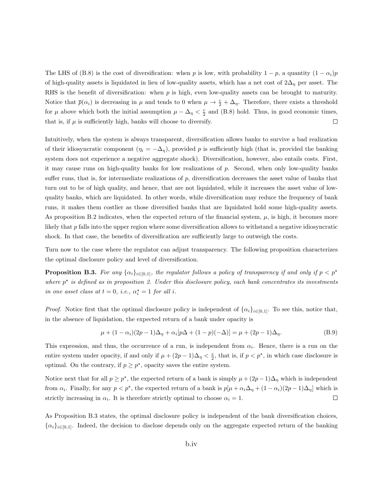The LHS of (B.8) is the cost of diversification: when p is low, with probability  $1 - p$ , a quantity  $(1 - \alpha_i)p$ of high-quality assets is liquidated in lieu of low-quality assets, which has a net cost of  $2\Delta_{\eta}$  per asset. The RHS is the benefit of diversification: when  $p$  is high, even low-quality assets can be brought to maturity. Notice that  $\bar{p}(\alpha_i)$  is decreasing in  $\mu$  and tends to 0 when  $\mu \to \frac{c}{2} + \Delta_{\eta}$ . Therefore, there exists a threshold for  $\mu$  above which both the initial assumption  $\mu - \Delta_{\eta} < \frac{c}{2}$  and (B.8) hold. Thus, in good economic times, that is, if  $\mu$  is sufficiently high, banks will choose to diversify.  $\Box$ 

Intuitively, when the system is always transparent, diversification allows banks to survive a bad realization of their idiosyncratic component  $(\eta_i = -\Delta_n)$ , provided p is sufficiently high (that is, provided the banking system does not experience a negative aggregate shock). Diversification, however, also entails costs. First, it may cause runs on high-quality banks for low realizations of p. Second, when only low-quality banks suffer runs, that is, for intermediate realizations of p, diversification decreases the asset value of banks that turn out to be of high quality, and hence, that are not liquidated, while it increases the asset value of lowquality banks, which are liquidated. In other words, while diversification may reduce the frequency of bank runs, it makes them costlier as those diversified banks that are liquidated hold some high-quality assets. As proposition B.2 indicates, when the expected return of the financial system,  $\mu$ , is high, it becomes more likely that p falls into the upper region where some diversification allows to withstand a negative idiosyncratic shock. In that case, the benefits of diversification are sufficiently large to outweigh the costs.

Turn now to the case where the regulator can adjust transparency. The following proposition characterizes the optimal disclosure policy and level of diversification.

**Proposition B.3.** For any  $\{\alpha_i\}_{i\in[0,1]}$ , the regulator follows a policy of transparency if and only if  $p < p^*$ where  $p^*$  is defined as in proposition 2. Under this disclosure policy, each bank concentrates its investments in one asset class at  $t = 0$ , i.e.,  $\alpha_i^* = 1$  for all i.

*Proof.* Notice first that the optimal disclosure policy is independent of  $\{\alpha_i\}_{i\in[0,1]}$ . To see this, notice that, in the absence of liquidation, the expected return of a bank under opacity is

$$
\mu + (1 - \alpha_i)(2p - 1)\Delta_{\eta} + \alpha_i[p\Delta + (1 - p)(-\Delta)] = \mu + (2p - 1)\Delta_{\eta}.
$$
 (B.9)

This expression, and thus, the occurrence of a run, is independent from  $\alpha_i$ . Hence, there is a run on the entire system under opacity, if and only if  $\mu + (2p - 1)\Delta_{\eta} < \frac{c}{2}$ , that is, if  $p < p^*$ , in which case disclosure is optimal. On the contrary, if  $p \geq p^*$ , opacity saves the entire system.

Notice next that for all  $p \geq p^*$ , the expected return of a bank is simply  $\mu + (2p-1)\Delta_{\eta}$  which is independent from  $\alpha_i$ . Finally, for any  $p < p^*$ , the expected return of a bank is  $p[\mu + \alpha_i \Delta_{\eta} + (1 - \alpha_i)(2p - 1)\Delta_{\eta}]$  which is  $\Box$ strictly increasing in  $\alpha_i$ . It is therefore strictly optimal to choose  $\alpha_i = 1$ .

As Proposition B.3 states, the optimal disclosure policy is independent of the bank diversification choices,  $\{\alpha_i\}_{i\in[0,1]}$ . Indeed, the decision to disclose depends only on the aggregate expected return of the banking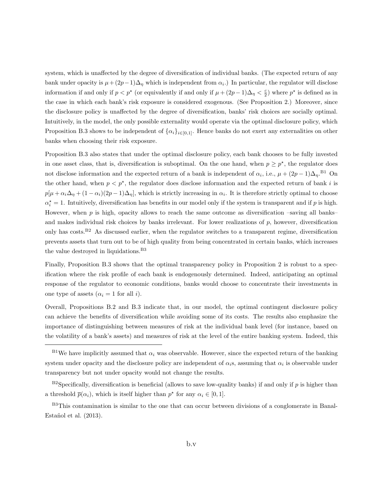system, which is unaffected by the degree of diversification of individual banks. (The expected return of any bank under opacity is  $\mu + (2p-1)\Delta_{\eta}$  which is independent from  $\alpha_i$ .) In particular, the regulator will disclose information if and only if  $p < p^*$  (or equivalently if and only if  $\mu + (2p-1)\Delta_{\eta} < \frac{c}{2}$ ) where  $p^*$  is defined as in the case in which each bank's risk exposure is considered exogenous. (See Proposition 2.) Moreover, since the disclosure policy is unaffected by the degree of diversification, banks' risk choices are socially optimal. Intuitively, in the model, the only possible externality would operate via the optimal disclosure policy, which Proposition B.3 shows to be independent of  $\{\alpha_i\}_{i\in[0,1]}$ . Hence banks do not exert any externalities on other banks when choosing their risk exposure.

Proposition B.3 also states that under the optimal disclosure policy, each bank chooses to be fully invested in one asset class, that is, diversification is suboptimal. On the one hand, when  $p \geq p^*$ , the regulator does not disclose information and the expected return of a bank is independent of  $\alpha_i$ , i.e.,  $\mu + (2p-1)\Delta_{\eta}$ .<sup>B1</sup> On the other hand, when  $p < p^*$ , the regulator does disclose information and the expected return of bank i is  $p[\mu+\alpha_i\Delta_\eta+(1-\alpha_i)(2p-1)\Delta_\eta]$ , which is strictly increasing in  $\alpha_i$ . It is therefore strictly optimal to choose  $\alpha_i^* = 1$ . Intuitively, diversification has benefits in our model only if the system is transparent and if p is high. However, when  $p$  is high, opacity allows to reach the same outcome as diversification –saving all banks– and makes individual risk choices by banks irrelevant. For lower realizations of  $p$ , however, diversification only has costs.B2 As discussed earlier, when the regulator switches to a transparent regime, diversification prevents assets that turn out to be of high quality from being concentrated in certain banks, which increases the value destroyed in liquidations.<sup>B3</sup>

Finally, Proposition B.3 shows that the optimal transparency policy in Proposition 2 is robust to a specification where the risk profile of each bank is endogenously determined. Indeed, anticipating an optimal response of the regulator to economic conditions, banks would choose to concentrate their investments in one type of assets  $(\alpha_i = 1$  for all *i*).

Overall, Propositions B.2 and B.3 indicate that, in our model, the optimal contingent disclosure policy can achieve the benefits of diversification while avoiding some of its costs. The results also emphasize the importance of distinguishing between measures of risk at the individual bank level (for instance, based on the volatility of a bank's assets) and measures of risk at the level of the entire banking system. Indeed, this

 $B<sup>1</sup>$ We have implicitly assumed that  $\alpha_i$  was observable. However, since the expected return of the banking system under opacity and the disclosure policy are independent of  $\alpha_i$ s, assuming that  $\alpha_i$  is observable under transparency but not under opacity would not change the results.

 $B^2$ Specifically, diversification is beneficial (allows to save low-quality banks) if and only if p is higher than a threshold  $\bar{p}(\alpha_i)$ , which is itself higher than  $p^*$  for any  $\alpha_i \in [0,1]$ .

<sup>&</sup>lt;sup>B3</sup>This contamination is similar to the one that can occur between divisions of a conglomerate in Banal-Estañol et al.  $(2013)$ .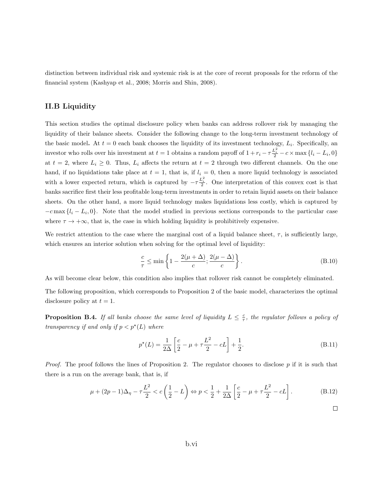distinction between individual risk and systemic risk is at the core of recent proposals for the reform of the financial system (Kashyap et al., 2008; Morris and Shin, 2008).

## II.B Liquidity

This section studies the optimal disclosure policy when banks can address rollover risk by managing the liquidity of their balance sheets. Consider the following change to the long-term investment technology of the basic model. At  $t = 0$  each bank chooses the liquidity of its investment technology,  $L_i$ . Specifically, an investor who rolls over his investment at  $t = 1$  obtains a random payoff of  $1 + r_i - \tau \frac{L_i^2}{2} - c \times \max\{l_i - L_i, 0\}$ at  $t = 2$ , where  $L_i \geq 0$ . Thus,  $L_i$  affects the return at  $t = 2$  through two different channels. On the one hand, if no liquidations take place at  $t = 1$ , that is, if  $l_i = 0$ , then a more liquid technology is associated with a lower expected return, which is captured by  $-\tau \frac{L_i^2}{2}$ . One interpretation of this convex cost is that banks sacrifice first their less profitable long-term investments in order to retain liquid assets on their balance sheets. On the other hand, a more liquid technology makes liquidations less costly, which is captured by  $-c \max\{l_i - L_i, 0\}$ . Note that the model studied in previous sections corresponds to the particular case where  $\tau \to +\infty$ , that is, the case in which holding liquidity is prohibitively expensive.

We restrict attention to the case where the marginal cost of a liquid balance sheet,  $\tau$ , is sufficiently large, which ensures an interior solution when solving for the optimal level of liquidity:

$$
\frac{c}{\tau} \le \min\left\{1 - \frac{2(\mu + \Delta)}{c}; \frac{2(\mu - \Delta)}{c}\right\}.
$$
\n(B.10)

As will become clear below, this condition also implies that rollover risk cannot be completely eliminated.

The following proposition, which corresponds to Proposition 2 of the basic model, characterizes the optimal disclosure policy at  $t = 1$ .

**Proposition B.4.** If all banks choose the same level of liquidity  $L \leq \frac{c}{\tau}$ , the regulator follows a policy of transparency if and only if  $p < p^*(L)$  where

$$
p^*(L) = \frac{1}{2\Delta} \left[ \frac{c}{2} - \mu + \tau \frac{L^2}{2} - cL \right] + \frac{1}{2}.
$$
 (B.11)

*Proof.* The proof follows the lines of Proposition 2. The regulator chooses to disclose  $p$  if it is such that there is a run on the average bank, that is, if

$$
\mu + (2p - 1)\Delta_{\eta} - \tau \frac{L^2}{2} < c\left(\frac{1}{2} - L\right) \Leftrightarrow p < \frac{1}{2} + \frac{1}{2\Delta} \left[\frac{c}{2} - \mu + \tau \frac{L^2}{2} - cL\right].\tag{B.12}
$$

 $\Box$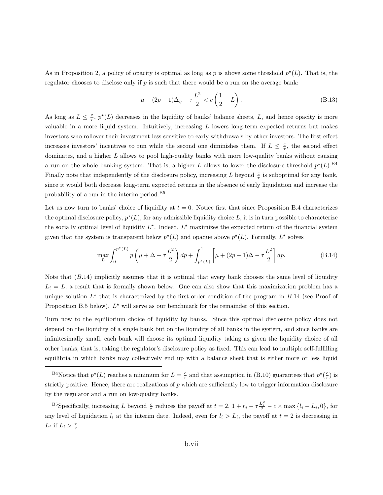As in Proposition 2, a policy of opacity is optimal as long as p is above some threshold  $p^*(L)$ . That is, the regulator chooses to disclose only if  $p$  is such that there would be a run on the average bank:

$$
\mu + (2p - 1)\Delta_{\eta} - \tau \frac{L^2}{2} < c\left(\frac{1}{2} - L\right). \tag{B.13}
$$

As long as  $L \leq \frac{c}{\tau}$ ,  $p^*(L)$  decreases in the liquidity of banks' balance sheets, L, and hence opacity is more valuable in a more liquid system. Intuitively, increasing  $L$  lowers long-term expected returns but makes investors who rollover their investment less sensitive to early withdrawals by other investors. The first effect increases investors' incentives to run while the second one diminishes them. If  $L \leq \frac{c}{\tau}$ , the second effect dominates, and a higher L allows to pool high-quality banks with more low-quality banks without causing a run on the whole banking system. That is, a higher L allows to lower the disclosure threshold  $p^*(L)$ .<sup>B4</sup> Finally note that independently of the disclosure policy, increasing L beyond  $\frac{c}{\tau}$  is suboptimal for any bank, since it would both decrease long-term expected returns in the absence of early liquidation and increase the probability of a run in the interim period.<sup>B5</sup>

Let us now turn to banks' choice of liquidity at  $t = 0$ . Notice first that since Proposition B.4 characterizes the optimal disclosure policy,  $p^*(L)$ , for any admissible liquidity choice L, it is in turn possible to characterize the socially optimal level of liquidity  $L^*$ . Indeed,  $L^*$  maximizes the expected return of the financial system given that the system is transparent below  $p^*(L)$  and opaque above  $p^*(L)$ . Formally,  $L^*$  solves

$$
\max_{L} \int_{0}^{p^{*}(L)} p\left(\mu + \Delta - \tau \frac{L^{2}}{2}\right) dp + \int_{p^{*}(L)}^{1} \left[\mu + (2p - 1)\Delta - \tau \frac{L^{2}}{2}\right] dp.
$$
 (B.14)

Note that  $(B.14)$  implicitly assumes that it is optimal that every bank chooses the same level of liquidity  $L_i = L$ , a result that is formally shown below. One can also show that this maximization problem has a unique solution  $L^*$  that is characterized by the first-order condition of the program in B.14 (see Proof of Proposition B.5 below).  $L^*$  will serve as our benchmark for the remainder of this section.

Turn now to the equilibrium choice of liquidity by banks. Since this optimal disclosure policy does not depend on the liquidity of a single bank but on the liquidity of all banks in the system, and since banks are infinitesimally small, each bank will choose its optimal liquidity taking as given the liquidity choice of all other banks, that is, taking the regulator's disclosure policy as fixed. This can lead to multiple self-fulfilling equilibria in which banks may collectively end up with a balance sheet that is either more or less liquid

<sup>&</sup>lt;sup>B4</sup>Notice that  $p^*(L)$  reaches a minimum for  $L = \frac{c}{\tau}$  and that assumption in (B.10) guarantees that  $p^*(\frac{c}{\tau})$  is strictly positive. Hence, there are realizations of  $p$  which are sufficiently low to trigger information disclosure by the regulator and a run on low-quality banks.

<sup>&</sup>lt;sup>B5</sup>Specifically, increasing L beyond  $\frac{c}{\tau}$  reduces the payoff at  $t = 2$ ,  $1 + r_i - \tau \frac{L_i^2}{2} - c \times \max\{l_i - L_i, 0\}$ , for any level of liquidation  $l_i$  at the interim date. Indeed, even for  $l_i > L_i$ , the payoff at  $t = 2$  is decreasing in  $L_i$  if  $L_i > \frac{\tau}{c}$ .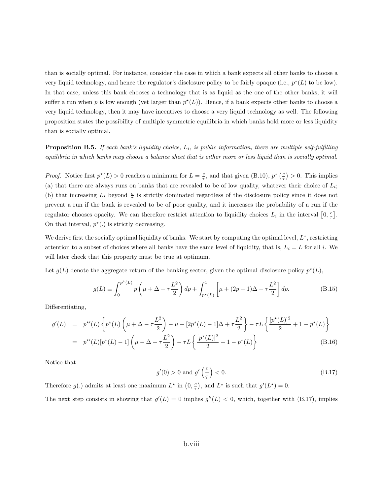than is socially optimal. For instance, consider the case in which a bank expects all other banks to choose a very liquid technology, and hence the regulator's disclosure policy to be fairly opaque (i.e.,  $p^*(L)$  to be low). In that case, unless this bank chooses a technology that is as liquid as the one of the other banks, it will suffer a run when p is low enough (yet larger than  $p^*(L)$ ). Hence, if a bank expects other banks to choose a very liquid technology, then it may have incentives to choose a very liquid technology as well. The following proposition states the possibility of multiple symmetric equilibria in which banks hold more or less liquidity than is socially optimal.

**Proposition B.5.** If each bank's liquidity choice,  $L_i$ , is public information, there are multiple self-fulfilling equilibria in which banks may choose a balance sheet that is either more or less liquid than is socially optimal.

*Proof.* Notice first  $p^*(L) > 0$  reaches a minimum for  $L = \frac{c}{\tau}$ , and that given (B.10),  $p^*(\frac{c}{\tau}) > 0$ . This implies (a) that there are always runs on banks that are revealed to be of low quality, whatever their choice of  $L_i$ ; (b) that increasing  $L_i$  beyond  $\frac{c}{\tau}$  is strictly dominated regardless of the disclosure policy since it does not prevent a run if the bank is revealed to be of poor quality, and it increases the probability of a run if the regulator chooses opacity. We can therefore restrict attention to liquidity choices  $L_i$  in the interval  $\left[0, \frac{c}{\tau}\right]$ . On that interval,  $p^*(.)$  is strictly decreasing.

We derive first the socially optimal liquidity of banks. We start by computing the optimal level,  $L^*$ , restricting attention to a subset of choices where all banks have the same level of liquidity, that is,  $L_i = L$  for all i. We will later check that this property must be true at optimum.

Let  $g(L)$  denote the aggregate return of the banking sector, given the optimal disclosure policy  $p^*(L)$ ,

$$
g(L) \equiv \int_0^{p^*(L)} p\left(\mu + \Delta - \tau \frac{L^2}{2}\right) dp + \int_{p^*(L)}^1 \left[\mu + (2p - 1)\Delta - \tau \frac{L^2}{2}\right] dp.
$$
 (B.15)

Differentiating,

$$
g'(L) = p^{*'}(L) \left\{ p^{*}(L) \left( \mu + \Delta - \tau \frac{L^2}{2} \right) - \mu - [2p^{*}(L) - 1] \Delta + \tau \frac{L^2}{2} \right\} - \tau L \left\{ \frac{[p^{*}(L)]^2}{2} + 1 - p^{*}(L) \right\}
$$
  
=  $p^{*'}(L) [p^{*}(L) - 1] \left( \mu - \Delta - \tau \frac{L^2}{2} \right) - \tau L \left\{ \frac{[p^{*}(L)]^2}{2} + 1 - p^{*}(L) \right\}$  (B.16)

Notice that

$$
g'(0) > 0 \text{ and } g'\left(\frac{c}{\tau}\right) < 0. \tag{B.17}
$$

Therefore  $g(.)$  admits at least one maximum  $L^*$  in  $(0, \frac{c}{\tau})$ , and  $L^*$  is such that  $g'(L^*) = 0$ .

The next step consists in showing that  $g'(L) = 0$  implies  $g''(L) < 0$ , which, together with (B.17), implies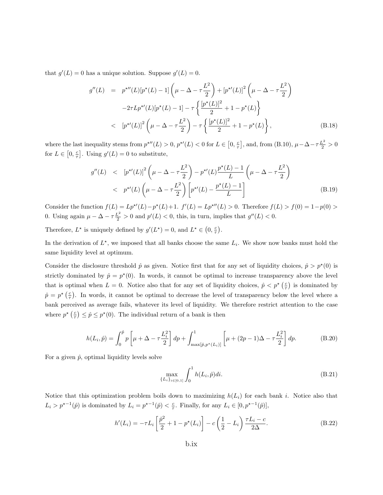that  $g'(L) = 0$  has a unique solution. Suppose  $g'(L) = 0$ .

$$
g''(L) = p^{\star \prime \prime}(L)[p^{\star}(L) - 1] \left(\mu - \Delta - \tau \frac{L^2}{2}\right) + \left[p^{\star \prime}(L)\right]^2 \left(\mu - \Delta - \tau \frac{L^2}{2}\right)
$$

$$
-2\tau L p^{\star \prime}(L)[p^{\star}(L) - 1] - \tau \left\{\frac{[p^{\star}(L)]^2}{2} + 1 - p^{\star}(L)\right\}
$$

$$
< [p^{\star \prime}(L)]^2 \left(\mu - \Delta - \tau \frac{L^2}{2}\right) - \tau \left\{\frac{[p^{\star}(L)]^2}{2} + 1 - p^{\star}(L)\right\}, \tag{B.18}
$$

where the last inequality stems from  $p^{\star \prime \prime}(L) > 0$ ,  $p^{\star \prime}(L) < 0$  for  $L \in [0, \frac{c}{\tau}]$ , and, from  $(B.10)$ ,  $\mu - \Delta - \tau \frac{L^2}{2} > 0$ for  $L \in [0, \frac{c}{\tau}]$ . Using  $g'(L) = 0$  to substitute,

$$
g''(L) < [p^{*'}(L)]^2 \left(\mu - \Delta - \tau \frac{L^2}{2}\right) - p^{*'}(L) \frac{p^{*}(L) - 1}{L} \left(\mu - \Delta - \tau \frac{L^2}{2}\right)
$$
  

$$
< p^{*'}(L) \left(\mu - \Delta - \tau \frac{L^2}{2}\right) \left[p^{*'}(L) - \frac{p^{*}(L) - 1}{L}\right]
$$
(B.19)

Consider the function  $f(L) = Lp^{*'}(L) - p^{*}(L) + 1$ .  $f'(L) = Lp^{*''}(L) > 0$ . Therefore  $f(L) > f(0) = 1 - p(0) >$ 0. Using again  $\mu - \Delta - \tau \frac{L^2}{2} > 0$  and  $p'(L) < 0$ , this, in turn, implies that  $g''(L) < 0$ .

Therefore,  $L^*$  is uniquely defined by  $g'(L^*) = 0$ , and  $L^* \in (0, \frac{c}{\tau})$ .

In the derivation of  $L^*$ , we imposed that all banks choose the same  $L_i$ . We show now banks must hold the same liquidity level at optimum.

Consider the disclosure threshold  $\hat{p}$  as given. Notice first that for any set of liquidity choices,  $\hat{p} > p^*(0)$  is strictly dominated by  $\hat{p} = p^*(0)$ . In words, it cannot be optimal to increase transparency above the level that is optimal when  $L = 0$ . Notice also that for any set of liquidity choices,  $\hat{p} < p^{\star} \left( \frac{c}{\tau} \right)$  is dominated by  $\hat{p} = p^{\star}(\frac{c}{\tau})$ . In words, it cannot be optimal to decrease the level of transparency below the level where a bank perceived as average fails, whatever its level of liquidity. We therefore restrict attention to the case where  $p^*$   $\left(\frac{c}{\tau}\right) \leq \hat{p} \leq p^*(0)$ . The individual return of a bank is then

$$
h(L_i, \hat{p}) = \int_0^{\hat{p}} p\left[\mu + \Delta - \tau \frac{L_i^2}{2}\right] dp + \int_{\max[\hat{p}, p^*(L_i)]}^{1} \left[\mu + (2p - 1)\Delta - \tau \frac{L_i^2}{2}\right] dp.
$$
 (B.20)

For a given  $\hat{p}$ , optimal liquidity levels solve

$$
\max_{\{L_i\}_{i \in [0,1]}} \int_0^1 h(L_i, \hat{p}) di. \tag{B.21}
$$

Notice that this optimization problem boils down to maximizing  $h(L_i)$  for each bank i. Notice also that  $L_i > p^{*-1}(\hat{p})$  is dominated by  $L_i = p^{*-1}(\hat{p}) < \frac{c}{\tau}$ . Finally, for any  $L_i \in [0, p^{*-1}(\hat{p})]$ ,

$$
h'(L_i) = -\tau L_i \left[ \frac{\hat{p}^2}{2} + 1 - p^*(L_i) \right] - c \left( \frac{1}{2} - L_i \right) \frac{\tau L_i - c}{2\Delta}.
$$
 (B.22)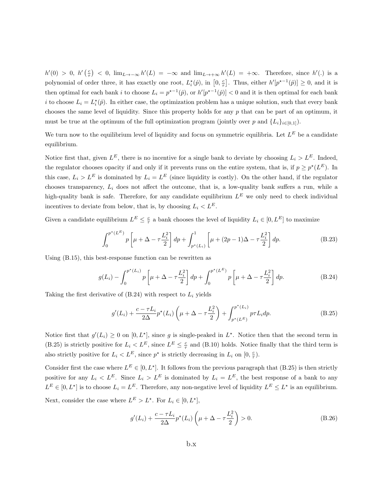$h'(0) > 0$ ,  $h'(\frac{c}{\tau}) < 0$ ,  $\lim_{L\to-\infty} h'(L) = -\infty$  and  $\lim_{L\to+\infty} h'(L) = +\infty$ . Therefore, since  $h'(.)$  is a polynomial of order three, it has exactly one root,  $L_i^*(\hat{p})$ , in  $[0, \frac{c}{\tau}]$ . Thus, either  $h'[p^{\star-1}(\hat{p})] \geq 0$ , and it is then optimal for each bank i to choose  $L_i = p^{*-1}(\hat{p})$ , or  $h'[p^{*-1}(\hat{p})] < 0$  and it is then optimal for each bank i to choose  $L_i = L_i^*(\hat{p})$ . In either case, the optimization problem has a unique solution, such that every bank chooses the same level of liquidity. Since this property holds for any  $p$  that can be part of an optimum, it must be true at the optimum of the full optimization program (jointly over p and  $\{L_i\}_{i\in[0,1]})$ .

We turn now to the equilibrium level of liquidity and focus on symmetric equilibria. Let  $L^E$  be a candidate equilibrium.

Notice first that, given  $L^E$ , there is no incentive for a single bank to deviate by choosing  $L_i > L^E$ . Indeed, the regulator chooses opacity if and only if it prevents runs on the entire system, that is, if  $p \geq p^*(L^E)$ . In this case,  $L_i > L^E$  is dominated by  $L_i = L^E$  (since liquidity is costly). On the other hand, if the regulator chooses transparency,  $L_i$  does not affect the outcome, that is, a low-quality bank suffers a run, while a high-quality bank is safe. Therefore, for any candidate equilibrium  $L<sup>E</sup>$  we only need to check individual incentives to deviate from below, that is, by choosing  $L_i < L<sup>E</sup>$ .

Given a candidate equilibrium  $L^E \leq \frac{c}{\tau}$  a bank chooses the level of liquidity  $L_i \in [0, L^E]$  to maximize

$$
\int_0^{p^*(L^E)} p\left[\mu + \Delta - \tau \frac{L_i^2}{2}\right] dp + \int_{p^*(L_i)}^1 \left[\mu + (2p - 1)\Delta - \tau \frac{L_i^2}{2}\right] dp.
$$
 (B.23)

Using (B.15), this best-response function can be rewritten as

$$
g(L_i) - \int_0^{p^*(L_i)} p\left[\mu + \Delta - \tau \frac{L_i^2}{2}\right] dp + \int_0^{p^*(L^E)} p\left[\mu + \Delta - \tau \frac{L_i^2}{2}\right] dp.
$$
 (B.24)

Taking the first derivative of  $(B.24)$  with respect to  $L<sub>i</sub>$  yields

$$
g'(L_i) + \frac{c - \tau L_i}{2\Delta} p^*(L_i) \left(\mu + \Delta - \tau \frac{L_i^2}{2}\right) + \int_{p^*(L^E)}^{p^*(L_i)} p \tau L_i dp.
$$
 (B.25)

Notice first that  $g'(L_i) \geq 0$  on  $[0, L^*]$ , since g is single-peaked in  $L^*$ . Notice then that the second term in (B.25) is strictly positive for  $L_i < L^E$ , since  $L^E \leq \frac{c}{\tau}$  and (B.10) holds. Notice finally that the third term is also strictly positive for  $L_i < L^E$ , since  $p^*$  is strictly decreasing in  $L_i$  on  $[0, \frac{c}{\tau})$ .

Consider first the case where  $L^E \in [0, L^*]$ . It follows from the previous paragraph that (B.25) is then strictly positive for any  $L_i < L^E$ . Since  $L_i > L^E$  is dominated by  $L_i = L^E$ , the best response of a bank to any  $L^E \in [0, L^*]$  is to choose  $L_i = L^E$ . Therefore, any non-negative level of liquidity  $L^E \leq L^*$  is an equilibrium.

Next, consider the case where  $L^E > L^*$ . For  $L_i \in [0, L^*]$ ,

$$
g'(L_i) + \frac{c - \tau L_i}{2\Delta} p^*(L_i) \left(\mu + \Delta - \tau \frac{L_i^2}{2}\right) > 0.
$$
 (B.26)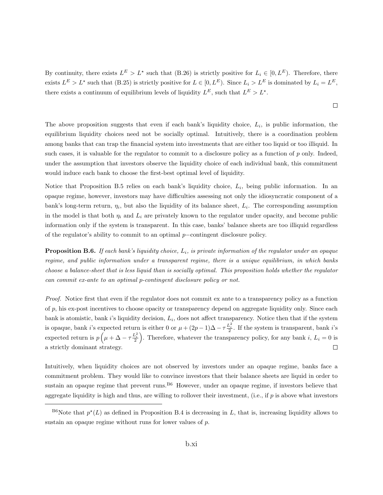By continuity, there exists  $L^E > L^*$  such that (B.26) is strictly positive for  $L_i \in [0, L^E)$ . Therefore, there exists  $L^E > L^*$  such that (B.25) is strictly positive for  $L \in [0, L^E)$ . Since  $L_i > L^E$  is dominated by  $L_i = L^E$ , there exists a continuum of equilibrium levels of liquidity  $L^E$ , such that  $L^E > L^*$ .

 $\Box$ 

The above proposition suggests that even if each bank's liquidity choice,  $L_i$ , is public information, the equilibrium liquidity choices need not be socially optimal. Intuitively, there is a coordination problem among banks that can trap the financial system into investments that are either too liquid or too illiquid. In such cases, it is valuable for the regulator to commit to a disclosure policy as a function of p only. Indeed, under the assumption that investors observe the liquidity choice of each individual bank, this commitment would induce each bank to choose the first-best optimal level of liquidity.

Notice that Proposition B.5 relies on each bank's liquidity choice,  $L_i$ , being public information. In an opaque regime, however, investors may have difficulties assessing not only the idiosyncratic component of a bank's long-term return,  $\eta_i$ , but also the liquidity of its balance sheet,  $L_i$ . The corresponding assumption in the model is that both  $\eta_i$  and  $L_i$  are privately known to the regulator under opacity, and become public information only if the system is transparent. In this case, banks' balance sheets are too illiquid regardless of the regulator's ability to commit to an optimal p−contingent disclosure policy.

**Proposition B.6.** If each bank's liquidity choice,  $L_i$ , is private information of the regulator under an opaque regime, and public information under a transparent regime, there is a unique equilibrium, in which banks choose a balance-sheet that is less liquid than is socially optimal. This proposition holds whether the regulator can commit ex-ante to an optimal p-contingent disclosure policy or not.

Proof. Notice first that even if the regulator does not commit ex ante to a transparency policy as a function of  $p$ , his ex-post incentives to choose opacity or transparency depend on aggregate liquidity only. Since each bank is atomistic, bank i's liquidity decision,  $L_i$ , does not affect transparency. Notice then that if the system is opaque, bank i's expected return is either 0 or  $\mu + (2p-1)\Delta - \tau \frac{L_i^2}{2}$ . If the system is transparent, bank i's expected return is  $p\left(\mu+\Delta-\tau\frac{L_i^2}{2}\right)$ . Therefore, whatever the transparency policy, for any bank i,  $L_i=0$  is a strictly dominant strategy.  $\Box$ 

Intuitively, when liquidity choices are not observed by investors under an opaque regime, banks face a commitment problem. They would like to convince investors that their balance sheets are liquid in order to sustain an opaque regime that prevent runs.<sup>B6</sup> However, under an opaque regime, if investors believe that aggregate liquidity is high and thus, are willing to rollover their investment, (i.e., if  $p$  is above what investors

<sup>&</sup>lt;sup>B6</sup>Note that  $p^*(L)$  as defined in Proposition B.4 is decreasing in L, that is, increasing liquidity allows to sustain an opaque regime without runs for lower values of p.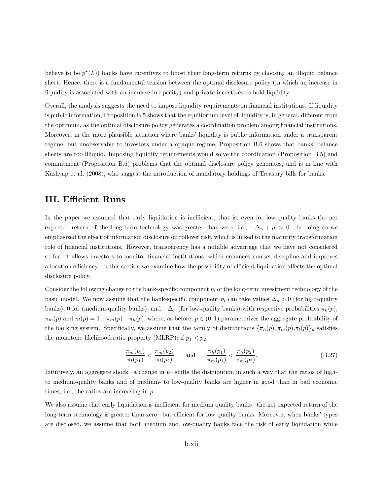believe to be  $p^*(L)$  banks have incentives to boost their long-term returns by choosing an illiquid balance sheet. Hence, there is a fundamental tension between the optimal disclosure policy (in which an increase in liquidity is associated with an increase in opacity) and private incentives to hold liquidity.

Overall, the analysis suggests the need to impose liquidity requirements on financial institutions. If liquidity is public information, Proposition B.5 shows that the equilibrium level of liquidity is, in general, different from the optimum, as the optimal disclosure policy generates a coordination problem among financial institutions. Moreover, in the more plausible situation where banks' liquidity is public information under a transparent regime, but unobservable to investors under a opaque regime, Proposition B.6 shows that banks' balance sheets are too illiquid. Imposing liquidity requirements would solve the coordination (Proposition B.5) and commitment (Proposition B.6) problems that the optimal disclosure policy generates, and is in line with Kashyap et al. (2008), who suggest the introduction of mandatory holdings of Treasury bills for banks.

## III. Efficient Runs

In the paper we assumed that early liquidation is inefficient, that is, even for low-quality banks the net expected return of the long-term technology was greater than zero, i.e.,  $-\Delta_{\eta} + \mu > 0$ . In doing so we emphasized the effect of information disclosure on rollover risk, which is linked to the maturity transformation role of financial institutions. However, transparency has a notable advantage that we have not considered so far: it allows investors to monitor financial institutions, which enhances market discipline and improves allocation efficiency. In this section we examine how the possibility of efficient liquidation affects the optimal disclosure policy.

Consider the following change to the bank-specific component  $\eta_i$  of the long-term investment technology of the basic model. We now assume that the bank-specific component  $\eta_i$  can take values  $\Delta_{\eta} > 0$  (for high-quality banks), 0 for (medium-quality banks), and  $-\Delta_{\eta}$  (for low-quality banks) with respective probabilities  $\pi_h(p)$ ,  $\pi_m(p)$  and  $\pi_l(p) = 1 - \pi_m(p) - \pi_h(p)$ , where, as before,  $p \in (0, 1)$  parameterizes the aggregate profitability of the banking system. Specifically, we assume that the family of distributions  $\{\pi_h(p), \pi_m(p), \pi_l(p)\}_p$  satisfies the monotone likelihood ratio property (MLRP): if  $p_1 < p_2$ ,

$$
\frac{\pi_m(p_1)}{\pi_l(p_1)} < \frac{\pi_m(p_2)}{\pi_l(p_2)} \qquad \text{and} \qquad \frac{\pi_h(p_1)}{\pi_m(p_1)} < \frac{\pi_h(p_2)}{\pi_m(p_2)}.\tag{B.27}
$$

Intuitively, an aggregate shock –a change in  $p$ – shifts the distribution in such a way that the ratios of highto medium-quality banks and of medium- to low-quality banks are higher in good than in bad economic times, i.e., the ratios are increasing in p.

We also assume that early liquidation is inefficient for medium quality banks –the net expected return of the long-term technology is greater than zero– but efficient for low quality banks. Moreover, when banks' types are disclosed, we assume that both medium and low-quality banks face the risk of early liquidation while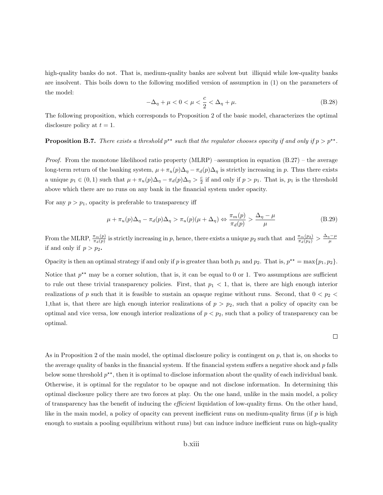high-quality banks do not. That is, medium-quality banks are solvent but illiquid while low-quality banks are insolvent. This boils down to the following modified version of assumption in (1) on the parameters of the model:

$$
-\Delta_{\eta} + \mu < 0 < \mu < \frac{c}{2} < \Delta_{\eta} + \mu. \tag{B.28}
$$

The following proposition, which corresponds to Proposition 2 of the basic model, characterizes the optimal disclosure policy at  $t = 1$ .

## **Proposition B.7.** There exists a threshold  $p^{**}$  such that the regulator chooses opacity if and only if  $p > p^{**}$ .

*Proof.* From the monotone likelihood ratio property (MLRP) –assumption in equation  $(B.27)$  – the average long-term return of the banking system,  $\mu + \pi_u(p)\Delta_\eta - \pi_d(p)\Delta_\eta$  is strictly increasing in p. Thus there exists a unique  $p_1 \in (0, 1)$  such that  $\mu + \pi_u(p)\Delta_\eta - \pi_d(p)\Delta_\eta > \frac{c}{2}$  if and only if  $p > p_1$ . That is,  $p_1$  is the threshold above which there are no runs on any bank in the financial system under opacity.

For any  $p > p_1$ , opacity is preferable to transparency iff

$$
\mu + \pi_u(p)\Delta_\eta - \pi_d(p)\Delta_\eta > \pi_u(p)(\mu + \Delta_\eta) \Leftrightarrow \frac{\pi_m(p)}{\pi_d(p)} > \frac{\Delta_\eta - \mu}{\mu}
$$
\n(B.29)

 $\Box$ 

From the MLRP,  $\frac{\pi_m(p)}{\pi_d(p)}$  is strictly increasing in p, hence, there exists a unique  $p_2$  such that and  $\frac{\pi_m(p_2)}{\pi_d(p_2)} > \frac{\Delta_{\eta}-\mu}{\mu}$ if and only if  $p > p_2$ .

Opacity is then an optimal strategy if and only if p is greater than both  $p_1$  and  $p_2$ . That is,  $p^{**} = \max\{p_1, p_2\}$ .

Notice that  $p^{\star\star}$  may be a corner solution, that is, it can be equal to 0 or 1. Two assumptions are sufficient to rule out these trivial transparency policies. First, that  $p_1 < 1$ , that is, there are high enough interior realizations of p such that it is feasible to sustain an opaque regime without runs. Second, that  $0 < p_2 <$ 1, that is, that there are high enough interior realizations of  $p > p_2$ , such that a policy of opacity can be optimal and vice versa, low enough interior realizations of  $p < p_2$ , such that a policy of transparency can be optimal.

As in Proposition 2 of the main model, the optimal disclosure policy is contingent on p, that is, on shocks to the average quality of banks in the financial system. If the financial system suffers a negative shock and  $p$  falls below some threshold  $p^{**}$ , then it is optimal to disclose information about the quality of each individual bank. Otherwise, it is optimal for the regulator to be opaque and not disclose information. In determining this optimal disclosure policy there are two forces at play. On the one hand, unlike in the main model, a policy of transparency has the benefit of inducing the efficient liquidation of low-quality firms. On the other hand, like in the main model, a policy of opacity can prevent inefficient runs on medium-quality firms (if p is high enough to sustain a pooling equilibrium without runs) but can induce induce inefficient runs on high-quality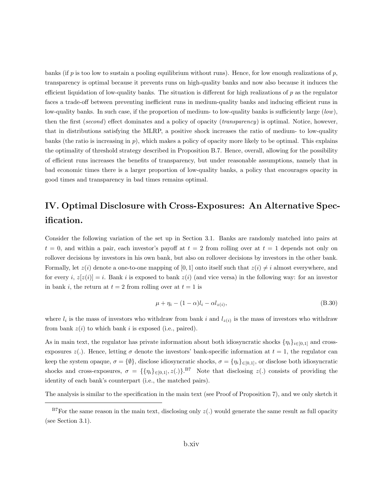banks (if p is too low to sustain a pooling equilibrium without runs). Hence, for low enough realizations of p, transparency is optimal because it prevents runs on high-quality banks and now also because it induces the efficient liquidation of low-quality banks. The situation is different for high realizations of  $p$  as the regulator faces a trade-off between preventing inefficient runs in medium-quality banks and inducing efficient runs in low-quality banks. In such case, if the proportion of medium- to low-quality banks is sufficiently large  $(low)$ , then the first (second) effect dominates and a policy of opacity (transparency) is optimal. Notice, however, that in distributions satisfying the MLRP, a positive shock increases the ratio of medium- to low-quality banks (the ratio is increasing in  $p$ ), which makes a policy of opacity more likely to be optimal. This explains the optimality of threshold strategy described in Proposition B.7. Hence, overall, allowing for the possibility of efficient runs increases the benefits of transparency, but under reasonable assumptions, namely that in bad economic times there is a larger proportion of low-quality banks, a policy that encourages opacity in good times and transparency in bad times remains optimal.

## IV. Optimal Disclosure with Cross-Exposures: An Alternative Specification.

Consider the following variation of the set up in Section 3.1. Banks are randomly matched into pairs at  $t = 0$ , and within a pair, each investor's payoff at  $t = 2$  from rolling over at  $t = 1$  depends not only on rollover decisions by investors in his own bank, but also on rollover decisions by investors in the other bank. Formally, let  $z(i)$  denote a one-to-one mapping of [0, 1] onto itself such that  $z(i) \neq i$  almost everywhere, and for every i,  $z[z(i)] = i$ . Bank i is exposed to bank  $z(i)$  (and vice versa) in the following way: for an investor in bank i, the return at  $t = 2$  from rolling over at  $t = 1$  is

$$
\mu + \eta_i - (1 - \alpha)l_i - \alpha l_{z(i)},\tag{B.30}
$$

where  $l_i$  is the mass of investors who withdraw from bank i and  $l_{z(i)}$  is the mass of investors who withdraw from bank  $z(i)$  to which bank i is exposed (i.e., paired).

As in main text, the regulator has private information about both idiosyncratic shocks  $\{\eta_i\}_{i\in[0,1]}$  and crossexposures  $z(.)$ . Hence, letting  $\sigma$  denote the investors' bank-specific information at  $t = 1$ , the regulator can keep the system opaque,  $\sigma = \{\emptyset\}$ , disclose idiosyncratic shocks,  $\sigma = \{\eta_i\}_{i\in[0,1]}$ , or disclose both idiosyncratic shocks and cross-exposures,  $\sigma = {\{\{\eta_i\}_{i\in [0,1]}, z(.)\}}^{B7}$  Note that disclosing  $z(.)$  consists of providing the identity of each bank's counterpart (i.e., the matched pairs).

The analysis is similar to the specification in the main text (see Proof of Proposition 7), and we only sketch it

 $B<sup>7</sup>$  For the same reason in the main text, disclosing only  $z(.)$  would generate the same result as full opacity (see Section 3.1).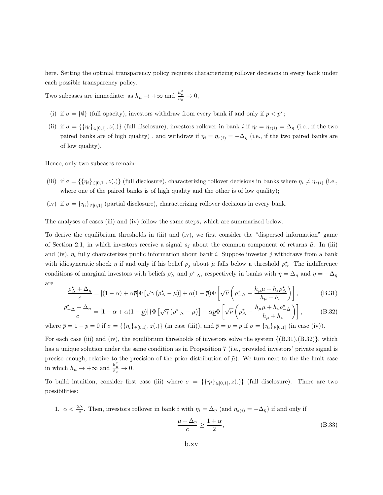here. Setting the optimal transparency policy requires characterizing rollover decisions in every bank under each possible transparency policy.

Two subcases are immediate: as  $h_{\mu} \to +\infty$  and  $\frac{h_{\mu}^2}{h_{\varepsilon}} \to 0$ ,

- (i) if  $\sigma = \{\emptyset\}$  (full opacity), investors withdraw from every bank if and only if  $p < p^*$ ;
- (ii) if  $\sigma = \{\{\eta_i\}_{i\in[0,1]}, z(.)\}$  (full disclosure), investors rollover in bank i if  $\eta_i = \eta_{z(i)} = \Delta_{\eta}$  (i.e., if the two paired banks are of high quality), and withdraw if  $\eta_i = \eta_{z(i)} = -\Delta_{\eta}$  (i.e., if the two paired banks are of low quality).

Hence, only two subcases remain:

- (iii) if  $\sigma = \{\{\eta_i\}_{i\in [0,1]}, z(.)\}$  (full disclosure), characterizing rollover decisions in banks where  $\eta_i \neq \eta_{z(i)}$  (i.e., where one of the paired banks is of high quality and the other is of low quality);
- (iv) if  $\sigma = {\eta_i}_{i \in [0,1]}$  (partial disclosure), characterizing rollover decisions in every bank.

The analyses of cases (iii) and (iv) follow the same steps, which are summarized below.

To derive the equilibrium thresholds in (iii) and (iv), we first consider the "dispersed information" game of Section 2.1, in which investors receive a signal  $s_j$  about the common component of returns  $\tilde{\mu}$ . In (iii) and (iv),  $\eta_i$  fully characterizes public information about bank i. Suppose investor j withdraws from a bank with idiosyncratic shock  $\eta$  if and only if his belief  $\rho_j$  about  $\tilde{\mu}$  falls below a threshold  $\rho_{\eta}^*$ . The indifference conditions of marginal investors with beliefs  $\rho_{\Delta}^*$  and  $\rho_{-\Delta}^*$ , respectively in banks with  $\eta = \Delta_{\eta}$  and  $\eta = -\Delta_{\eta}$ are

$$
\frac{\rho_{\Delta}^{\star} + \Delta_{\eta}}{c} = \left[ (1 - \alpha) + \alpha \overline{p} \right] \Phi \left[ \sqrt{\gamma} \left( \rho_{\Delta}^{\star} - \mu \right) \right] + \alpha (1 - \overline{p}) \Phi \left[ \sqrt{\nu} \left( \rho_{-\Delta}^{\star} - \frac{h_{\mu} \mu + h_{\varepsilon} \rho_{\Delta}^{\star}}{h_{\mu} + h_{\varepsilon}} \right) \right],
$$
\n(B.31)

$$
\frac{\rho_{-\Delta}^{\star} - \Delta_{\eta}}{c} = [1 - \alpha + \alpha(1 - \underline{p})] \Phi \left[ \sqrt{\gamma} \left( \rho_{-\Delta}^{\star} - \mu \right) \right] + \alpha \underline{p} \Phi \left[ \sqrt{\nu} \left( \rho_{\Delta}^{\star} - \frac{h_{\mu} \mu + h_{\varepsilon} \rho_{-\Delta}^{\star}}{h_{\mu} + h_{\varepsilon}} \right) \right],
$$
(B.32)

where  $\bar{p} = 1 - \bar{p} = 0$  if  $\sigma = {\{\eta_i\}_{i \in [0,1]}, z(.)\}$  (in case (iii)), and  $\bar{p} = \bar{p} = p$  if  $\sigma = {\{\eta_i\}_{i \in [0,1]}}$  (in case (iv)).

For each case (iii) and (iv), the equilibrium thresholds of investors solve the system  $\{(B.31), (B.32)\}\,$ , which has a unique solution under the same condition as in Proposition 7 (i.e., provided investors' private signal is precise enough, relative to the precision of the prior distribution of  $\tilde{\mu}$ ). We turn next to the the limit case in which  $h_{\mu} \to +\infty$  and  $\frac{h_{\mu}^2}{h_{\varepsilon}} \to 0$ .

To build intuition, consider first case (iii) where  $\sigma = \{\{\eta_i\}_{i\in[0,1]}, z(.)\}$  (full disclosure). There are two possibilities:

1. 
$$
\alpha < \frac{2\Delta}{c}
$$
. Then, investors rollover in bank *i* with  $\eta_i = \Delta_{\eta}$  (and  $\eta_{z(i)} = -\Delta_{\eta}$ ) if and only if

$$
\frac{\mu + \Delta_{\eta}}{c} \ge \frac{1 + \alpha}{2},\tag{B.33}
$$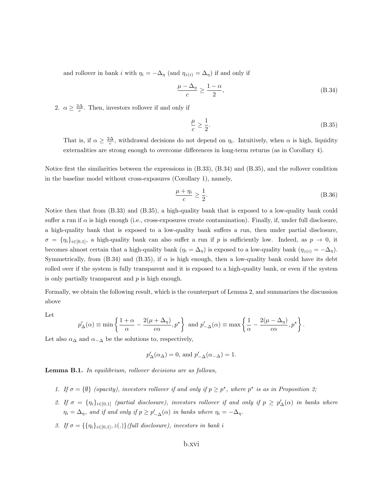and rollover in bank i with  $\eta_i = -\Delta_{\eta}$  (and  $\eta_{z(i)} = \Delta_{\eta}$ ) if and only if

$$
\frac{\mu - \Delta_{\eta}}{c} \ge \frac{1 - \alpha}{2},\tag{B.34}
$$

2.  $\alpha \geq \frac{2\Delta}{c}$ . Then, investors rollover if and only if

$$
\frac{\mu}{c} \ge \frac{1}{2}.\tag{B.35}
$$

That is, if  $\alpha \geq \frac{2\Delta}{c}$ , withdrawal decisions do not depend on  $\eta_i$ . Intuitively, when  $\alpha$  is high, liquidity externalities are strong enough to overcome differences in long-term returns (as in Corollary 4).

Notice first the similarities between the expressions in (B.33), (B.34) and (B.35), and the rollover condition in the baseline model without cross-exposures (Corollary 1), namely,

$$
\frac{\mu + \eta_i}{c} \ge \frac{1}{2}.\tag{B.36}
$$

Notice then that from (B.33) and (B.35), a high-quality bank that is exposed to a low-quality bank could suffer a run if  $\alpha$  is high enough (i.e., cross-exposures create contamination). Finally, if, under full disclosure, a high-quality bank that is exposed to a low-quality bank suffers a run, then under partial disclosure,  $\sigma = \{\eta_i\}_{i\in[0,1]},$  a high-quality bank can also suffer a run if p is sufficiently low. Indeed, as  $p \to 0$ , it becomes almost certain that a high-quality bank ( $\eta_i = \Delta_{\eta}$ ) is exposed to a low-quality bank ( $\eta_{z(i)} = -\Delta_{\eta}$ ). Symmetrically, from (B.34) and (B.35), if  $\alpha$  is high enough, then a low-quality bank could have its debt rolled over if the system is fully transparent and it is exposed to a high-quality bank, or even if the system is only partially transparent and  $p$  is high enough.

Formally, we obtain the following result, which is the counterpart of Lemma 2, and summarizes the discussion above

Let

$$
p'_{\Delta}(\alpha) \equiv \min \left\{ \frac{1+\alpha}{\alpha} - \frac{2(\mu+\Delta_{\eta})}{c\alpha}, p^{\star} \right\} \text{ and } p'_{-\Delta}(\alpha) \equiv \max \left\{ \frac{1}{\alpha} - \frac{2(\mu-\Delta_{\eta})}{c\alpha}, p^{\star} \right\}.
$$

Let also  $\alpha_{\Delta}$  and  $\alpha_{-\Delta}$  be the solutions to, respectively,

$$
p'_{\Delta}(\alpha_{\Delta}) = 0
$$
, and  $p'_{-\Delta}(\alpha_{-\Delta}) = 1$ .

Lemma B.1. In equilibrium, rollover decisions are as follows,

- 1. If  $\sigma = \{\emptyset\}$  (opacity), investors rollover if and only if  $p \geq p^*$ , where  $p^*$  is as in Proposition 2;
- 2. If  $\sigma = \{\eta_i\}_{i\in[0,1]}$  (partial disclosure), investors rollover if and only if  $p \ge p'_\Delta(\alpha)$  in banks where  $\eta_i = \Delta_{\eta}$ , and if and only if  $p \ge p'_{-\Delta}(\alpha)$  in banks where  $\eta_i = -\Delta_{\eta}$ .
- 3. If  $\sigma = \{\{\eta_i\}_{i\in[0,1]}, z(.)\}$ (full disclosure), investors in bank i